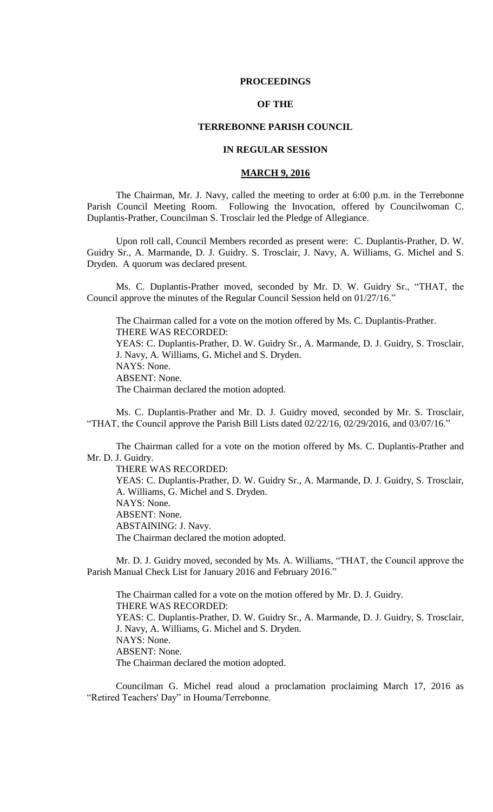## **PROCEEDINGS**

# **OF THE**

## **TERREBONNE PARISH COUNCIL**

# **IN REGULAR SESSION**

# **MARCH 9, 2016**

The Chairman, Mr. J. Navy, called the meeting to order at 6:00 p.m. in the Terrebonne Parish Council Meeting Room. Following the Invocation, offered by Councilwoman C. Duplantis-Prather, Councilman S. Trosclair led the Pledge of Allegiance.

Upon roll call, Council Members recorded as present were: C. Duplantis-Prather, D. W. Guidry Sr., A. Marmande, D. J. Guidry. S. Trosclair, J. Navy, A. Williams, G. Michel and S. Dryden. A quorum was declared present.

Ms. C. Duplantis-Prather moved, seconded by Mr. D. W. Guidry Sr., "THAT, the Council approve the minutes of the Regular Council Session held on 01/27/16."

The Chairman called for a vote on the motion offered by Ms. C. Duplantis-Prather. THERE WAS RECORDED: YEAS: C. Duplantis-Prather, D. W. Guidry Sr., A. Marmande, D. J. Guidry, S. Trosclair, J. Navy, A. Williams, G. Michel and S. Dryden. NAYS: None. ABSENT: None. The Chairman declared the motion adopted.

Ms. C. Duplantis-Prather and Mr. D. J. Guidry moved, seconded by Mr. S. Trosclair, "THAT, the Council approve the Parish Bill Lists dated 02/22/16, 02/29/2016, and 03/07/16."

The Chairman called for a vote on the motion offered by Ms. C. Duplantis-Prather and Mr. D. J. Guidry.

THERE WAS RECORDED: YEAS: C. Duplantis-Prather, D. W. Guidry Sr., A. Marmande, D. J. Guidry, S. Trosclair, A. Williams, G. Michel and S. Dryden. NAYS: None. ABSENT: None. ABSTAINING: J. Navy. The Chairman declared the motion adopted.

Mr. D. J. Guidry moved, seconded by Ms. A. Williams, "THAT, the Council approve the Parish Manual Check List for January 2016 and February 2016."

The Chairman called for a vote on the motion offered by Mr. D. J. Guidry. THERE WAS RECORDED: YEAS: C. Duplantis-Prather, D. W. Guidry Sr., A. Marmande, D. J. Guidry, S. Trosclair, J. Navy, A. Williams, G. Michel and S. Dryden. NAYS: None. ABSENT: None. The Chairman declared the motion adopted.

Councilman G. Michel read aloud a proclamation proclaiming March 17, 2016 as "Retired Teachers' Day" in Houma/Terrebonne.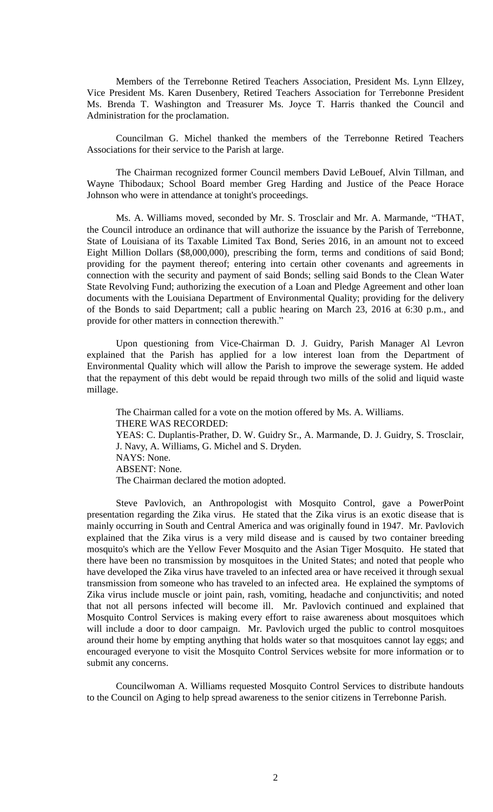Members of the Terrebonne Retired Teachers Association, President Ms. Lynn Ellzey, Vice President Ms. Karen Dusenbery, Retired Teachers Association for Terrebonne President Ms. Brenda T. Washington and Treasurer Ms. Joyce T. Harris thanked the Council and Administration for the proclamation.

Councilman G. Michel thanked the members of the Terrebonne Retired Teachers Associations for their service to the Parish at large.

The Chairman recognized former Council members David LeBouef, Alvin Tillman, and Wayne Thibodaux; School Board member Greg Harding and Justice of the Peace Horace Johnson who were in attendance at tonight's proceedings.

Ms. A. Williams moved, seconded by Mr. S. Trosclair and Mr. A. Marmande, "THAT, the Council introduce an ordinance that will authorize the issuance by the Parish of Terrebonne, State of Louisiana of its Taxable Limited Tax Bond, Series 2016, in an amount not to exceed Eight Million Dollars (\$8,000,000), prescribing the form, terms and conditions of said Bond; providing for the payment thereof; entering into certain other covenants and agreements in connection with the security and payment of said Bonds; selling said Bonds to the Clean Water State Revolving Fund; authorizing the execution of a Loan and Pledge Agreement and other loan documents with the Louisiana Department of Environmental Quality; providing for the delivery of the Bonds to said Department; call a public hearing on March 23, 2016 at 6:30 p.m., and provide for other matters in connection therewith."

Upon questioning from Vice-Chairman D. J. Guidry, Parish Manager Al Levron explained that the Parish has applied for a low interest loan from the Department of Environmental Quality which will allow the Parish to improve the sewerage system. He added that the repayment of this debt would be repaid through two mills of the solid and liquid waste millage.

The Chairman called for a vote on the motion offered by Ms. A. Williams. THERE WAS RECORDED: YEAS: C. Duplantis-Prather, D. W. Guidry Sr., A. Marmande, D. J. Guidry, S. Trosclair, J. Navy, A. Williams, G. Michel and S. Dryden. NAYS: None. ABSENT: None. The Chairman declared the motion adopted.

Steve Pavlovich, an Anthropologist with Mosquito Control, gave a PowerPoint presentation regarding the Zika virus. He stated that the Zika virus is an exotic disease that is mainly occurring in South and Central America and was originally found in 1947. Mr. Pavlovich explained that the Zika virus is a very mild disease and is caused by two container breeding mosquito's which are the Yellow Fever Mosquito and the Asian Tiger Mosquito. He stated that there have been no transmission by mosquitoes in the United States; and noted that people who have developed the Zika virus have traveled to an infected area or have received it through sexual transmission from someone who has traveled to an infected area. He explained the symptoms of Zika virus include muscle or joint pain, rash, vomiting, headache and conjunctivitis; and noted that not all persons infected will become ill. Mr. Pavlovich continued and explained that Mosquito Control Services is making every effort to raise awareness about mosquitoes which will include a door to door campaign. Mr. Pavlovich urged the public to control mosquitoes around their home by empting anything that holds water so that mosquitoes cannot lay eggs; and encouraged everyone to visit the Mosquito Control Services website for more information or to submit any concerns.

Councilwoman A. Williams requested Mosquito Control Services to distribute handouts to the Council on Aging to help spread awareness to the senior citizens in Terrebonne Parish.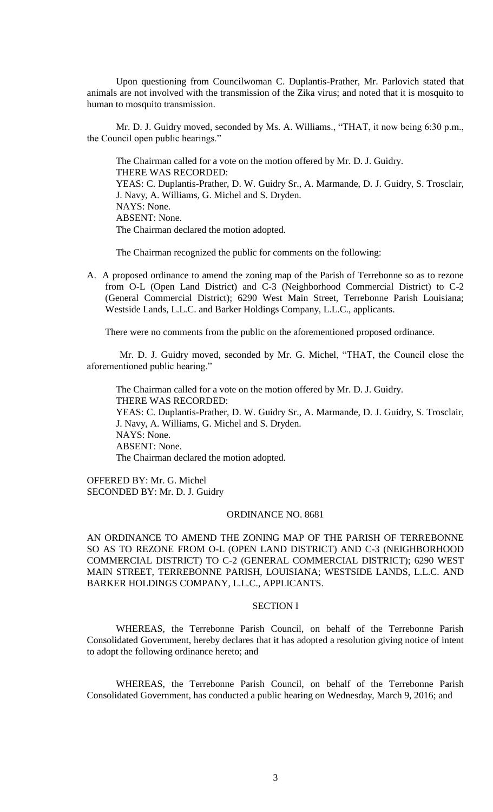Upon questioning from Councilwoman C. Duplantis-Prather, Mr. Parlovich stated that animals are not involved with the transmission of the Zika virus; and noted that it is mosquito to human to mosquito transmission.

Mr. D. J. Guidry moved, seconded by Ms. A. Williams., "THAT, it now being 6:30 p.m., the Council open public hearings."

The Chairman called for a vote on the motion offered by Mr. D. J. Guidry. THERE WAS RECORDED: YEAS: C. Duplantis-Prather, D. W. Guidry Sr., A. Marmande, D. J. Guidry, S. Trosclair, J. Navy, A. Williams, G. Michel and S. Dryden. NAYS: None. ABSENT: None. The Chairman declared the motion adopted.

The Chairman recognized the public for comments on the following:

A. A proposed ordinance to amend the zoning map of the Parish of Terrebonne so as to rezone from O-L (Open Land District) and C-3 (Neighborhood Commercial District) to C-2 (General Commercial District); 6290 West Main Street, Terrebonne Parish Louisiana; Westside Lands, L.L.C. and Barker Holdings Company, L.L.C., applicants.

There were no comments from the public on the aforementioned proposed ordinance.

Mr. D. J. Guidry moved, seconded by Mr. G. Michel, "THAT, the Council close the aforementioned public hearing."

The Chairman called for a vote on the motion offered by Mr. D. J. Guidry. THERE WAS RECORDED: YEAS: C. Duplantis-Prather, D. W. Guidry Sr., A. Marmande, D. J. Guidry, S. Trosclair, J. Navy, A. Williams, G. Michel and S. Dryden. NAYS: None. ABSENT: None. The Chairman declared the motion adopted.

OFFERED BY: Mr. G. Michel SECONDED BY: Mr. D. J. Guidry

# ORDINANCE NO. 8681

AN ORDINANCE TO AMEND THE ZONING MAP OF THE PARISH OF TERREBONNE SO AS TO REZONE FROM O-L (OPEN LAND DISTRICT) AND C-3 (NEIGHBORHOOD COMMERCIAL DISTRICT) TO C-2 (GENERAL COMMERCIAL DISTRICT); 6290 WEST MAIN STREET, TERREBONNE PARISH, LOUISIANA; WESTSIDE LANDS, L.L.C. AND BARKER HOLDINGS COMPANY, L.L.C., APPLICANTS.

# SECTION I

WHEREAS, the Terrebonne Parish Council, on behalf of the Terrebonne Parish Consolidated Government, hereby declares that it has adopted a resolution giving notice of intent to adopt the following ordinance hereto; and

WHEREAS, the Terrebonne Parish Council, on behalf of the Terrebonne Parish Consolidated Government, has conducted a public hearing on Wednesday, March 9, 2016; and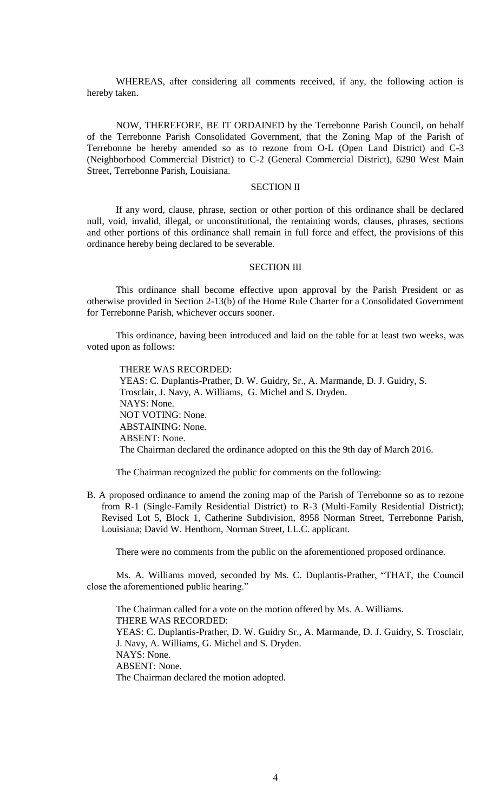WHEREAS, after considering all comments received, if any, the following action is hereby taken.

NOW, THEREFORE, BE IT ORDAINED by the Terrebonne Parish Council, on behalf of the Terrebonne Parish Consolidated Government, that the Zoning Map of the Parish of Terrebonne be hereby amended so as to rezone from O-L (Open Land District) and C-3 (Neighborhood Commercial District) to C-2 (General Commercial District), 6290 West Main Street, Terrebonne Parish, Louisiana.

# SECTION II

If any word, clause, phrase, section or other portion of this ordinance shall be declared null, void, invalid, illegal, or unconstitutional, the remaining words, clauses, phrases, sections and other portions of this ordinance shall remain in full force and effect, the provisions of this ordinance hereby being declared to be severable.

## SECTION III

This ordinance shall become effective upon approval by the Parish President or as otherwise provided in Section 2-13(b) of the Home Rule Charter for a Consolidated Government for Terrebonne Parish, whichever occurs sooner.

This ordinance, having been introduced and laid on the table for at least two weeks, was voted upon as follows:

THERE WAS RECORDED: YEAS: C. Duplantis-Prather, D. W. Guidry, Sr., A. Marmande, D. J. Guidry, S. Trosclair, J. Navy, A. Williams, G. Michel and S. Dryden. NAYS: None. NOT VOTING: None. ABSTAINING: None. ABSENT: None. The Chairman declared the ordinance adopted on this the 9th day of March 2016.

The Chairman recognized the public for comments on the following:

B. A proposed ordinance to amend the zoning map of the Parish of Terrebonne so as to rezone from R-1 (Single-Family Residential District) to R-3 (Multi-Family Residential District); Revised Lot 5, Block 1, Catherine Subdivision, 8958 Norman Street, Terrebonne Parish, Louisiana; David W. Henthorn, Norman Street, LL.C. applicant.

There were no comments from the public on the aforementioned proposed ordinance.

Ms. A. Williams moved, seconded by Ms. C. Duplantis-Prather, "THAT, the Council close the aforementioned public hearing."

The Chairman called for a vote on the motion offered by Ms. A. Williams. THERE WAS RECORDED: YEAS: C. Duplantis-Prather, D. W. Guidry Sr., A. Marmande, D. J. Guidry, S. Trosclair, J. Navy, A. Williams, G. Michel and S. Dryden. NAYS: None. ABSENT: None. The Chairman declared the motion adopted.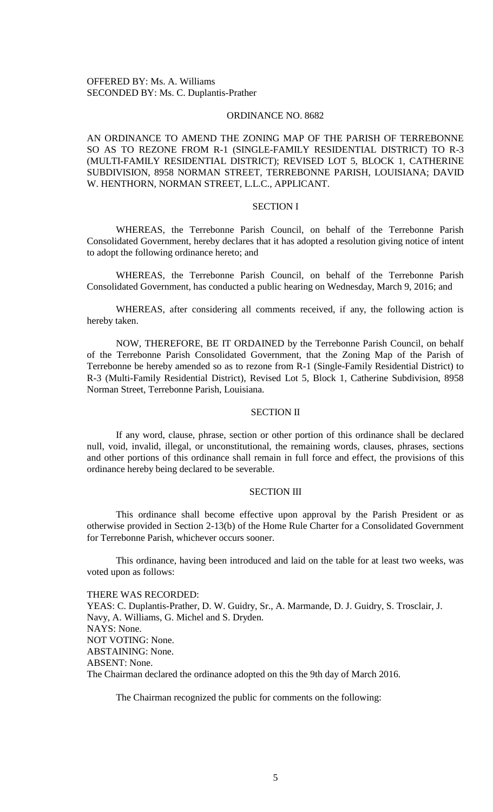## ORDINANCE NO. 8682

AN ORDINANCE TO AMEND THE ZONING MAP OF THE PARISH OF TERREBONNE SO AS TO REZONE FROM R-1 (SINGLE-FAMILY RESIDENTIAL DISTRICT) TO R-3 (MULTI-FAMILY RESIDENTIAL DISTRICT); REVISED LOT 5, BLOCK 1, CATHERINE SUBDIVISION, 8958 NORMAN STREET, TERREBONNE PARISH, LOUISIANA; DAVID W. HENTHORN, NORMAN STREET, L.L.C., APPLICANT.

#### SECTION I

WHEREAS, the Terrebonne Parish Council, on behalf of the Terrebonne Parish Consolidated Government, hereby declares that it has adopted a resolution giving notice of intent to adopt the following ordinance hereto; and

WHEREAS, the Terrebonne Parish Council, on behalf of the Terrebonne Parish Consolidated Government, has conducted a public hearing on Wednesday, March 9, 2016; and

WHEREAS, after considering all comments received, if any, the following action is hereby taken.

NOW, THEREFORE, BE IT ORDAINED by the Terrebonne Parish Council, on behalf of the Terrebonne Parish Consolidated Government, that the Zoning Map of the Parish of Terrebonne be hereby amended so as to rezone from R-1 (Single-Family Residential District) to R-3 (Multi-Family Residential District), Revised Lot 5, Block 1, Catherine Subdivision, 8958 Norman Street, Terrebonne Parish, Louisiana.

## SECTION II

If any word, clause, phrase, section or other portion of this ordinance shall be declared null, void, invalid, illegal, or unconstitutional, the remaining words, clauses, phrases, sections and other portions of this ordinance shall remain in full force and effect, the provisions of this ordinance hereby being declared to be severable.

#### SECTION III

This ordinance shall become effective upon approval by the Parish President or as otherwise provided in Section 2-13(b) of the Home Rule Charter for a Consolidated Government for Terrebonne Parish, whichever occurs sooner.

This ordinance, having been introduced and laid on the table for at least two weeks, was voted upon as follows:

THERE WAS RECORDED: YEAS: C. Duplantis-Prather, D. W. Guidry, Sr., A. Marmande, D. J. Guidry, S. Trosclair, J. Navy, A. Williams, G. Michel and S. Dryden. NAYS: None. NOT VOTING: None. ABSTAINING: None. ABSENT: None. The Chairman declared the ordinance adopted on this the 9th day of March 2016.

The Chairman recognized the public for comments on the following: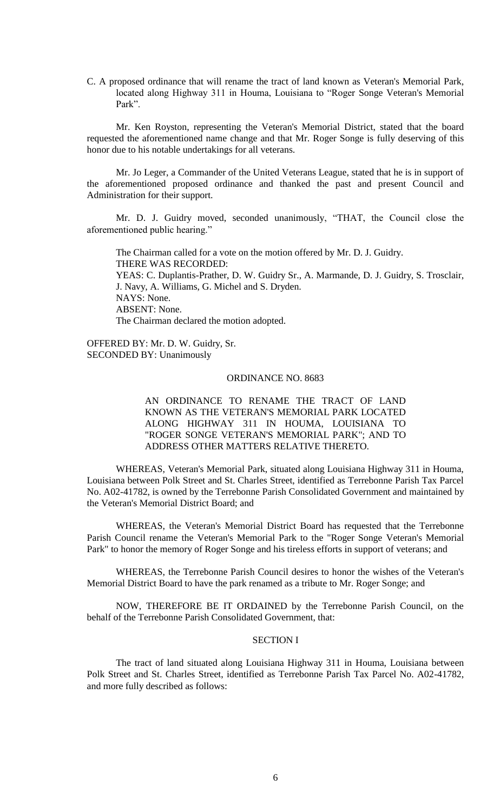C. A proposed ordinance that will rename the tract of land known as Veteran's Memorial Park, located along Highway 311 in Houma, Louisiana to "Roger Songe Veteran's Memorial Park".

Mr. Ken Royston, representing the Veteran's Memorial District, stated that the board requested the aforementioned name change and that Mr. Roger Songe is fully deserving of this honor due to his notable undertakings for all veterans.

Mr. Jo Leger, a Commander of the United Veterans League, stated that he is in support of the aforementioned proposed ordinance and thanked the past and present Council and Administration for their support.

Mr. D. J. Guidry moved, seconded unanimously, "THAT, the Council close the aforementioned public hearing."

The Chairman called for a vote on the motion offered by Mr. D. J. Guidry. THERE WAS RECORDED: YEAS: C. Duplantis-Prather, D. W. Guidry Sr., A. Marmande, D. J. Guidry, S. Trosclair, J. Navy, A. Williams, G. Michel and S. Dryden. NAYS: None. ABSENT: None. The Chairman declared the motion adopted.

OFFERED BY: Mr. D. W. Guidry, Sr. SECONDED BY: Unanimously

# ORDINANCE NO. 8683

AN ORDINANCE TO RENAME THE TRACT OF LAND KNOWN AS THE VETERAN'S MEMORIAL PARK LOCATED ALONG HIGHWAY 311 IN HOUMA, LOUISIANA TO "ROGER SONGE VETERAN'S MEMORIAL PARK"; AND TO ADDRESS OTHER MATTERS RELATIVE THERETO.

WHEREAS, Veteran's Memorial Park, situated along Louisiana Highway 311 in Houma, Louisiana between Polk Street and St. Charles Street, identified as Terrebonne Parish Tax Parcel No. A02-41782, is owned by the Terrebonne Parish Consolidated Government and maintained by the Veteran's Memorial District Board; and

WHEREAS, the Veteran's Memorial District Board has requested that the Terrebonne Parish Council rename the Veteran's Memorial Park to the "Roger Songe Veteran's Memorial Park" to honor the memory of Roger Songe and his tireless efforts in support of veterans; and

WHEREAS, the Terrebonne Parish Council desires to honor the wishes of the Veteran's Memorial District Board to have the park renamed as a tribute to Mr. Roger Songe; and

NOW, THEREFORE BE IT ORDAINED by the Terrebonne Parish Council, on the behalf of the Terrebonne Parish Consolidated Government, that:

# SECTION I

The tract of land situated along Louisiana Highway 311 in Houma, Louisiana between Polk Street and St. Charles Street, identified as Terrebonne Parish Tax Parcel No. A02-41782, and more fully described as follows: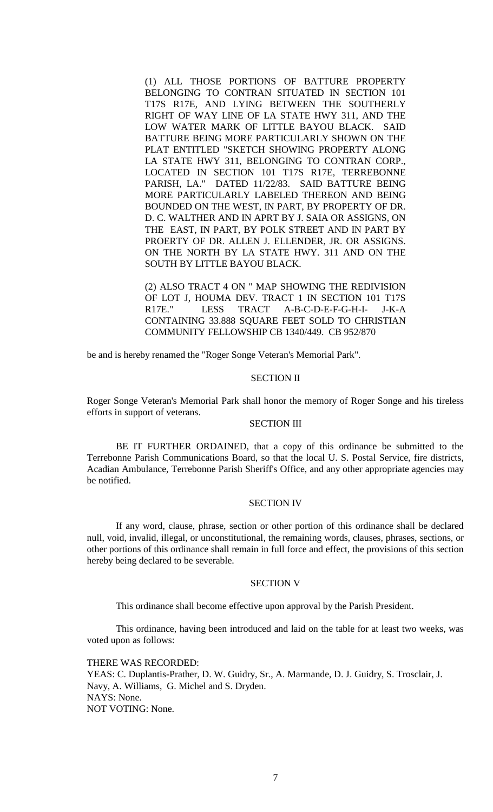(1) ALL THOSE PORTIONS OF BATTURE PROPERTY BELONGING TO CONTRAN SITUATED IN SECTION 101 T17S R17E, AND LYING BETWEEN THE SOUTHERLY RIGHT OF WAY LINE OF LA STATE HWY 311, AND THE LOW WATER MARK OF LITTLE BAYOU BLACK. SAID BATTURE BEING MORE PARTICULARLY SHOWN ON THE PLAT ENTITLED "SKETCH SHOWING PROPERTY ALONG LA STATE HWY 311, BELONGING TO CONTRAN CORP., LOCATED IN SECTION 101 T17S R17E, TERREBONNE PARISH, LA." DATED 11/22/83. SAID BATTURE BEING MORE PARTICULARLY LABELED THEREON AND BEING BOUNDED ON THE WEST, IN PART, BY PROPERTY OF DR. D. C. WALTHER AND IN APRT BY J. SAIA OR ASSIGNS, ON THE EAST, IN PART, BY POLK STREET AND IN PART BY PROERTY OF DR. ALLEN J. ELLENDER, JR. OR ASSIGNS. ON THE NORTH BY LA STATE HWY. 311 AND ON THE SOUTH BY LITTLE BAYOU BLACK.

(2) ALSO TRACT 4 ON " MAP SHOWING THE REDIVISION OF LOT J, HOUMA DEV. TRACT 1 IN SECTION 101 T17S R17E." LESS TRACT A-B-C-D-E-F-G-H-I- J-K-A CONTAINING 33.888 SQUARE FEET SOLD TO CHRISTIAN COMMUNITY FELLOWSHIP CB 1340/449. CB 952/870

be and is hereby renamed the "Roger Songe Veteran's Memorial Park".

## SECTION II

Roger Songe Veteran's Memorial Park shall honor the memory of Roger Songe and his tireless efforts in support of veterans.

# SECTION III

BE IT FURTHER ORDAINED, that a copy of this ordinance be submitted to the Terrebonne Parish Communications Board, so that the local U. S. Postal Service, fire districts, Acadian Ambulance, Terrebonne Parish Sheriff's Office, and any other appropriate agencies may be notified.

## SECTION IV

If any word, clause, phrase, section or other portion of this ordinance shall be declared null, void, invalid, illegal, or unconstitutional, the remaining words, clauses, phrases, sections, or other portions of this ordinance shall remain in full force and effect, the provisions of this section hereby being declared to be severable.

## SECTION V

This ordinance shall become effective upon approval by the Parish President.

This ordinance, having been introduced and laid on the table for at least two weeks, was voted upon as follows:

THERE WAS RECORDED:

YEAS: C. Duplantis-Prather, D. W. Guidry, Sr., A. Marmande, D. J. Guidry, S. Trosclair, J. Navy, A. Williams, G. Michel and S. Dryden. NAYS: None. NOT VOTING: None.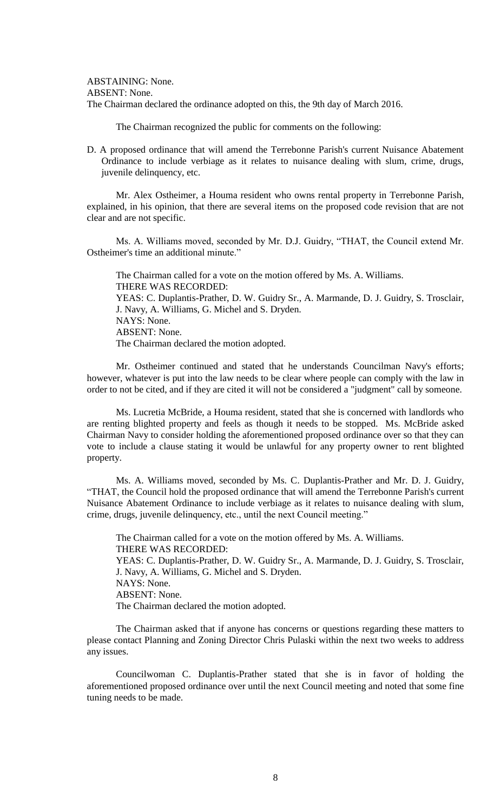ABSTAINING: None. ABSENT: None. The Chairman declared the ordinance adopted on this, the 9th day of March 2016.

The Chairman recognized the public for comments on the following:

D. A proposed ordinance that will amend the Terrebonne Parish's current Nuisance Abatement Ordinance to include verbiage as it relates to nuisance dealing with slum, crime, drugs, juvenile delinquency, etc.

Mr. Alex Ostheimer, a Houma resident who owns rental property in Terrebonne Parish, explained, in his opinion, that there are several items on the proposed code revision that are not clear and are not specific.

Ms. A. Williams moved, seconded by Mr. D.J. Guidry, "THAT, the Council extend Mr. Ostheimer's time an additional minute."

The Chairman called for a vote on the motion offered by Ms. A. Williams. THERE WAS RECORDED: YEAS: C. Duplantis-Prather, D. W. Guidry Sr., A. Marmande, D. J. Guidry, S. Trosclair, J. Navy, A. Williams, G. Michel and S. Dryden. NAYS: None. ABSENT: None. The Chairman declared the motion adopted.

Mr. Ostheimer continued and stated that he understands Councilman Navy's efforts; however, whatever is put into the law needs to be clear where people can comply with the law in order to not be cited, and if they are cited it will not be considered a "judgment" call by someone.

Ms. Lucretia McBride, a Houma resident, stated that she is concerned with landlords who are renting blighted property and feels as though it needs to be stopped. Ms. McBride asked Chairman Navy to consider holding the aforementioned proposed ordinance over so that they can vote to include a clause stating it would be unlawful for any property owner to rent blighted property.

Ms. A. Williams moved, seconded by Ms. C. Duplantis-Prather and Mr. D. J. Guidry, "THAT, the Council hold the proposed ordinance that will amend the Terrebonne Parish's current Nuisance Abatement Ordinance to include verbiage as it relates to nuisance dealing with slum, crime, drugs, juvenile delinquency, etc., until the next Council meeting."

The Chairman called for a vote on the motion offered by Ms. A. Williams. THERE WAS RECORDED: YEAS: C. Duplantis-Prather, D. W. Guidry Sr., A. Marmande, D. J. Guidry, S. Trosclair, J. Navy, A. Williams, G. Michel and S. Dryden. NAYS: None. ABSENT: None. The Chairman declared the motion adopted.

The Chairman asked that if anyone has concerns or questions regarding these matters to please contact Planning and Zoning Director Chris Pulaski within the next two weeks to address any issues.

Councilwoman C. Duplantis-Prather stated that she is in favor of holding the aforementioned proposed ordinance over until the next Council meeting and noted that some fine tuning needs to be made.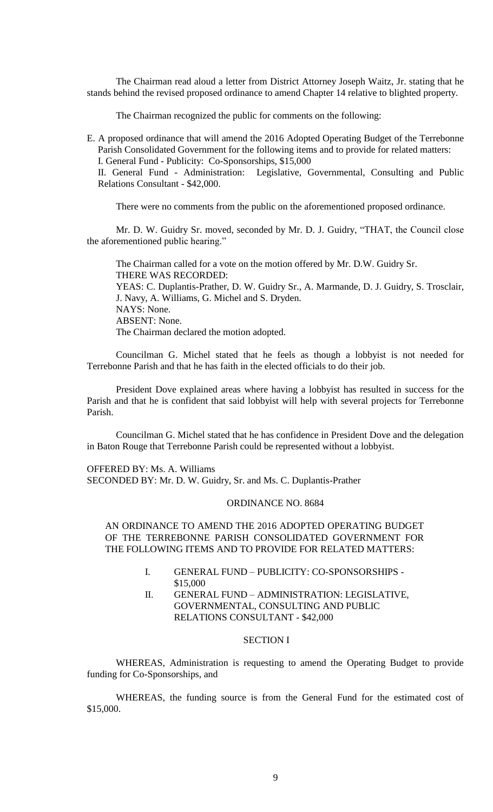The Chairman read aloud a letter from District Attorney Joseph Waitz, Jr. stating that he stands behind the revised proposed ordinance to amend Chapter 14 relative to blighted property.

The Chairman recognized the public for comments on the following:

E. A proposed ordinance that will amend the 2016 Adopted Operating Budget of the Terrebonne Parish Consolidated Government for the following items and to provide for related matters: I. General Fund - Publicity: Co-Sponsorships, \$15,000

II. General Fund - Administration: Legislative, Governmental, Consulting and Public Relations Consultant - \$42,000.

There were no comments from the public on the aforementioned proposed ordinance.

Mr. D. W. Guidry Sr. moved, seconded by Mr. D. J. Guidry, "THAT, the Council close the aforementioned public hearing."

The Chairman called for a vote on the motion offered by Mr. D.W. Guidry Sr. THERE WAS RECORDED: YEAS: C. Duplantis-Prather, D. W. Guidry Sr., A. Marmande, D. J. Guidry, S. Trosclair, J. Navy, A. Williams, G. Michel and S. Dryden. NAYS: None. ABSENT: None. The Chairman declared the motion adopted.

Councilman G. Michel stated that he feels as though a lobbyist is not needed for Terrebonne Parish and that he has faith in the elected officials to do their job.

President Dove explained areas where having a lobbyist has resulted in success for the Parish and that he is confident that said lobbyist will help with several projects for Terrebonne Parish.

Councilman G. Michel stated that he has confidence in President Dove and the delegation in Baton Rouge that Terrebonne Parish could be represented without a lobbyist.

OFFERED BY: Ms. A. Williams SECONDED BY: Mr. D. W. Guidry, Sr. and Ms. C. Duplantis-Prather

## ORDINANCE NO. 8684

# AN ORDINANCE TO AMEND THE 2016 ADOPTED OPERATING BUDGET OF THE TERREBONNE PARISH CONSOLIDATED GOVERNMENT FOR THE FOLLOWING ITEMS AND TO PROVIDE FOR RELATED MATTERS:

- I. GENERAL FUND PUBLICITY: CO-SPONSORSHIPS \$15,000
- II. GENERAL FUND ADMINISTRATION: LEGISLATIVE, GOVERNMENTAL, CONSULTING AND PUBLIC RELATIONS CONSULTANT - \$42,000

## SECTION I

WHEREAS, Administration is requesting to amend the Operating Budget to provide funding for Co-Sponsorships, and

WHEREAS, the funding source is from the General Fund for the estimated cost of \$15,000.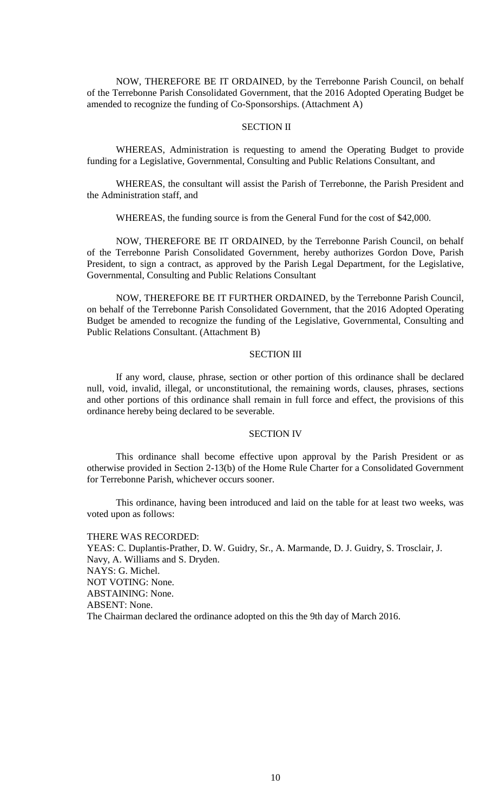NOW, THEREFORE BE IT ORDAINED, by the Terrebonne Parish Council, on behalf of the Terrebonne Parish Consolidated Government, that the 2016 Adopted Operating Budget be amended to recognize the funding of Co-Sponsorships. (Attachment A)

# SECTION II

WHEREAS, Administration is requesting to amend the Operating Budget to provide funding for a Legislative, Governmental, Consulting and Public Relations Consultant, and

WHEREAS, the consultant will assist the Parish of Terrebonne, the Parish President and the Administration staff, and

WHEREAS, the funding source is from the General Fund for the cost of \$42,000.

NOW, THEREFORE BE IT ORDAINED, by the Terrebonne Parish Council, on behalf of the Terrebonne Parish Consolidated Government, hereby authorizes Gordon Dove, Parish President, to sign a contract, as approved by the Parish Legal Department, for the Legislative, Governmental, Consulting and Public Relations Consultant

NOW, THEREFORE BE IT FURTHER ORDAINED, by the Terrebonne Parish Council, on behalf of the Terrebonne Parish Consolidated Government, that the 2016 Adopted Operating Budget be amended to recognize the funding of the Legislative, Governmental, Consulting and Public Relations Consultant. (Attachment B)

## SECTION III

If any word, clause, phrase, section or other portion of this ordinance shall be declared null, void, invalid, illegal, or unconstitutional, the remaining words, clauses, phrases, sections and other portions of this ordinance shall remain in full force and effect, the provisions of this ordinance hereby being declared to be severable.

# SECTION IV

This ordinance shall become effective upon approval by the Parish President or as otherwise provided in Section 2-13(b) of the Home Rule Charter for a Consolidated Government for Terrebonne Parish, whichever occurs sooner.

This ordinance, having been introduced and laid on the table for at least two weeks, was voted upon as follows:

THERE WAS RECORDED: YEAS: C. Duplantis-Prather, D. W. Guidry, Sr., A. Marmande, D. J. Guidry, S. Trosclair, J. Navy, A. Williams and S. Dryden. NAYS: G. Michel. NOT VOTING: None. ABSTAINING: None. ABSENT: None. The Chairman declared the ordinance adopted on this the 9th day of March 2016.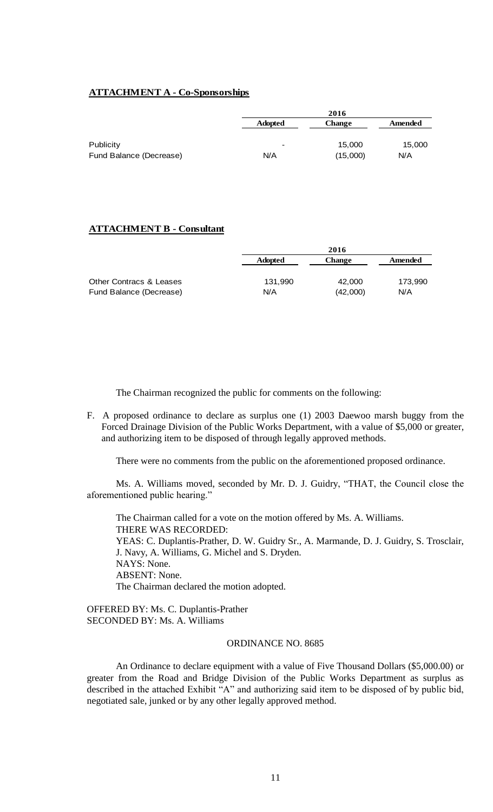# **ATTACHMENT A - Co-Sponsorships**

|                         | 2016                     |          |         |
|-------------------------|--------------------------|----------|---------|
|                         | <b>Adopted</b>           | Change   | Amended |
| Publicity               | $\overline{\phantom{a}}$ | 15,000   | 15,000  |
| Fund Balance (Decrease) | N/A                      | (15,000) | N/A     |

# **ATTACHMENT B - Consultant**

|                         |                | 2016          |         |  |
|-------------------------|----------------|---------------|---------|--|
|                         | <b>Adopted</b> | <b>Change</b> | Amended |  |
|                         |                |               |         |  |
| Other Contracs & Leases | 131.990        | 42,000        | 173.990 |  |
| Fund Balance (Decrease) | N/A            | (42,000)      | N/A     |  |

The Chairman recognized the public for comments on the following:

F. A proposed ordinance to declare as surplus one (1) 2003 Daewoo marsh buggy from the Forced Drainage Division of the Public Works Department, with a value of \$5,000 or greater, and authorizing item to be disposed of through legally approved methods.

There were no comments from the public on the aforementioned proposed ordinance.

Ms. A. Williams moved, seconded by Mr. D. J. Guidry, "THAT, the Council close the aforementioned public hearing."

The Chairman called for a vote on the motion offered by Ms. A. Williams. THERE WAS RECORDED: YEAS: C. Duplantis-Prather, D. W. Guidry Sr., A. Marmande, D. J. Guidry, S. Trosclair, J. Navy, A. Williams, G. Michel and S. Dryden. NAYS: None. ABSENT: None. The Chairman declared the motion adopted.

OFFERED BY: Ms. C. Duplantis-Prather SECONDED BY: Ms. A. Williams

# ORDINANCE NO. 8685

An Ordinance to declare equipment with a value of Five Thousand Dollars (\$5,000.00) or greater from the Road and Bridge Division of the Public Works Department as surplus as described in the attached Exhibit "A" and authorizing said item to be disposed of by public bid, negotiated sale, junked or by any other legally approved method.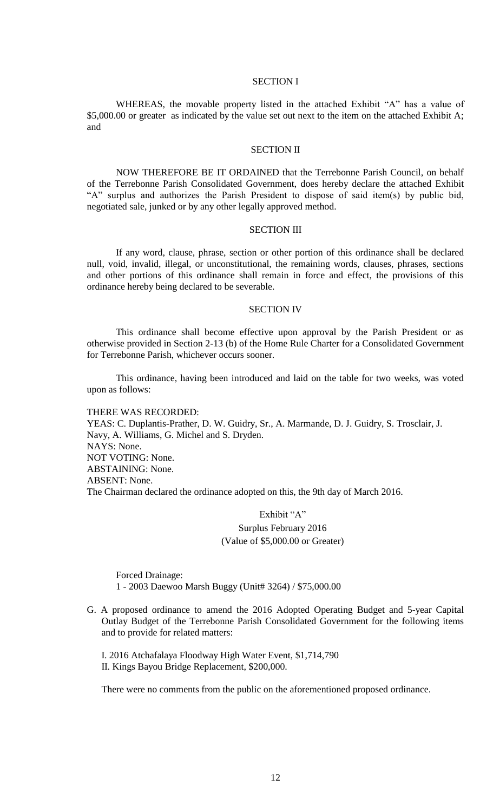## SECTION I

WHEREAS, the movable property listed in the attached Exhibit "A" has a value of \$5,000.00 or greater as indicated by the value set out next to the item on the attached Exhibit A; and

# SECTION II

NOW THEREFORE BE IT ORDAINED that the Terrebonne Parish Council, on behalf of the Terrebonne Parish Consolidated Government, does hereby declare the attached Exhibit "A" surplus and authorizes the Parish President to dispose of said item(s) by public bid, negotiated sale, junked or by any other legally approved method.

## SECTION III

If any word, clause, phrase, section or other portion of this ordinance shall be declared null, void, invalid, illegal, or unconstitutional, the remaining words, clauses, phrases, sections and other portions of this ordinance shall remain in force and effect, the provisions of this ordinance hereby being declared to be severable.

#### SECTION IV

This ordinance shall become effective upon approval by the Parish President or as otherwise provided in Section 2-13 (b) of the Home Rule Charter for a Consolidated Government for Terrebonne Parish, whichever occurs sooner.

This ordinance, having been introduced and laid on the table for two weeks, was voted upon as follows:

THERE WAS RECORDED: YEAS: C. Duplantis-Prather, D. W. Guidry, Sr., A. Marmande, D. J. Guidry, S. Trosclair, J. Navy, A. Williams, G. Michel and S. Dryden. NAYS: None. NOT VOTING: None. ABSTAINING: None. ABSENT: None. The Chairman declared the ordinance adopted on this, the 9th day of March 2016.

# Exhibit "A" Surplus February 2016 (Value of \$5,000.00 or Greater)

Forced Drainage: 1 - 2003 Daewoo Marsh Buggy (Unit# 3264) / \$75,000.00

G. A proposed ordinance to amend the 2016 Adopted Operating Budget and 5-year Capital Outlay Budget of the Terrebonne Parish Consolidated Government for the following items and to provide for related matters:

I. 2016 Atchafalaya Floodway High Water Event, \$1,714,790 II. Kings Bayou Bridge Replacement, \$200,000.

There were no comments from the public on the aforementioned proposed ordinance.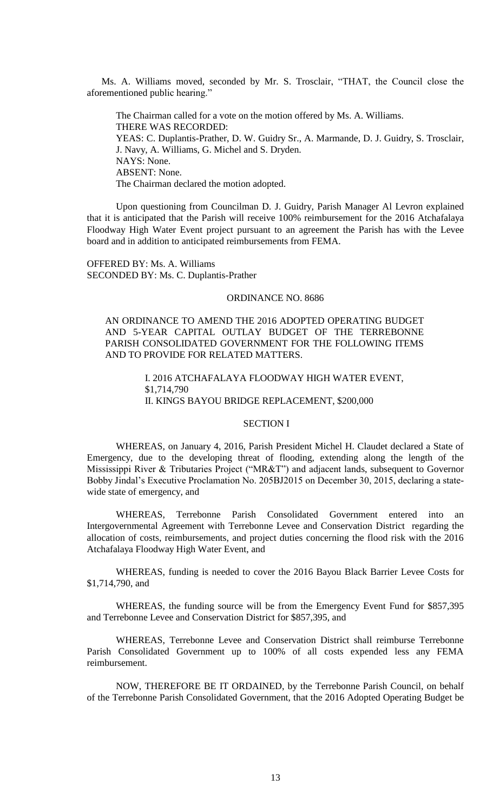Ms. A. Williams moved, seconded by Mr. S. Trosclair, "THAT, the Council close the aforementioned public hearing."

The Chairman called for a vote on the motion offered by Ms. A. Williams. THERE WAS RECORDED: YEAS: C. Duplantis-Prather, D. W. Guidry Sr., A. Marmande, D. J. Guidry, S. Trosclair, J. Navy, A. Williams, G. Michel and S. Dryden. NAYS: None. ABSENT: None. The Chairman declared the motion adopted.

Upon questioning from Councilman D. J. Guidry, Parish Manager Al Levron explained that it is anticipated that the Parish will receive 100% reimbursement for the 2016 Atchafalaya Floodway High Water Event project pursuant to an agreement the Parish has with the Levee board and in addition to anticipated reimbursements from FEMA.

OFFERED BY: Ms. A. Williams SECONDED BY: Ms. C. Duplantis-Prather

## ORDINANCE NO. 8686

AN ORDINANCE TO AMEND THE 2016 ADOPTED OPERATING BUDGET AND 5-YEAR CAPITAL OUTLAY BUDGET OF THE TERREBONNE PARISH CONSOLIDATED GOVERNMENT FOR THE FOLLOWING ITEMS AND TO PROVIDE FOR RELATED MATTERS.

> I. 2016 ATCHAFALAYA FLOODWAY HIGH WATER EVENT, \$1,714,790 II. KINGS BAYOU BRIDGE REPLACEMENT, \$200,000

# SECTION I

WHEREAS, on January 4, 2016, Parish President Michel H. Claudet declared a State of Emergency, due to the developing threat of flooding, extending along the length of the Mississippi River & Tributaries Project ("MR&T") and adjacent lands, subsequent to Governor Bobby Jindal's Executive Proclamation No. 205BJ2015 on December 30, 2015, declaring a statewide state of emergency, and

WHEREAS, Terrebonne Parish Consolidated Government entered into an Intergovernmental Agreement with Terrebonne Levee and Conservation District regarding the allocation of costs, reimbursements, and project duties concerning the flood risk with the 2016 Atchafalaya Floodway High Water Event, and

WHEREAS, funding is needed to cover the 2016 Bayou Black Barrier Levee Costs for \$1,714,790, and

WHEREAS, the funding source will be from the Emergency Event Fund for \$857,395 and Terrebonne Levee and Conservation District for \$857,395, and

WHEREAS, Terrebonne Levee and Conservation District shall reimburse Terrebonne Parish Consolidated Government up to 100% of all costs expended less any FEMA reimbursement.

NOW, THEREFORE BE IT ORDAINED, by the Terrebonne Parish Council, on behalf of the Terrebonne Parish Consolidated Government, that the 2016 Adopted Operating Budget be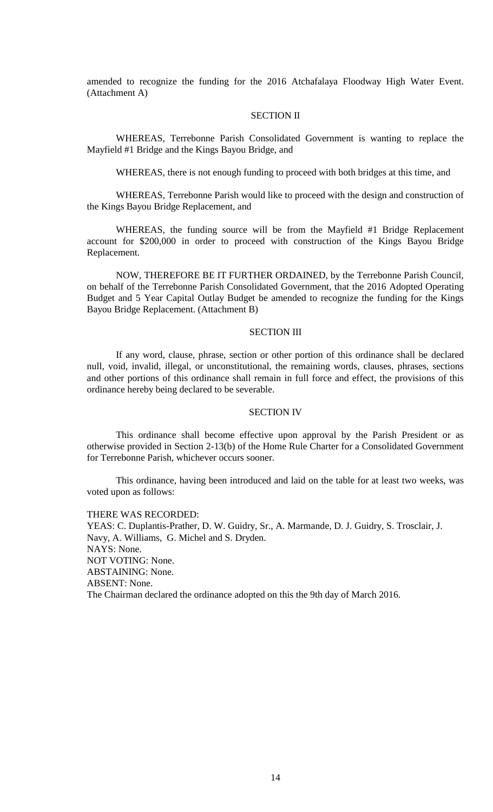amended to recognize the funding for the 2016 Atchafalaya Floodway High Water Event. (Attachment A)

# SECTION II

WHEREAS, Terrebonne Parish Consolidated Government is wanting to replace the Mayfield #1 Bridge and the Kings Bayou Bridge, and

WHEREAS, there is not enough funding to proceed with both bridges at this time, and

WHEREAS, Terrebonne Parish would like to proceed with the design and construction of the Kings Bayou Bridge Replacement, and

WHEREAS, the funding source will be from the Mayfield #1 Bridge Replacement account for \$200,000 in order to proceed with construction of the Kings Bayou Bridge Replacement.

NOW, THEREFORE BE IT FURTHER ORDAINED, by the Terrebonne Parish Council, on behalf of the Terrebonne Parish Consolidated Government, that the 2016 Adopted Operating Budget and 5 Year Capital Outlay Budget be amended to recognize the funding for the Kings Bayou Bridge Replacement. (Attachment B)

#### SECTION III

If any word, clause, phrase, section or other portion of this ordinance shall be declared null, void, invalid, illegal, or unconstitutional, the remaining words, clauses, phrases, sections and other portions of this ordinance shall remain in full force and effect, the provisions of this ordinance hereby being declared to be severable.

## SECTION IV

This ordinance shall become effective upon approval by the Parish President or as otherwise provided in Section 2-13(b) of the Home Rule Charter for a Consolidated Government for Terrebonne Parish, whichever occurs sooner.

This ordinance, having been introduced and laid on the table for at least two weeks, was voted upon as follows:

#### THERE WAS RECORDED:

YEAS: C. Duplantis-Prather, D. W. Guidry, Sr., A. Marmande, D. J. Guidry, S. Trosclair, J. Navy, A. Williams, G. Michel and S. Dryden. NAYS: None. NOT VOTING: None. ABSTAINING: None. ABSENT: None. The Chairman declared the ordinance adopted on this the 9th day of March 2016.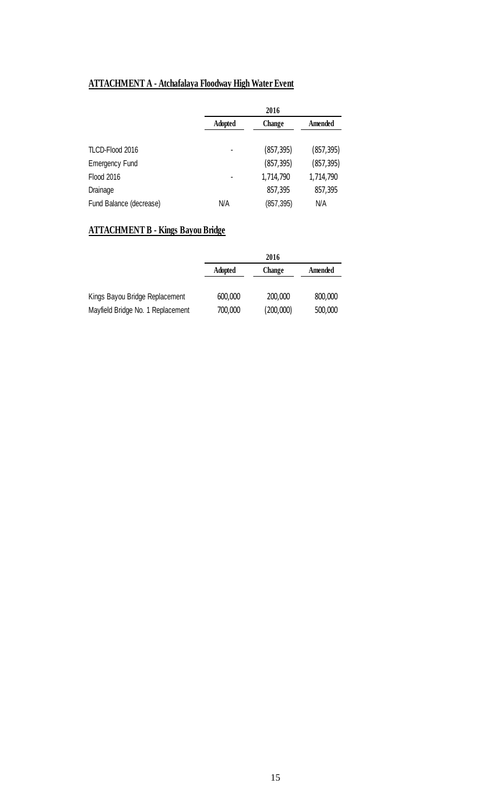# **ATTACHMENT A - Atchafalaya Floodway High Water Event**

|                         |         | 2016       |            |
|-------------------------|---------|------------|------------|
|                         | Adopted | Change     | Amended    |
|                         |         |            |            |
| TLCD-Flood 2016         |         | (857, 395) | (857, 395) |
| <b>Emergency Fund</b>   |         | (857, 395) | (857, 395) |
| <b>Flood 2016</b>       |         | 1,714,790  | 1,714,790  |
| Drainage                |         | 857,395    | 857,395    |
| Fund Balance (decrease) | N/A     | (857, 395) | N/A        |

# **ATTACHMENT B - Kings Bayou Bridge**

|                                   | 2016           |           |         |
|-----------------------------------|----------------|-----------|---------|
|                                   | <b>Adopted</b> | Change    | Amended |
| Kings Bayou Bridge Replacement    | 600,000        | 200,000   | 800,000 |
| Mayfield Bridge No. 1 Replacement | 700,000        | (200,000) | 500,000 |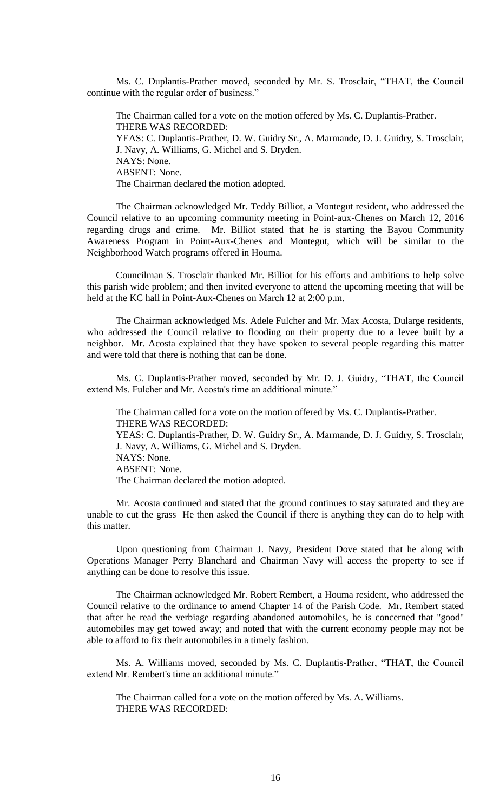Ms. C. Duplantis-Prather moved, seconded by Mr. S. Trosclair, "THAT, the Council continue with the regular order of business."

The Chairman called for a vote on the motion offered by Ms. C. Duplantis-Prather. THERE WAS RECORDED: YEAS: C. Duplantis-Prather, D. W. Guidry Sr., A. Marmande, D. J. Guidry, S. Trosclair, J. Navy, A. Williams, G. Michel and S. Dryden. NAYS: None. ABSENT: None. The Chairman declared the motion adopted.

The Chairman acknowledged Mr. Teddy Billiot, a Montegut resident, who addressed the Council relative to an upcoming community meeting in Point-aux-Chenes on March 12, 2016 regarding drugs and crime. Mr. Billiot stated that he is starting the Bayou Community Awareness Program in Point-Aux-Chenes and Montegut, which will be similar to the Neighborhood Watch programs offered in Houma.

Councilman S. Trosclair thanked Mr. Billiot for his efforts and ambitions to help solve this parish wide problem; and then invited everyone to attend the upcoming meeting that will be held at the KC hall in Point-Aux-Chenes on March 12 at 2:00 p.m.

The Chairman acknowledged Ms. Adele Fulcher and Mr. Max Acosta, Dularge residents, who addressed the Council relative to flooding on their property due to a levee built by a neighbor. Mr. Acosta explained that they have spoken to several people regarding this matter and were told that there is nothing that can be done.

Ms. C. Duplantis-Prather moved, seconded by Mr. D. J. Guidry, "THAT, the Council extend Ms. Fulcher and Mr. Acosta's time an additional minute."

The Chairman called for a vote on the motion offered by Ms. C. Duplantis-Prather. THERE WAS RECORDED: YEAS: C. Duplantis-Prather, D. W. Guidry Sr., A. Marmande, D. J. Guidry, S. Trosclair, J. Navy, A. Williams, G. Michel and S. Dryden.

NAYS: None.

ABSENT: None.

The Chairman declared the motion adopted.

Mr. Acosta continued and stated that the ground continues to stay saturated and they are unable to cut the grass He then asked the Council if there is anything they can do to help with this matter.

Upon questioning from Chairman J. Navy, President Dove stated that he along with Operations Manager Perry Blanchard and Chairman Navy will access the property to see if anything can be done to resolve this issue.

The Chairman acknowledged Mr. Robert Rembert, a Houma resident, who addressed the Council relative to the ordinance to amend Chapter 14 of the Parish Code. Mr. Rembert stated that after he read the verbiage regarding abandoned automobiles, he is concerned that "good" automobiles may get towed away; and noted that with the current economy people may not be able to afford to fix their automobiles in a timely fashion.

Ms. A. Williams moved, seconded by Ms. C. Duplantis-Prather, "THAT, the Council extend Mr. Rembert's time an additional minute."

The Chairman called for a vote on the motion offered by Ms. A. Williams. THERE WAS RECORDED: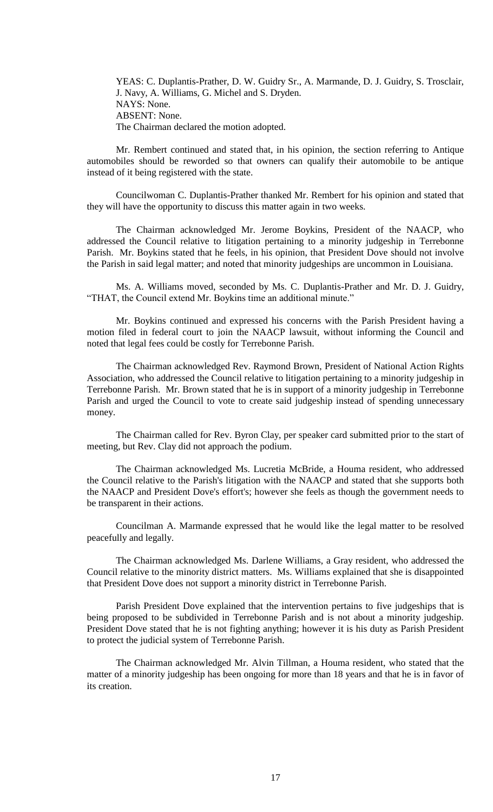YEAS: C. Duplantis-Prather, D. W. Guidry Sr., A. Marmande, D. J. Guidry, S. Trosclair, J. Navy, A. Williams, G. Michel and S. Dryden. NAYS: None. ABSENT: None. The Chairman declared the motion adopted.

Mr. Rembert continued and stated that, in his opinion, the section referring to Antique automobiles should be reworded so that owners can qualify their automobile to be antique instead of it being registered with the state.

Councilwoman C. Duplantis-Prather thanked Mr. Rembert for his opinion and stated that they will have the opportunity to discuss this matter again in two weeks.

The Chairman acknowledged Mr. Jerome Boykins, President of the NAACP, who addressed the Council relative to litigation pertaining to a minority judgeship in Terrebonne Parish. Mr. Boykins stated that he feels, in his opinion, that President Dove should not involve the Parish in said legal matter; and noted that minority judgeships are uncommon in Louisiana.

Ms. A. Williams moved, seconded by Ms. C. Duplantis-Prather and Mr. D. J. Guidry, "THAT, the Council extend Mr. Boykins time an additional minute."

Mr. Boykins continued and expressed his concerns with the Parish President having a motion filed in federal court to join the NAACP lawsuit, without informing the Council and noted that legal fees could be costly for Terrebonne Parish.

The Chairman acknowledged Rev. Raymond Brown, President of National Action Rights Association, who addressed the Council relative to litigation pertaining to a minority judgeship in Terrebonne Parish. Mr. Brown stated that he is in support of a minority judgeship in Terrebonne Parish and urged the Council to vote to create said judgeship instead of spending unnecessary money.

The Chairman called for Rev. Byron Clay, per speaker card submitted prior to the start of meeting, but Rev. Clay did not approach the podium.

The Chairman acknowledged Ms. Lucretia McBride, a Houma resident, who addressed the Council relative to the Parish's litigation with the NAACP and stated that she supports both the NAACP and President Dove's effort's; however she feels as though the government needs to be transparent in their actions.

Councilman A. Marmande expressed that he would like the legal matter to be resolved peacefully and legally.

The Chairman acknowledged Ms. Darlene Williams, a Gray resident, who addressed the Council relative to the minority district matters. Ms. Williams explained that she is disappointed that President Dove does not support a minority district in Terrebonne Parish.

Parish President Dove explained that the intervention pertains to five judgeships that is being proposed to be subdivided in Terrebonne Parish and is not about a minority judgeship. President Dove stated that he is not fighting anything; however it is his duty as Parish President to protect the judicial system of Terrebonne Parish.

The Chairman acknowledged Mr. Alvin Tillman, a Houma resident, who stated that the matter of a minority judgeship has been ongoing for more than 18 years and that he is in favor of its creation.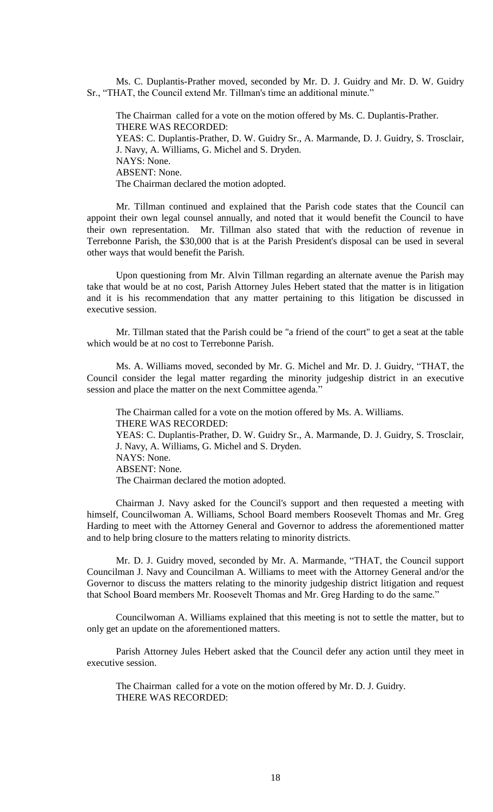Ms. C. Duplantis-Prather moved, seconded by Mr. D. J. Guidry and Mr. D. W. Guidry Sr., "THAT, the Council extend Mr. Tillman's time an additional minute."

The Chairman called for a vote on the motion offered by Ms. C. Duplantis-Prather. THERE WAS RECORDED: YEAS: C. Duplantis-Prather, D. W. Guidry Sr., A. Marmande, D. J. Guidry, S. Trosclair, J. Navy, A. Williams, G. Michel and S. Dryden. NAYS: None. ABSENT: None. The Chairman declared the motion adopted.

Mr. Tillman continued and explained that the Parish code states that the Council can appoint their own legal counsel annually, and noted that it would benefit the Council to have their own representation. Mr. Tillman also stated that with the reduction of revenue in Terrebonne Parish, the \$30,000 that is at the Parish President's disposal can be used in several other ways that would benefit the Parish.

Upon questioning from Mr. Alvin Tillman regarding an alternate avenue the Parish may take that would be at no cost, Parish Attorney Jules Hebert stated that the matter is in litigation and it is his recommendation that any matter pertaining to this litigation be discussed in executive session.

Mr. Tillman stated that the Parish could be "a friend of the court" to get a seat at the table which would be at no cost to Terrebonne Parish.

Ms. A. Williams moved, seconded by Mr. G. Michel and Mr. D. J. Guidry, "THAT, the Council consider the legal matter regarding the minority judgeship district in an executive session and place the matter on the next Committee agenda.'

The Chairman called for a vote on the motion offered by Ms. A. Williams. THERE WAS RECORDED: YEAS: C. Duplantis-Prather, D. W. Guidry Sr., A. Marmande, D. J. Guidry, S. Trosclair, J. Navy, A. Williams, G. Michel and S. Dryden. NAYS: None. ABSENT: None. The Chairman declared the motion adopted.

Chairman J. Navy asked for the Council's support and then requested a meeting with himself, Councilwoman A. Williams, School Board members Roosevelt Thomas and Mr. Greg Harding to meet with the Attorney General and Governor to address the aforementioned matter and to help bring closure to the matters relating to minority districts.

Mr. D. J. Guidry moved, seconded by Mr. A. Marmande, "THAT, the Council support Councilman J. Navy and Councilman A. Williams to meet with the Attorney General and/or the Governor to discuss the matters relating to the minority judgeship district litigation and request that School Board members Mr. Roosevelt Thomas and Mr. Greg Harding to do the same."

Councilwoman A. Williams explained that this meeting is not to settle the matter, but to only get an update on the aforementioned matters.

Parish Attorney Jules Hebert asked that the Council defer any action until they meet in executive session.

The Chairman called for a vote on the motion offered by Mr. D. J. Guidry. THERE WAS RECORDED: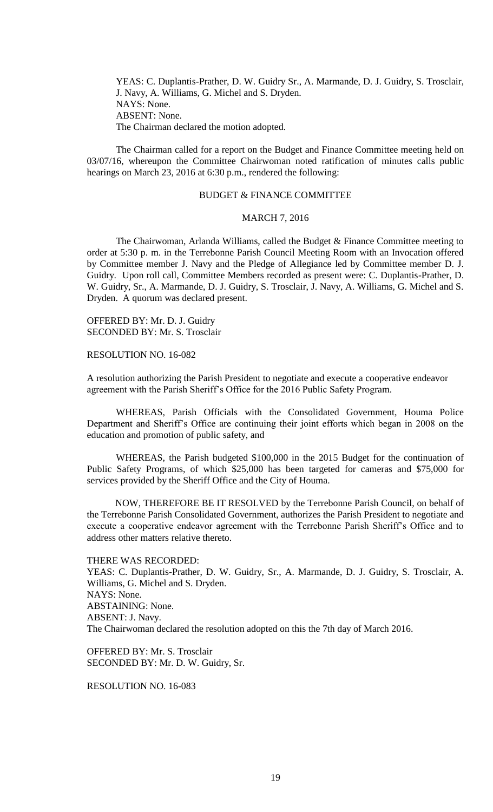YEAS: C. Duplantis-Prather, D. W. Guidry Sr., A. Marmande, D. J. Guidry, S. Trosclair, J. Navy, A. Williams, G. Michel and S. Dryden. NAYS: None. ABSENT: None. The Chairman declared the motion adopted.

The Chairman called for a report on the Budget and Finance Committee meeting held on 03/07/16, whereupon the Committee Chairwoman noted ratification of minutes calls public hearings on March 23, 2016 at 6:30 p.m., rendered the following:

# BUDGET & FINANCE COMMITTEE

# MARCH 7, 2016

The Chairwoman, Arlanda Williams, called the Budget & Finance Committee meeting to order at 5:30 p. m. in the Terrebonne Parish Council Meeting Room with an Invocation offered by Committee member J. Navy and the Pledge of Allegiance led by Committee member D. J. Guidry. Upon roll call, Committee Members recorded as present were: C. Duplantis-Prather, D. W. Guidry, Sr., A. Marmande, D. J. Guidry, S. Trosclair, J. Navy, A. Williams, G. Michel and S. Dryden. A quorum was declared present.

OFFERED BY: Mr. D. J. Guidry SECONDED BY: Mr. S. Trosclair

RESOLUTION NO. 16-082

A resolution authorizing the Parish President to negotiate and execute a cooperative endeavor agreement with the Parish Sheriff's Office for the 2016 Public Safety Program.

WHEREAS, Parish Officials with the Consolidated Government, Houma Police Department and Sheriff's Office are continuing their joint efforts which began in 2008 on the education and promotion of public safety, and

WHEREAS, the Parish budgeted \$100,000 in the 2015 Budget for the continuation of Public Safety Programs, of which \$25,000 has been targeted for cameras and \$75,000 for services provided by the Sheriff Office and the City of Houma.

NOW, THEREFORE BE IT RESOLVED by the Terrebonne Parish Council, on behalf of the Terrebonne Parish Consolidated Government, authorizes the Parish President to negotiate and execute a cooperative endeavor agreement with the Terrebonne Parish Sheriff's Office and to address other matters relative thereto.

THERE WAS RECORDED:

YEAS: C. Duplantis-Prather, D. W. Guidry, Sr., A. Marmande, D. J. Guidry, S. Trosclair, A. Williams, G. Michel and S. Dryden. NAYS: None. ABSTAINING: None. ABSENT: J. Navy. The Chairwoman declared the resolution adopted on this the 7th day of March 2016.

OFFERED BY: Mr. S. Trosclair SECONDED BY: Mr. D. W. Guidry, Sr.

RESOLUTION NO. 16-083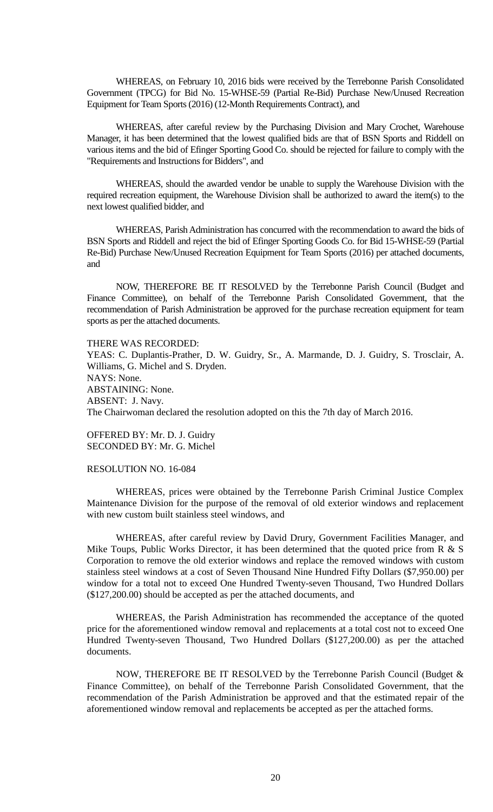WHEREAS, on February 10, 2016 bids were received by the Terrebonne Parish Consolidated Government (TPCG) for Bid No. 15-WHSE-59 (Partial Re-Bid) Purchase New/Unused Recreation Equipment for Team Sports (2016) (12-Month Requirements Contract), and

WHEREAS, after careful review by the Purchasing Division and Mary Crochet, Warehouse Manager, it has been determined that the lowest qualified bids are that of BSN Sports and Riddell on various items and the bid of Efinger Sporting Good Co. should be rejected for failure to comply with the "Requirements and Instructions for Bidders", and

WHEREAS, should the awarded vendor be unable to supply the Warehouse Division with the required recreation equipment, the Warehouse Division shall be authorized to award the item(s) to the next lowest qualified bidder, and

WHEREAS, Parish Administration has concurred with the recommendation to award the bids of BSN Sports and Riddell and reject the bid of Efinger Sporting Goods Co. for Bid 15-WHSE-59 (Partial Re-Bid) Purchase New/Unused Recreation Equipment for Team Sports (2016) per attached documents, and

NOW, THEREFORE BE IT RESOLVED by the Terrebonne Parish Council (Budget and Finance Committee), on behalf of the Terrebonne Parish Consolidated Government, that the recommendation of Parish Administration be approved for the purchase recreation equipment for team sports as per the attached documents.

#### THERE WAS RECORDED:

YEAS: C. Duplantis-Prather, D. W. Guidry, Sr., A. Marmande, D. J. Guidry, S. Trosclair, A. Williams, G. Michel and S. Dryden. NAYS: None. ABSTAINING: None. ABSENT: J. Navy. The Chairwoman declared the resolution adopted on this the 7th day of March 2016.

OFFERED BY: Mr. D. J. Guidry SECONDED BY: Mr. G. Michel

# RESOLUTION NO. 16-084

WHEREAS, prices were obtained by the Terrebonne Parish Criminal Justice Complex Maintenance Division for the purpose of the removal of old exterior windows and replacement with new custom built stainless steel windows, and

WHEREAS, after careful review by David Drury, Government Facilities Manager, and Mike Toups, Public Works Director, it has been determined that the quoted price from  $R \& S$ Corporation to remove the old exterior windows and replace the removed windows with custom stainless steel windows at a cost of Seven Thousand Nine Hundred Fifty Dollars (\$7,950.00) per window for a total not to exceed One Hundred Twenty-seven Thousand, Two Hundred Dollars (\$127,200.00) should be accepted as per the attached documents, and

WHEREAS, the Parish Administration has recommended the acceptance of the quoted price for the aforementioned window removal and replacements at a total cost not to exceed One Hundred Twenty-seven Thousand, Two Hundred Dollars (\$127,200.00) as per the attached documents.

NOW, THEREFORE BE IT RESOLVED by the Terrebonne Parish Council (Budget & Finance Committee), on behalf of the Terrebonne Parish Consolidated Government, that the recommendation of the Parish Administration be approved and that the estimated repair of the aforementioned window removal and replacements be accepted as per the attached forms.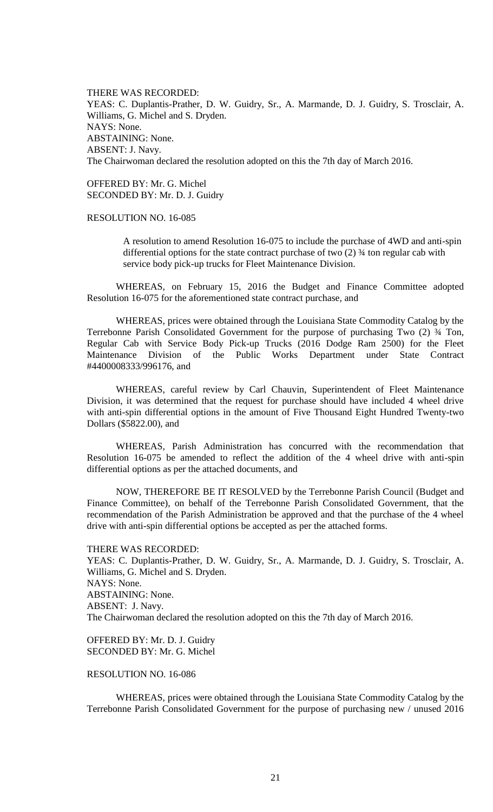THERE WAS RECORDED: YEAS: C. Duplantis-Prather, D. W. Guidry, Sr., A. Marmande, D. J. Guidry, S. Trosclair, A. Williams, G. Michel and S. Dryden. NAYS: None. ABSTAINING: None. ABSENT: J. Navy. The Chairwoman declared the resolution adopted on this the 7th day of March 2016.

OFFERED BY: Mr. G. Michel SECONDED BY: Mr. D. J. Guidry

RESOLUTION NO. 16-085

A resolution to amend Resolution 16-075 to include the purchase of 4WD and anti-spin differential options for the state contract purchase of two (2) ¾ ton regular cab with service body pick-up trucks for Fleet Maintenance Division.

WHEREAS, on February 15, 2016 the Budget and Finance Committee adopted Resolution 16-075 for the aforementioned state contract purchase, and

WHEREAS, prices were obtained through the Louisiana State Commodity Catalog by the Terrebonne Parish Consolidated Government for the purpose of purchasing Two (2) ¾ Ton, Regular Cab with Service Body Pick-up Trucks (2016 Dodge Ram 2500) for the Fleet Maintenance Division of the Public Works Department under State Contract #4400008333/996176, and

WHEREAS, careful review by Carl Chauvin, Superintendent of Fleet Maintenance Division, it was determined that the request for purchase should have included 4 wheel drive with anti-spin differential options in the amount of Five Thousand Eight Hundred Twenty-two Dollars (\$5822.00), and

WHEREAS, Parish Administration has concurred with the recommendation that Resolution 16-075 be amended to reflect the addition of the 4 wheel drive with anti-spin differential options as per the attached documents, and

NOW, THEREFORE BE IT RESOLVED by the Terrebonne Parish Council (Budget and Finance Committee), on behalf of the Terrebonne Parish Consolidated Government, that the recommendation of the Parish Administration be approved and that the purchase of the 4 wheel drive with anti-spin differential options be accepted as per the attached forms.

THERE WAS RECORDED: YEAS: C. Duplantis-Prather, D. W. Guidry, Sr., A. Marmande, D. J. Guidry, S. Trosclair, A. Williams, G. Michel and S. Dryden. NAYS: None. ABSTAINING: None. ABSENT: J. Navy. The Chairwoman declared the resolution adopted on this the 7th day of March 2016.

OFFERED BY: Mr. D. J. Guidry SECONDED BY: Mr. G. Michel

RESOLUTION NO. 16-086

WHEREAS, prices were obtained through the Louisiana State Commodity Catalog by the Terrebonne Parish Consolidated Government for the purpose of purchasing new / unused 2016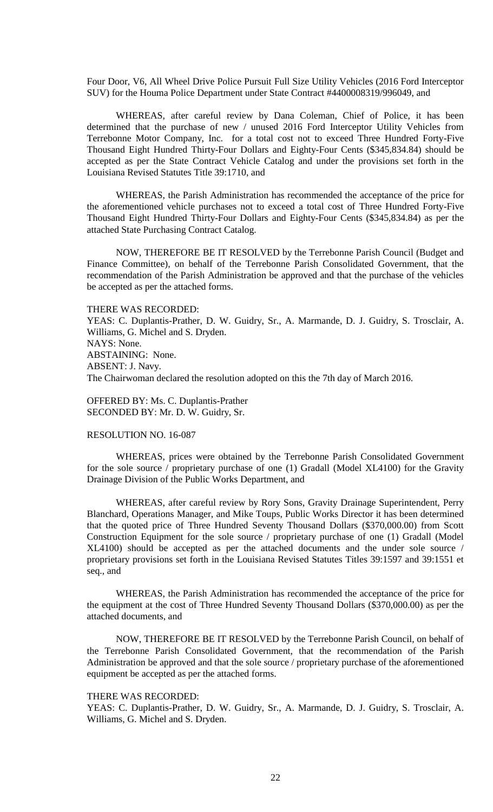Four Door, V6, All Wheel Drive Police Pursuit Full Size Utility Vehicles (2016 Ford Interceptor SUV) for the Houma Police Department under State Contract #4400008319/996049, and

WHEREAS, after careful review by Dana Coleman, Chief of Police, it has been determined that the purchase of new / unused 2016 Ford Interceptor Utility Vehicles from Terrebonne Motor Company, Inc. for a total cost not to exceed Three Hundred Forty-Five Thousand Eight Hundred Thirty-Four Dollars and Eighty-Four Cents (\$345,834.84) should be accepted as per the State Contract Vehicle Catalog and under the provisions set forth in the Louisiana Revised Statutes Title 39:1710, and

WHEREAS, the Parish Administration has recommended the acceptance of the price for the aforementioned vehicle purchases not to exceed a total cost of Three Hundred Forty-Five Thousand Eight Hundred Thirty-Four Dollars and Eighty-Four Cents (\$345,834.84) as per the attached State Purchasing Contract Catalog.

NOW, THEREFORE BE IT RESOLVED by the Terrebonne Parish Council (Budget and Finance Committee), on behalf of the Terrebonne Parish Consolidated Government, that the recommendation of the Parish Administration be approved and that the purchase of the vehicles be accepted as per the attached forms.

THERE WAS RECORDED:

YEAS: C. Duplantis-Prather, D. W. Guidry, Sr., A. Marmande, D. J. Guidry, S. Trosclair, A. Williams, G. Michel and S. Dryden. NAYS: None. ABSTAINING: None. ABSENT: J. Navy. The Chairwoman declared the resolution adopted on this the 7th day of March 2016.

OFFERED BY: Ms. C. Duplantis-Prather SECONDED BY: Mr. D. W. Guidry, Sr.

# RESOLUTION NO. 16-087

WHEREAS, prices were obtained by the Terrebonne Parish Consolidated Government for the sole source / proprietary purchase of one (1) Gradall (Model XL4100) for the Gravity Drainage Division of the Public Works Department, and

WHEREAS, after careful review by Rory Sons, Gravity Drainage Superintendent, Perry Blanchard, Operations Manager, and Mike Toups, Public Works Director it has been determined that the quoted price of Three Hundred Seventy Thousand Dollars (\$370,000.00) from Scott Construction Equipment for the sole source / proprietary purchase of one (1) Gradall (Model XL4100) should be accepted as per the attached documents and the under sole source / proprietary provisions set forth in the Louisiana Revised Statutes Titles 39:1597 and 39:1551 et seq., and

WHEREAS, the Parish Administration has recommended the acceptance of the price for the equipment at the cost of Three Hundred Seventy Thousand Dollars (\$370,000.00) as per the attached documents, and

NOW, THEREFORE BE IT RESOLVED by the Terrebonne Parish Council, on behalf of the Terrebonne Parish Consolidated Government, that the recommendation of the Parish Administration be approved and that the sole source / proprietary purchase of the aforementioned equipment be accepted as per the attached forms.

#### THERE WAS RECORDED:

YEAS: C. Duplantis-Prather, D. W. Guidry, Sr., A. Marmande, D. J. Guidry, S. Trosclair, A. Williams, G. Michel and S. Dryden.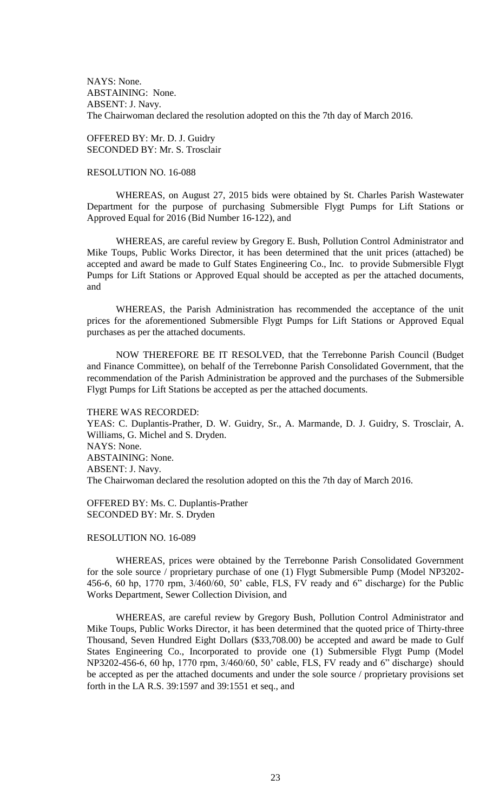NAYS: None. ABSTAINING: None. ABSENT: J. Navy. The Chairwoman declared the resolution adopted on this the 7th day of March 2016.

OFFERED BY: Mr. D. J. Guidry SECONDED BY: Mr. S. Trosclair

## RESOLUTION NO. 16-088

WHEREAS, on August 27, 2015 bids were obtained by St. Charles Parish Wastewater Department for the purpose of purchasing Submersible Flygt Pumps for Lift Stations or Approved Equal for 2016 (Bid Number 16-122), and

WHEREAS, are careful review by Gregory E. Bush, Pollution Control Administrator and Mike Toups, Public Works Director, it has been determined that the unit prices (attached) be accepted and award be made to Gulf States Engineering Co., Inc. to provide Submersible Flygt Pumps for Lift Stations or Approved Equal should be accepted as per the attached documents, and

WHEREAS, the Parish Administration has recommended the acceptance of the unit prices for the aforementioned Submersible Flygt Pumps for Lift Stations or Approved Equal purchases as per the attached documents.

NOW THEREFORE BE IT RESOLVED, that the Terrebonne Parish Council (Budget and Finance Committee), on behalf of the Terrebonne Parish Consolidated Government, that the recommendation of the Parish Administration be approved and the purchases of the Submersible Flygt Pumps for Lift Stations be accepted as per the attached documents.

#### THERE WAS RECORDED:

YEAS: C. Duplantis-Prather, D. W. Guidry, Sr., A. Marmande, D. J. Guidry, S. Trosclair, A. Williams, G. Michel and S. Dryden. NAYS: None. ABSTAINING: None. ABSENT: J. Navy. The Chairwoman declared the resolution adopted on this the 7th day of March 2016.

OFFERED BY: Ms. C. Duplantis-Prather SECONDED BY: Mr. S. Dryden

## RESOLUTION NO. 16-089

WHEREAS, prices were obtained by the Terrebonne Parish Consolidated Government for the sole source / proprietary purchase of one (1) Flygt Submersible Pump (Model NP3202- 456-6, 60 hp, 1770 rpm, 3/460/60, 50' cable, FLS, FV ready and 6" discharge) for the Public Works Department, Sewer Collection Division, and

WHEREAS, are careful review by Gregory Bush, Pollution Control Administrator and Mike Toups, Public Works Director, it has been determined that the quoted price of Thirty-three Thousand, Seven Hundred Eight Dollars (\$33,708.00) be accepted and award be made to Gulf States Engineering Co., Incorporated to provide one (1) Submersible Flygt Pump (Model NP3202-456-6, 60 hp, 1770 rpm, 3/460/60, 50' cable, FLS, FV ready and 6" discharge) should be accepted as per the attached documents and under the sole source / proprietary provisions set forth in the LA R.S. 39:1597 and 39:1551 et seq., and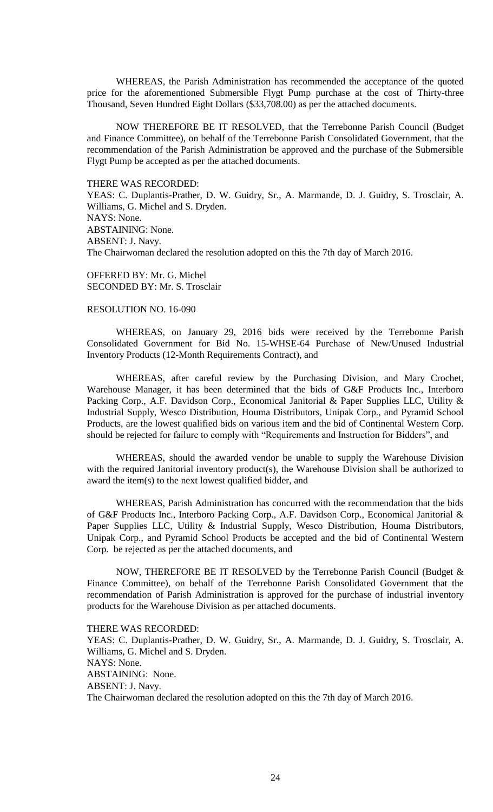WHEREAS, the Parish Administration has recommended the acceptance of the quoted price for the aforementioned Submersible Flygt Pump purchase at the cost of Thirty-three Thousand, Seven Hundred Eight Dollars (\$33,708.00) as per the attached documents.

NOW THEREFORE BE IT RESOLVED, that the Terrebonne Parish Council (Budget and Finance Committee), on behalf of the Terrebonne Parish Consolidated Government, that the recommendation of the Parish Administration be approved and the purchase of the Submersible Flygt Pump be accepted as per the attached documents.

## THERE WAS RECORDED:

YEAS: C. Duplantis-Prather, D. W. Guidry, Sr., A. Marmande, D. J. Guidry, S. Trosclair, A. Williams, G. Michel and S. Dryden. NAYS: None. ABSTAINING: None. ABSENT: J. Navy. The Chairwoman declared the resolution adopted on this the 7th day of March 2016.

OFFERED BY: Mr. G. Michel SECONDED BY: Mr. S. Trosclair

## RESOLUTION NO. 16-090

WHEREAS, on January 29, 2016 bids were received by the Terrebonne Parish Consolidated Government for Bid No. 15-WHSE-64 Purchase of New/Unused Industrial Inventory Products (12-Month Requirements Contract), and

WHEREAS, after careful review by the Purchasing Division, and Mary Crochet, Warehouse Manager, it has been determined that the bids of G&F Products Inc., Interboro Packing Corp., A.F. Davidson Corp., Economical Janitorial & Paper Supplies LLC, Utility & Industrial Supply, Wesco Distribution, Houma Distributors, Unipak Corp., and Pyramid School Products, are the lowest qualified bids on various item and the bid of Continental Western Corp. should be rejected for failure to comply with "Requirements and Instruction for Bidders", and

WHEREAS, should the awarded vendor be unable to supply the Warehouse Division with the required Janitorial inventory product(s), the Warehouse Division shall be authorized to award the item(s) to the next lowest qualified bidder, and

WHEREAS, Parish Administration has concurred with the recommendation that the bids of G&F Products Inc., Interboro Packing Corp., A.F. Davidson Corp., Economical Janitorial & Paper Supplies LLC, Utility & Industrial Supply, Wesco Distribution, Houma Distributors, Unipak Corp., and Pyramid School Products be accepted and the bid of Continental Western Corp. be rejected as per the attached documents, and

NOW, THEREFORE BE IT RESOLVED by the Terrebonne Parish Council (Budget & Finance Committee), on behalf of the Terrebonne Parish Consolidated Government that the recommendation of Parish Administration is approved for the purchase of industrial inventory products for the Warehouse Division as per attached documents.

THERE WAS RECORDED:

YEAS: C. Duplantis-Prather, D. W. Guidry, Sr., A. Marmande, D. J. Guidry, S. Trosclair, A. Williams, G. Michel and S. Dryden. NAYS: None. ABSTAINING: None. ABSENT: J. Navy. The Chairwoman declared the resolution adopted on this the 7th day of March 2016.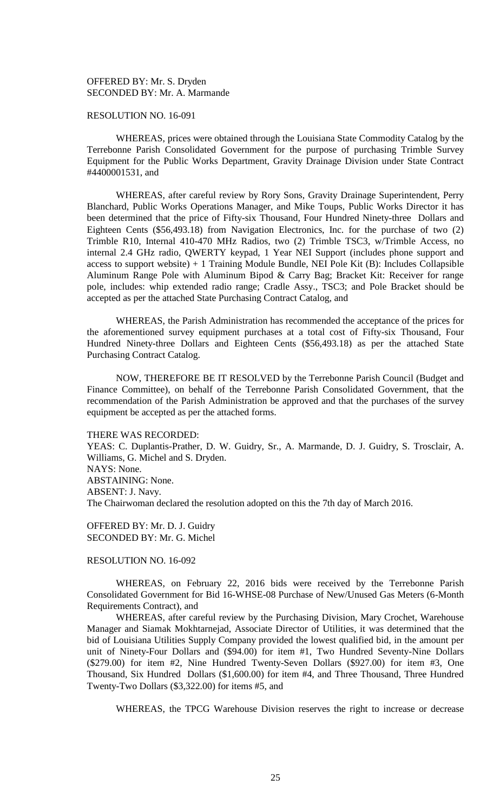OFFERED BY: Mr. S. Dryden SECONDED BY: Mr. A. Marmande

## RESOLUTION NO. 16-091

WHEREAS, prices were obtained through the Louisiana State Commodity Catalog by the Terrebonne Parish Consolidated Government for the purpose of purchasing Trimble Survey Equipment for the Public Works Department, Gravity Drainage Division under State Contract #4400001531, and

WHEREAS, after careful review by Rory Sons, Gravity Drainage Superintendent, Perry Blanchard, Public Works Operations Manager, and Mike Toups, Public Works Director it has been determined that the price of Fifty-six Thousand, Four Hundred Ninety-three Dollars and Eighteen Cents (\$56,493.18) from Navigation Electronics, Inc. for the purchase of two (2) Trimble R10, Internal 410-470 MHz Radios, two (2) Trimble TSC3, w/Trimble Access, no internal 2.4 GHz radio, QWERTY keypad, 1 Year NEI Support (includes phone support and access to support website)  $+1$  Training Module Bundle, NEI Pole Kit (B): Includes Collapsible Aluminum Range Pole with Aluminum Bipod & Carry Bag; Bracket Kit: Receiver for range pole, includes: whip extended radio range; Cradle Assy., TSC3; and Pole Bracket should be accepted as per the attached State Purchasing Contract Catalog, and

WHEREAS, the Parish Administration has recommended the acceptance of the prices for the aforementioned survey equipment purchases at a total cost of Fifty-six Thousand, Four Hundred Ninety-three Dollars and Eighteen Cents (\$56,493.18) as per the attached State Purchasing Contract Catalog.

NOW, THEREFORE BE IT RESOLVED by the Terrebonne Parish Council (Budget and Finance Committee), on behalf of the Terrebonne Parish Consolidated Government, that the recommendation of the Parish Administration be approved and that the purchases of the survey equipment be accepted as per the attached forms.

#### THERE WAS RECORDED:

YEAS: C. Duplantis-Prather, D. W. Guidry, Sr., A. Marmande, D. J. Guidry, S. Trosclair, A. Williams, G. Michel and S. Dryden. NAYS: None. ABSTAINING: None. ABSENT: J. Navy. The Chairwoman declared the resolution adopted on this the 7th day of March 2016.

OFFERED BY: Mr. D. J. Guidry SECONDED BY: Mr. G. Michel

## RESOLUTION NO. 16-092

WHEREAS, on February 22, 2016 bids were received by the Terrebonne Parish Consolidated Government for Bid 16-WHSE-08 Purchase of New/Unused Gas Meters (6-Month Requirements Contract), and

WHEREAS, after careful review by the Purchasing Division, Mary Crochet, Warehouse Manager and Siamak Mokhtarnejad, Associate Director of Utilities, it was determined that the bid of Louisiana Utilities Supply Company provided the lowest qualified bid, in the amount per unit of Ninety-Four Dollars and (\$94.00) for item #1, Two Hundred Seventy-Nine Dollars (\$279.00) for item #2, Nine Hundred Twenty-Seven Dollars (\$927.00) for item #3, One Thousand, Six Hundred Dollars (\$1,600.00) for item #4, and Three Thousand, Three Hundred Twenty-Two Dollars (\$3,322.00) for items #5, and

WHEREAS, the TPCG Warehouse Division reserves the right to increase or decrease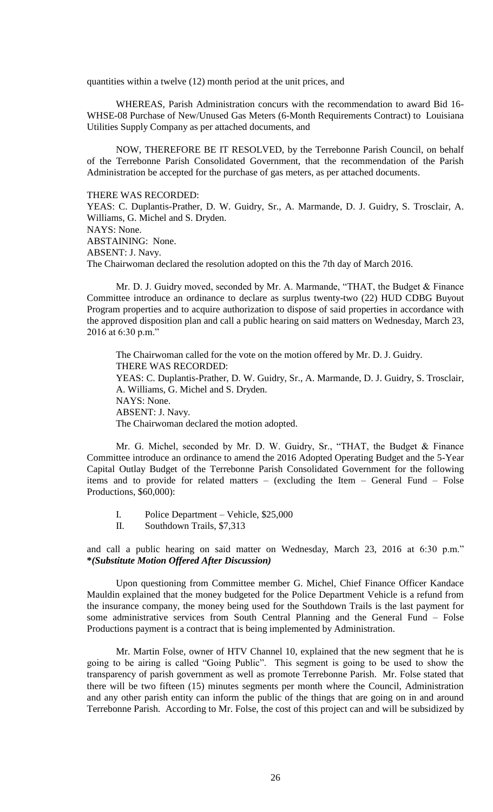quantities within a twelve (12) month period at the unit prices, and

WHEREAS, Parish Administration concurs with the recommendation to award Bid 16- WHSE-08 Purchase of New/Unused Gas Meters (6-Month Requirements Contract) to Louisiana Utilities Supply Company as per attached documents, and

NOW, THEREFORE BE IT RESOLVED, by the Terrebonne Parish Council, on behalf of the Terrebonne Parish Consolidated Government, that the recommendation of the Parish Administration be accepted for the purchase of gas meters, as per attached documents.

THERE WAS RECORDED:

YEAS: C. Duplantis-Prather, D. W. Guidry, Sr., A. Marmande, D. J. Guidry, S. Trosclair, A. Williams, G. Michel and S. Dryden. NAYS: None. ABSTAINING: None. ABSENT: J. Navy.

The Chairwoman declared the resolution adopted on this the 7th day of March 2016.

Mr. D. J. Guidry moved, seconded by Mr. A. Marmande, "THAT, the Budget & Finance Committee introduce an ordinance to declare as surplus twenty-two (22) HUD CDBG Buyout Program properties and to acquire authorization to dispose of said properties in accordance with the approved disposition plan and call a public hearing on said matters on Wednesday, March 23, 2016 at 6:30 p.m."

The Chairwoman called for the vote on the motion offered by Mr. D. J. Guidry. THERE WAS RECORDED: YEAS: C. Duplantis-Prather, D. W. Guidry, Sr., A. Marmande, D. J. Guidry, S. Trosclair, A. Williams, G. Michel and S. Dryden. NAYS: None. ABSENT: J. Navy. The Chairwoman declared the motion adopted.

Mr. G. Michel, seconded by Mr. D. W. Guidry, Sr., "THAT, the Budget & Finance Committee introduce an ordinance to amend the 2016 Adopted Operating Budget and the 5-Year Capital Outlay Budget of the Terrebonne Parish Consolidated Government for the following items and to provide for related matters – (excluding the Item – General Fund – Folse Productions, \$60,000):

- I. Police Department Vehicle, \$25,000
- II. Southdown Trails, \$7,313

and call a public hearing on said matter on Wednesday, March 23, 2016 at 6:30 p.m." **\****(Substitute Motion Offered After Discussion)*

Upon questioning from Committee member G. Michel, Chief Finance Officer Kandace Mauldin explained that the money budgeted for the Police Department Vehicle is a refund from the insurance company, the money being used for the Southdown Trails is the last payment for some administrative services from South Central Planning and the General Fund – Folse Productions payment is a contract that is being implemented by Administration.

Mr. Martin Folse, owner of HTV Channel 10, explained that the new segment that he is going to be airing is called "Going Public". This segment is going to be used to show the transparency of parish government as well as promote Terrebonne Parish. Mr. Folse stated that there will be two fifteen (15) minutes segments per month where the Council, Administration and any other parish entity can inform the public of the things that are going on in and around Terrebonne Parish. According to Mr. Folse, the cost of this project can and will be subsidized by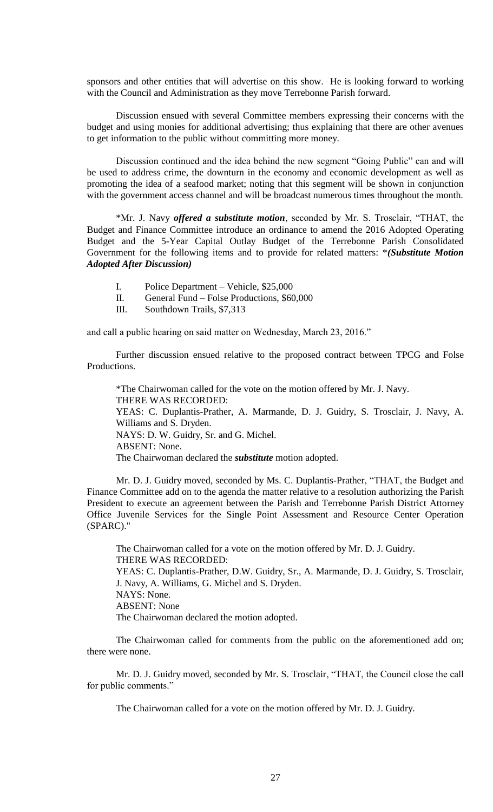sponsors and other entities that will advertise on this show. He is looking forward to working with the Council and Administration as they move Terrebonne Parish forward.

Discussion ensued with several Committee members expressing their concerns with the budget and using monies for additional advertising; thus explaining that there are other avenues to get information to the public without committing more money.

Discussion continued and the idea behind the new segment "Going Public" can and will be used to address crime, the downturn in the economy and economic development as well as promoting the idea of a seafood market; noting that this segment will be shown in conjunction with the government access channel and will be broadcast numerous times throughout the month.

\*Mr. J. Navy *offered a substitute motion*, seconded by Mr. S. Trosclair, "THAT, the Budget and Finance Committee introduce an ordinance to amend the 2016 Adopted Operating Budget and the 5-Year Capital Outlay Budget of the Terrebonne Parish Consolidated Government for the following items and to provide for related matters: \**(Substitute Motion Adopted After Discussion)*

- I. Police Department Vehicle, \$25,000
- II. General Fund Folse Productions, \$60,000
- III. Southdown Trails, \$7,313

and call a public hearing on said matter on Wednesday, March 23, 2016."

Further discussion ensued relative to the proposed contract between TPCG and Folse Productions.

\*The Chairwoman called for the vote on the motion offered by Mr. J. Navy. THERE WAS RECORDED: YEAS: C. Duplantis-Prather, A. Marmande, D. J. Guidry, S. Trosclair, J. Navy, A. Williams and S. Dryden. NAYS: D. W. Guidry, Sr. and G. Michel. ABSENT: None. The Chairwoman declared the *substitute* motion adopted.

Mr. D. J. Guidry moved, seconded by Ms. C. Duplantis-Prather, "THAT, the Budget and Finance Committee add on to the agenda the matter relative to a resolution authorizing the Parish President to execute an agreement between the Parish and Terrebonne Parish District Attorney Office Juvenile Services for the Single Point Assessment and Resource Center Operation (SPARC)."

The Chairwoman called for a vote on the motion offered by Mr. D. J. Guidry. THERE WAS RECORDED: YEAS: C. Duplantis-Prather, D.W. Guidry, Sr., A. Marmande, D. J. Guidry, S. Trosclair, J. Navy, A. Williams, G. Michel and S. Dryden. NAYS: None. ABSENT: None The Chairwoman declared the motion adopted.

The Chairwoman called for comments from the public on the aforementioned add on; there were none.

Mr. D. J. Guidry moved, seconded by Mr. S. Trosclair, "THAT, the Council close the call for public comments."

The Chairwoman called for a vote on the motion offered by Mr. D. J. Guidry.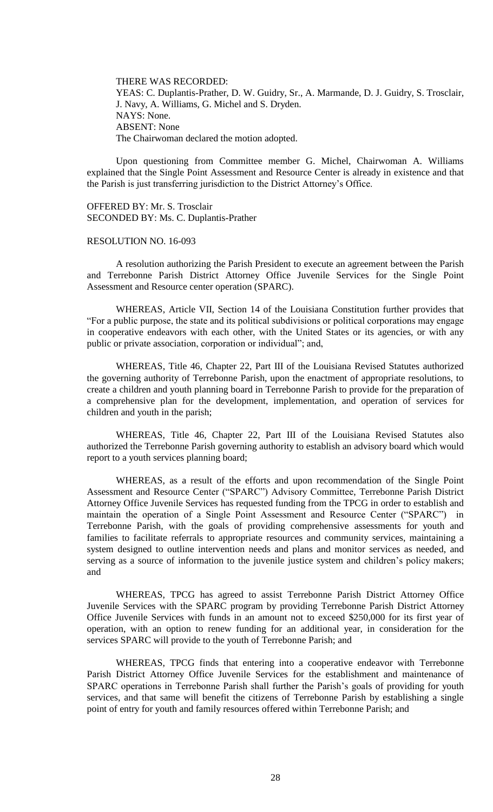THERE WAS RECORDED: YEAS: C. Duplantis-Prather, D. W. Guidry, Sr., A. Marmande, D. J. Guidry, S. Trosclair, J. Navy, A. Williams, G. Michel and S. Dryden. NAYS: None. ABSENT: None The Chairwoman declared the motion adopted.

Upon questioning from Committee member G. Michel, Chairwoman A. Williams explained that the Single Point Assessment and Resource Center is already in existence and that the Parish is just transferring jurisdiction to the District Attorney's Office.

OFFERED BY: Mr. S. Trosclair SECONDED BY: Ms. C. Duplantis-Prather

#### RESOLUTION NO. 16-093

A resolution authorizing the Parish President to execute an agreement between the Parish and Terrebonne Parish District Attorney Office Juvenile Services for the Single Point Assessment and Resource center operation (SPARC).

WHEREAS, Article VII, Section 14 of the Louisiana Constitution further provides that "For a public purpose, the state and its political subdivisions or political corporations may engage in cooperative endeavors with each other, with the United States or its agencies, or with any public or private association, corporation or individual"; and,

WHEREAS, Title 46, Chapter 22, Part III of the Louisiana Revised Statutes authorized the governing authority of Terrebonne Parish, upon the enactment of appropriate resolutions, to create a children and youth planning board in Terrebonne Parish to provide for the preparation of a comprehensive plan for the development, implementation, and operation of services for children and youth in the parish;

WHEREAS, Title 46, Chapter 22, Part III of the Louisiana Revised Statutes also authorized the Terrebonne Parish governing authority to establish an advisory board which would report to a youth services planning board;

WHEREAS, as a result of the efforts and upon recommendation of the Single Point Assessment and Resource Center ("SPARC") Advisory Committee, Terrebonne Parish District Attorney Office Juvenile Services has requested funding from the TPCG in order to establish and maintain the operation of a Single Point Assessment and Resource Center ("SPARC") in Terrebonne Parish, with the goals of providing comprehensive assessments for youth and families to facilitate referrals to appropriate resources and community services, maintaining a system designed to outline intervention needs and plans and monitor services as needed, and serving as a source of information to the juvenile justice system and children's policy makers; and

WHEREAS, TPCG has agreed to assist Terrebonne Parish District Attorney Office Juvenile Services with the SPARC program by providing Terrebonne Parish District Attorney Office Juvenile Services with funds in an amount not to exceed \$250,000 for its first year of operation, with an option to renew funding for an additional year, in consideration for the services SPARC will provide to the youth of Terrebonne Parish; and

WHEREAS, TPCG finds that entering into a cooperative endeavor with Terrebonne Parish District Attorney Office Juvenile Services for the establishment and maintenance of SPARC operations in Terrebonne Parish shall further the Parish's goals of providing for youth services, and that same will benefit the citizens of Terrebonne Parish by establishing a single point of entry for youth and family resources offered within Terrebonne Parish; and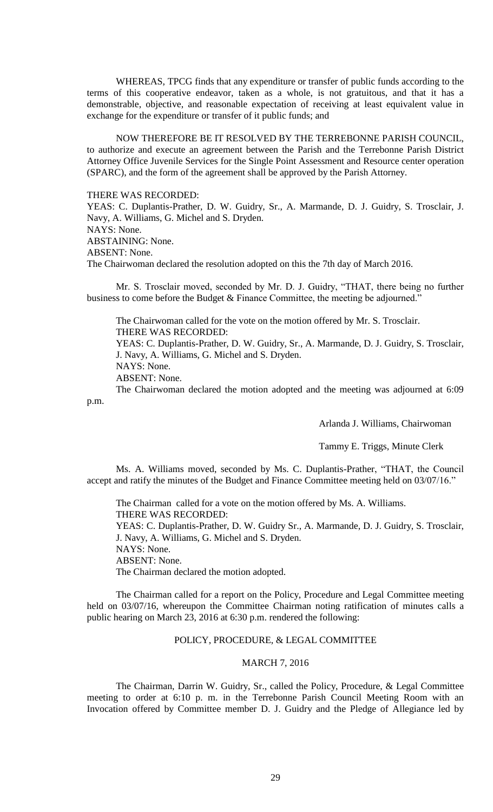WHEREAS, TPCG finds that any expenditure or transfer of public funds according to the terms of this cooperative endeavor, taken as a whole, is not gratuitous, and that it has a demonstrable, objective, and reasonable expectation of receiving at least equivalent value in exchange for the expenditure or transfer of it public funds; and

NOW THEREFORE BE IT RESOLVED BY THE TERREBONNE PARISH COUNCIL, to authorize and execute an agreement between the Parish and the Terrebonne Parish District Attorney Office Juvenile Services for the Single Point Assessment and Resource center operation (SPARC), and the form of the agreement shall be approved by the Parish Attorney.

THERE WAS RECORDED:

YEAS: C. Duplantis-Prather, D. W. Guidry, Sr., A. Marmande, D. J. Guidry, S. Trosclair, J. Navy, A. Williams, G. Michel and S. Dryden. NAYS: None. ABSTAINING: None. ABSENT: None. The Chairwoman declared the resolution adopted on this the 7th day of March 2016.

Mr. S. Trosclair moved, seconded by Mr. D. J. Guidry, "THAT, there being no further business to come before the Budget & Finance Committee, the meeting be adjourned."

The Chairwoman called for the vote on the motion offered by Mr. S. Trosclair. THERE WAS RECORDED: YEAS: C. Duplantis-Prather, D. W. Guidry, Sr., A. Marmande, D. J. Guidry, S. Trosclair, J. Navy, A. Williams, G. Michel and S. Dryden. NAYS: None. ABSENT: None. The Chairwoman declared the motion adopted and the meeting was adjourned at 6:09

p.m.

Arlanda J. Williams, Chairwoman

Tammy E. Triggs, Minute Clerk

Ms. A. Williams moved, seconded by Ms. C. Duplantis-Prather, "THAT, the Council accept and ratify the minutes of the Budget and Finance Committee meeting held on 03/07/16."

The Chairman called for a vote on the motion offered by Ms. A. Williams. THERE WAS RECORDED: YEAS: C. Duplantis-Prather, D. W. Guidry Sr., A. Marmande, D. J. Guidry, S. Trosclair, J. Navy, A. Williams, G. Michel and S. Dryden. NAYS: None. ABSENT: None. The Chairman declared the motion adopted.

The Chairman called for a report on the Policy, Procedure and Legal Committee meeting held on 03/07/16, whereupon the Committee Chairman noting ratification of minutes calls a public hearing on March 23, 2016 at 6:30 p.m. rendered the following:

# POLICY, PROCEDURE, & LEGAL COMMITTEE

# MARCH 7, 2016

The Chairman, Darrin W. Guidry, Sr., called the Policy, Procedure, & Legal Committee meeting to order at 6:10 p. m. in the Terrebonne Parish Council Meeting Room with an Invocation offered by Committee member D. J. Guidry and the Pledge of Allegiance led by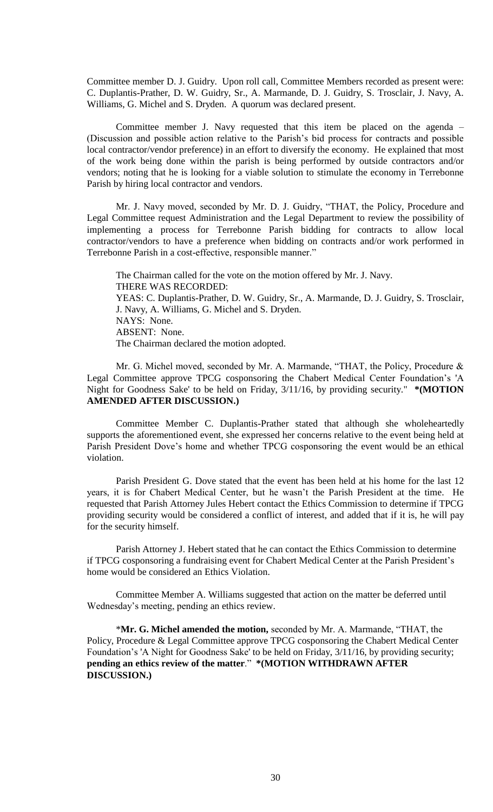Committee member D. J. Guidry. Upon roll call, Committee Members recorded as present were: C. Duplantis-Prather, D. W. Guidry, Sr., A. Marmande, D. J. Guidry, S. Trosclair, J. Navy, A. Williams, G. Michel and S. Dryden. A quorum was declared present.

Committee member J. Navy requested that this item be placed on the agenda – (Discussion and possible action relative to the Parish's bid process for contracts and possible local contractor/vendor preference) in an effort to diversify the economy. He explained that most of the work being done within the parish is being performed by outside contractors and/or vendors; noting that he is looking for a viable solution to stimulate the economy in Terrebonne Parish by hiring local contractor and vendors.

Mr. J. Navy moved, seconded by Mr. D. J. Guidry, "THAT, the Policy, Procedure and Legal Committee request Administration and the Legal Department to review the possibility of implementing a process for Terrebonne Parish bidding for contracts to allow local contractor/vendors to have a preference when bidding on contracts and/or work performed in Terrebonne Parish in a cost-effective, responsible manner."

The Chairman called for the vote on the motion offered by Mr. J. Navy. THERE WAS RECORDED: YEAS: C. Duplantis-Prather, D. W. Guidry, Sr., A. Marmande, D. J. Guidry, S. Trosclair, J. Navy, A. Williams, G. Michel and S. Dryden. NAYS: None. ABSENT: None. The Chairman declared the motion adopted.

Mr. G. Michel moved, seconded by Mr. A. Marmande, "THAT, the Policy, Procedure & Legal Committee approve TPCG cosponsoring the Chabert Medical Center Foundation's 'A Night for Goodness Sake' to be held on Friday, 3/11/16, by providing security." **\*(MOTION AMENDED AFTER DISCUSSION.)**

Committee Member C. Duplantis-Prather stated that although she wholeheartedly supports the aforementioned event, she expressed her concerns relative to the event being held at Parish President Dove's home and whether TPCG cosponsoring the event would be an ethical violation.

Parish President G. Dove stated that the event has been held at his home for the last 12 years, it is for Chabert Medical Center, but he wasn't the Parish President at the time. He requested that Parish Attorney Jules Hebert contact the Ethics Commission to determine if TPCG providing security would be considered a conflict of interest, and added that if it is, he will pay for the security himself.

Parish Attorney J. Hebert stated that he can contact the Ethics Commission to determine if TPCG cosponsoring a fundraising event for Chabert Medical Center at the Parish President's home would be considered an Ethics Violation.

Committee Member A. Williams suggested that action on the matter be deferred until Wednesday's meeting, pending an ethics review.

\***Mr. G. Michel amended the motion,** seconded by Mr. A. Marmande, "THAT, the Policy, Procedure & Legal Committee approve TPCG cosponsoring the Chabert Medical Center Foundation's 'A Night for Goodness Sake' to be held on Friday, 3/11/16, by providing security; **pending an ethics review of the matter**." **\*(MOTION WITHDRAWN AFTER DISCUSSION.)**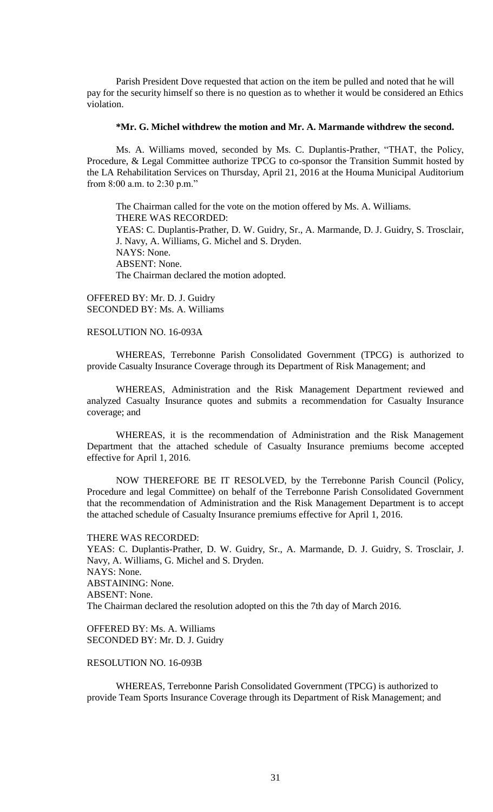Parish President Dove requested that action on the item be pulled and noted that he will pay for the security himself so there is no question as to whether it would be considered an Ethics violation.

## **\*Mr. G. Michel withdrew the motion and Mr. A. Marmande withdrew the second.**

Ms. A. Williams moved, seconded by Ms. C. Duplantis-Prather, "THAT, the Policy, Procedure, & Legal Committee authorize TPCG to co-sponsor the Transition Summit hosted by the LA Rehabilitation Services on Thursday, April 21, 2016 at the Houma Municipal Auditorium from 8:00 a.m. to 2:30 p.m."

The Chairman called for the vote on the motion offered by Ms. A. Williams. THERE WAS RECORDED: YEAS: C. Duplantis-Prather, D. W. Guidry, Sr., A. Marmande, D. J. Guidry, S. Trosclair, J. Navy, A. Williams, G. Michel and S. Dryden. NAYS: None. ABSENT: None. The Chairman declared the motion adopted.

OFFERED BY: Mr. D. J. Guidry SECONDED BY: Ms. A. Williams

## RESOLUTION NO. 16-093A

WHEREAS, Terrebonne Parish Consolidated Government (TPCG) is authorized to provide Casualty Insurance Coverage through its Department of Risk Management; and

WHEREAS, Administration and the Risk Management Department reviewed and analyzed Casualty Insurance quotes and submits a recommendation for Casualty Insurance coverage; and

WHEREAS, it is the recommendation of Administration and the Risk Management Department that the attached schedule of Casualty Insurance premiums become accepted effective for April 1, 2016.

NOW THEREFORE BE IT RESOLVED, by the Terrebonne Parish Council (Policy, Procedure and legal Committee) on behalf of the Terrebonne Parish Consolidated Government that the recommendation of Administration and the Risk Management Department is to accept the attached schedule of Casualty Insurance premiums effective for April 1, 2016.

#### THERE WAS RECORDED:

YEAS: C. Duplantis-Prather, D. W. Guidry, Sr., A. Marmande, D. J. Guidry, S. Trosclair, J. Navy, A. Williams, G. Michel and S. Dryden. NAYS: None. ABSTAINING: None. ABSENT: None. The Chairman declared the resolution adopted on this the 7th day of March 2016.

OFFERED BY: Ms. A. Williams SECONDED BY: Mr. D. J. Guidry

## RESOLUTION NO. 16-093B

WHEREAS, Terrebonne Parish Consolidated Government (TPCG) is authorized to provide Team Sports Insurance Coverage through its Department of Risk Management; and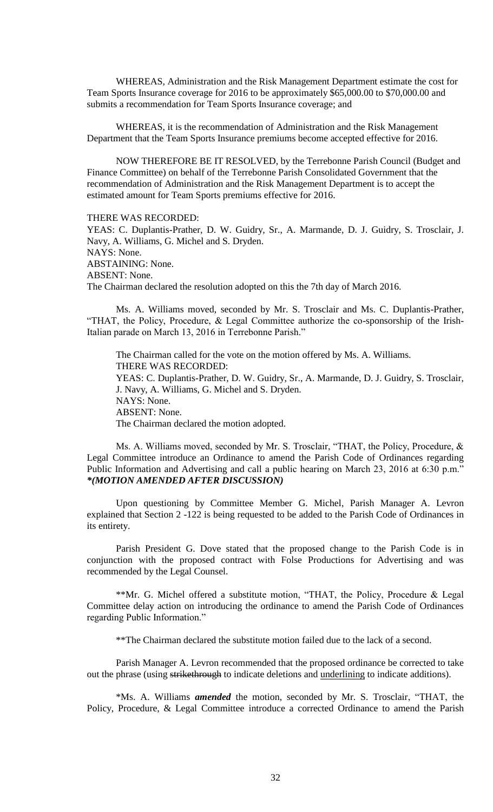WHEREAS, Administration and the Risk Management Department estimate the cost for Team Sports Insurance coverage for 2016 to be approximately \$65,000.00 to \$70,000.00 and submits a recommendation for Team Sports Insurance coverage; and

WHEREAS, it is the recommendation of Administration and the Risk Management Department that the Team Sports Insurance premiums become accepted effective for 2016.

NOW THEREFORE BE IT RESOLVED, by the Terrebonne Parish Council (Budget and Finance Committee) on behalf of the Terrebonne Parish Consolidated Government that the recommendation of Administration and the Risk Management Department is to accept the estimated amount for Team Sports premiums effective for 2016.

THERE WAS RECORDED:

YEAS: C. Duplantis-Prather, D. W. Guidry, Sr., A. Marmande, D. J. Guidry, S. Trosclair, J. Navy, A. Williams, G. Michel and S. Dryden. NAYS: None. ABSTAINING: None. ABSENT: None. The Chairman declared the resolution adopted on this the 7th day of March 2016.

Ms. A. Williams moved, seconded by Mr. S. Trosclair and Ms. C. Duplantis-Prather, "THAT, the Policy, Procedure, & Legal Committee authorize the co-sponsorship of the Irish-Italian parade on March 13, 2016 in Terrebonne Parish."

The Chairman called for the vote on the motion offered by Ms. A. Williams. THERE WAS RECORDED: YEAS: C. Duplantis-Prather, D. W. Guidry, Sr., A. Marmande, D. J. Guidry, S. Trosclair, J. Navy, A. Williams, G. Michel and S. Dryden. NAYS: None. ABSENT: None. The Chairman declared the motion adopted.

Ms. A. Williams moved, seconded by Mr. S. Trosclair, "THAT, the Policy, Procedure, & Legal Committee introduce an Ordinance to amend the Parish Code of Ordinances regarding Public Information and Advertising and call a public hearing on March 23, 2016 at 6:30 p.m." *\*(MOTION AMENDED AFTER DISCUSSION)*

Upon questioning by Committee Member G. Michel, Parish Manager A. Levron explained that Section 2 -122 is being requested to be added to the Parish Code of Ordinances in its entirety.

Parish President G. Dove stated that the proposed change to the Parish Code is in conjunction with the proposed contract with Folse Productions for Advertising and was recommended by the Legal Counsel.

\*\*Mr. G. Michel offered a substitute motion, "THAT, the Policy, Procedure & Legal Committee delay action on introducing the ordinance to amend the Parish Code of Ordinances regarding Public Information."

\*\*The Chairman declared the substitute motion failed due to the lack of a second.

Parish Manager A. Levron recommended that the proposed ordinance be corrected to take out the phrase (using strikethrough to indicate deletions and underlining to indicate additions).

\*Ms. A. Williams *amended* the motion, seconded by Mr. S. Trosclair, "THAT, the Policy, Procedure, & Legal Committee introduce a corrected Ordinance to amend the Parish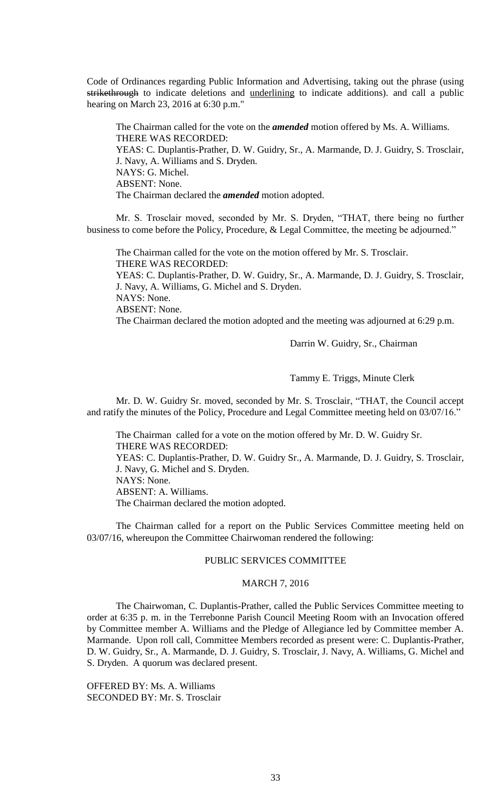Code of Ordinances regarding Public Information and Advertising, taking out the phrase (using strikethrough to indicate deletions and underlining to indicate additions). and call a public hearing on March 23, 2016 at 6:30 p.m."

The Chairman called for the vote on the *amended* motion offered by Ms. A. Williams. THERE WAS RECORDED: YEAS: C. Duplantis-Prather, D. W. Guidry, Sr., A. Marmande, D. J. Guidry, S. Trosclair, J. Navy, A. Williams and S. Dryden. NAYS: G. Michel. ABSENT: None. The Chairman declared the *amended* motion adopted.

Mr. S. Trosclair moved, seconded by Mr. S. Dryden, "THAT, there being no further business to come before the Policy, Procedure, & Legal Committee, the meeting be adjourned."

The Chairman called for the vote on the motion offered by Mr. S. Trosclair. THERE WAS RECORDED: YEAS: C. Duplantis-Prather, D. W. Guidry, Sr., A. Marmande, D. J. Guidry, S. Trosclair, J. Navy, A. Williams, G. Michel and S. Dryden. NAYS: None. ABSENT: None. The Chairman declared the motion adopted and the meeting was adjourned at 6:29 p.m.

Darrin W. Guidry, Sr., Chairman

Tammy E. Triggs, Minute Clerk

Mr. D. W. Guidry Sr. moved, seconded by Mr. S. Trosclair, "THAT, the Council accept and ratify the minutes of the Policy, Procedure and Legal Committee meeting held on 03/07/16."

The Chairman called for a vote on the motion offered by Mr. D. W. Guidry Sr. THERE WAS RECORDED: YEAS: C. Duplantis-Prather, D. W. Guidry Sr., A. Marmande, D. J. Guidry, S. Trosclair, J. Navy, G. Michel and S. Dryden. NAYS: None.

ABSENT: A. Williams.

The Chairman declared the motion adopted.

The Chairman called for a report on the Public Services Committee meeting held on 03/07/16, whereupon the Committee Chairwoman rendered the following:

## PUBLIC SERVICES COMMITTEE

# MARCH 7, 2016

The Chairwoman, C. Duplantis-Prather, called the Public Services Committee meeting to order at 6:35 p. m. in the Terrebonne Parish Council Meeting Room with an Invocation offered by Committee member A. Williams and the Pledge of Allegiance led by Committee member A. Marmande. Upon roll call, Committee Members recorded as present were: C. Duplantis-Prather, D. W. Guidry, Sr., A. Marmande, D. J. Guidry, S. Trosclair, J. Navy, A. Williams, G. Michel and S. Dryden. A quorum was declared present.

OFFERED BY: Ms. A. Williams SECONDED BY: Mr. S. Trosclair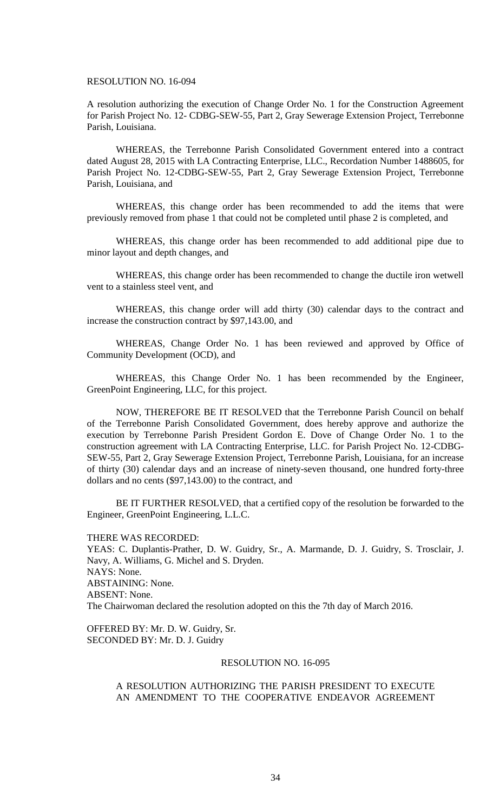## RESOLUTION NO. 16-094

A resolution authorizing the execution of Change Order No. 1 for the Construction Agreement for Parish Project No. 12- CDBG-SEW-55, Part 2, Gray Sewerage Extension Project, Terrebonne Parish, Louisiana.

WHEREAS, the Terrebonne Parish Consolidated Government entered into a contract dated August 28, 2015 with LA Contracting Enterprise, LLC., Recordation Number 1488605, for Parish Project No. 12-CDBG-SEW-55, Part 2, Gray Sewerage Extension Project, Terrebonne Parish, Louisiana, and

WHEREAS, this change order has been recommended to add the items that were previously removed from phase 1 that could not be completed until phase 2 is completed, and

WHEREAS, this change order has been recommended to add additional pipe due to minor layout and depth changes, and

WHEREAS, this change order has been recommended to change the ductile iron wetwell vent to a stainless steel vent, and

WHEREAS, this change order will add thirty (30) calendar days to the contract and increase the construction contract by \$97,143.00, and

WHEREAS, Change Order No. 1 has been reviewed and approved by Office of Community Development (OCD), and

WHEREAS, this Change Order No. 1 has been recommended by the Engineer, GreenPoint Engineering, LLC, for this project.

NOW, THEREFORE BE IT RESOLVED that the Terrebonne Parish Council on behalf of the Terrebonne Parish Consolidated Government, does hereby approve and authorize the execution by Terrebonne Parish President Gordon E. Dove of Change Order No. 1 to the construction agreement with LA Contracting Enterprise, LLC. for Parish Project No. 12-CDBG-SEW-55, Part 2, Gray Sewerage Extension Project, Terrebonne Parish, Louisiana, for an increase of thirty (30) calendar days and an increase of ninety-seven thousand, one hundred forty-three dollars and no cents (\$97,143.00) to the contract, and

BE IT FURTHER RESOLVED, that a certified copy of the resolution be forwarded to the Engineer, GreenPoint Engineering, L.L.C.

THERE WAS RECORDED:

YEAS: C. Duplantis-Prather, D. W. Guidry, Sr., A. Marmande, D. J. Guidry, S. Trosclair, J. Navy, A. Williams, G. Michel and S. Dryden. NAYS: None. ABSTAINING: None. ABSENT: None. The Chairwoman declared the resolution adopted on this the 7th day of March 2016.

OFFERED BY: Mr. D. W. Guidry, Sr. SECONDED BY: Mr. D. J. Guidry

## RESOLUTION NO. 16-095

# A RESOLUTION AUTHORIZING THE PARISH PRESIDENT TO EXECUTE AN AMENDMENT TO THE COOPERATIVE ENDEAVOR AGREEMENT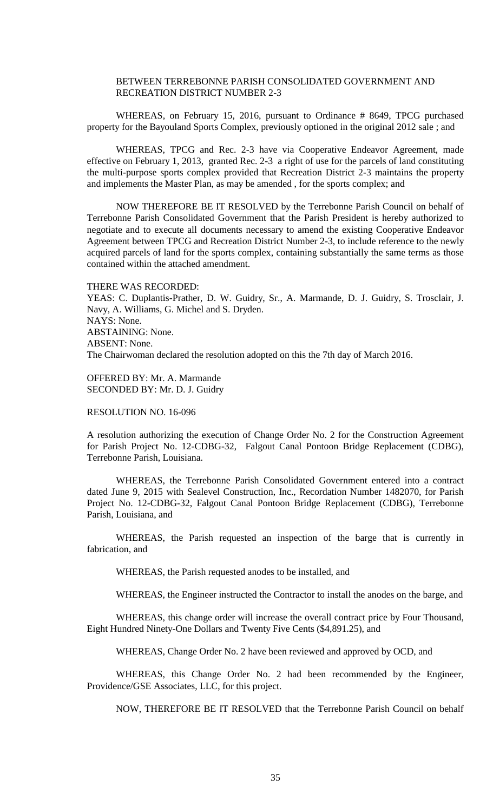# BETWEEN TERREBONNE PARISH CONSOLIDATED GOVERNMENT AND RECREATION DISTRICT NUMBER 2-3

WHEREAS, on February 15, 2016, pursuant to Ordinance # 8649, TPCG purchased property for the Bayouland Sports Complex, previously optioned in the original 2012 sale ; and

WHEREAS, TPCG and Rec. 2-3 have via Cooperative Endeavor Agreement, made effective on February 1, 2013, granted Rec. 2-3 a right of use for the parcels of land constituting the multi-purpose sports complex provided that Recreation District 2-3 maintains the property and implements the Master Plan, as may be amended , for the sports complex; and

NOW THEREFORE BE IT RESOLVED by the Terrebonne Parish Council on behalf of Terrebonne Parish Consolidated Government that the Parish President is hereby authorized to negotiate and to execute all documents necessary to amend the existing Cooperative Endeavor Agreement between TPCG and Recreation District Number 2-3, to include reference to the newly acquired parcels of land for the sports complex, containing substantially the same terms as those contained within the attached amendment.

THERE WAS RECORDED:

YEAS: C. Duplantis-Prather, D. W. Guidry, Sr., A. Marmande, D. J. Guidry, S. Trosclair, J. Navy, A. Williams, G. Michel and S. Dryden. NAYS: None. ABSTAINING: None. ABSENT: None. The Chairwoman declared the resolution adopted on this the 7th day of March 2016.

OFFERED BY: Mr. A. Marmande SECONDED BY: Mr. D. J. Guidry

## RESOLUTION NO. 16-096

A resolution authorizing the execution of Change Order No. 2 for the Construction Agreement for Parish Project No. 12-CDBG-32, Falgout Canal Pontoon Bridge Replacement (CDBG), Terrebonne Parish, Louisiana.

WHEREAS, the Terrebonne Parish Consolidated Government entered into a contract dated June 9, 2015 with Sealevel Construction, Inc., Recordation Number 1482070, for Parish Project No. 12-CDBG-32, Falgout Canal Pontoon Bridge Replacement (CDBG), Terrebonne Parish, Louisiana, and

WHEREAS, the Parish requested an inspection of the barge that is currently in fabrication, and

WHEREAS, the Parish requested anodes to be installed, and

WHEREAS, the Engineer instructed the Contractor to install the anodes on the barge, and

WHEREAS, this change order will increase the overall contract price by Four Thousand, Eight Hundred Ninety-One Dollars and Twenty Five Cents (\$4,891.25), and

WHEREAS, Change Order No. 2 have been reviewed and approved by OCD, and

WHEREAS, this Change Order No. 2 had been recommended by the Engineer, Providence/GSE Associates, LLC, for this project.

NOW, THEREFORE BE IT RESOLVED that the Terrebonne Parish Council on behalf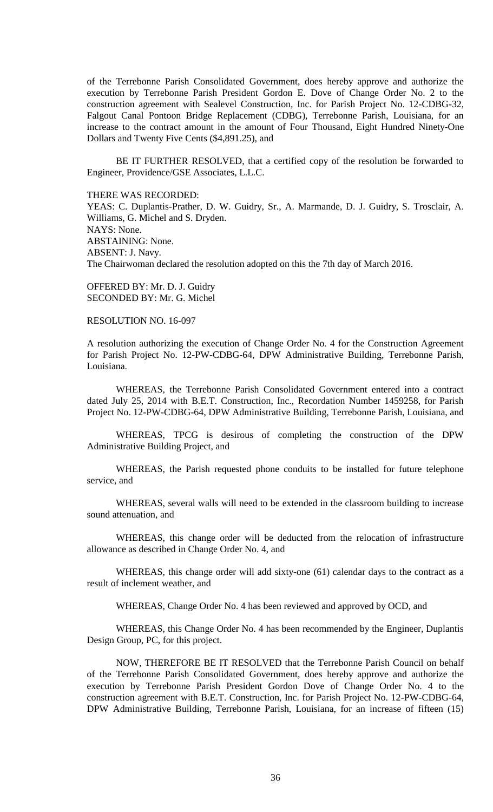of the Terrebonne Parish Consolidated Government, does hereby approve and authorize the execution by Terrebonne Parish President Gordon E. Dove of Change Order No. 2 to the construction agreement with Sealevel Construction, Inc. for Parish Project No. 12-CDBG-32, Falgout Canal Pontoon Bridge Replacement (CDBG), Terrebonne Parish, Louisiana, for an increase to the contract amount in the amount of Four Thousand, Eight Hundred Ninety-One Dollars and Twenty Five Cents (\$4,891.25), and

BE IT FURTHER RESOLVED, that a certified copy of the resolution be forwarded to Engineer, Providence/GSE Associates, L.L.C.

THERE WAS RECORDED:

YEAS: C. Duplantis-Prather, D. W. Guidry, Sr., A. Marmande, D. J. Guidry, S. Trosclair, A. Williams, G. Michel and S. Dryden. NAYS: None. ABSTAINING: None. ABSENT: J. Navy. The Chairwoman declared the resolution adopted on this the 7th day of March 2016.

OFFERED BY: Mr. D. J. Guidry SECONDED BY: Mr. G. Michel

# RESOLUTION NO. 16-097

A resolution authorizing the execution of Change Order No. 4 for the Construction Agreement for Parish Project No. 12-PW-CDBG-64, DPW Administrative Building, Terrebonne Parish, Louisiana.

WHEREAS, the Terrebonne Parish Consolidated Government entered into a contract dated July 25, 2014 with B.E.T. Construction, Inc., Recordation Number 1459258, for Parish Project No. 12-PW-CDBG-64, DPW Administrative Building, Terrebonne Parish, Louisiana, and

WHEREAS, TPCG is desirous of completing the construction of the DPW Administrative Building Project, and

WHEREAS, the Parish requested phone conduits to be installed for future telephone service, and

WHEREAS, several walls will need to be extended in the classroom building to increase sound attenuation, and

WHEREAS, this change order will be deducted from the relocation of infrastructure allowance as described in Change Order No. 4, and

WHEREAS, this change order will add sixty-one (61) calendar days to the contract as a result of inclement weather, and

WHEREAS, Change Order No. 4 has been reviewed and approved by OCD, and

WHEREAS, this Change Order No. 4 has been recommended by the Engineer, Duplantis Design Group, PC, for this project.

NOW, THEREFORE BE IT RESOLVED that the Terrebonne Parish Council on behalf of the Terrebonne Parish Consolidated Government, does hereby approve and authorize the execution by Terrebonne Parish President Gordon Dove of Change Order No. 4 to the construction agreement with B.E.T. Construction, Inc. for Parish Project No. 12-PW-CDBG-64, DPW Administrative Building, Terrebonne Parish, Louisiana, for an increase of fifteen (15)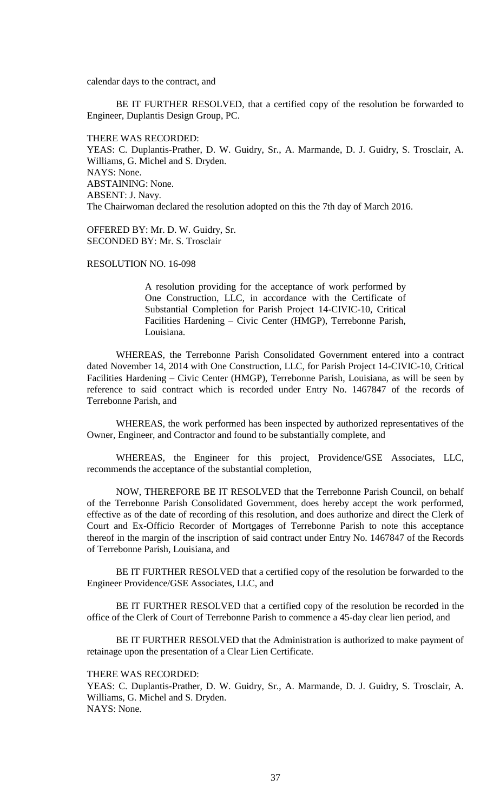calendar days to the contract, and

BE IT FURTHER RESOLVED, that a certified copy of the resolution be forwarded to Engineer, Duplantis Design Group, PC.

THERE WAS RECORDED:

YEAS: C. Duplantis-Prather, D. W. Guidry, Sr., A. Marmande, D. J. Guidry, S. Trosclair, A. Williams, G. Michel and S. Dryden. NAYS: None. ABSTAINING: None. ABSENT: J. Navy. The Chairwoman declared the resolution adopted on this the 7th day of March 2016.

OFFERED BY: Mr. D. W. Guidry, Sr. SECONDED BY: Mr. S. Trosclair

RESOLUTION NO. 16-098

A resolution providing for the acceptance of work performed by One Construction, LLC, in accordance with the Certificate of Substantial Completion for Parish Project 14-CIVIC-10, Critical Facilities Hardening – Civic Center (HMGP), Terrebonne Parish, Louisiana.

WHEREAS, the Terrebonne Parish Consolidated Government entered into a contract dated November 14, 2014 with One Construction, LLC, for Parish Project 14-CIVIC-10, Critical Facilities Hardening – Civic Center (HMGP), Terrebonne Parish, Louisiana, as will be seen by reference to said contract which is recorded under Entry No. 1467847 of the records of Terrebonne Parish, and

WHEREAS, the work performed has been inspected by authorized representatives of the Owner, Engineer, and Contractor and found to be substantially complete, and

WHEREAS, the Engineer for this project, Providence/GSE Associates, LLC, recommends the acceptance of the substantial completion,

NOW, THEREFORE BE IT RESOLVED that the Terrebonne Parish Council, on behalf of the Terrebonne Parish Consolidated Government, does hereby accept the work performed, effective as of the date of recording of this resolution, and does authorize and direct the Clerk of Court and Ex-Officio Recorder of Mortgages of Terrebonne Parish to note this acceptance thereof in the margin of the inscription of said contract under Entry No. 1467847 of the Records of Terrebonne Parish, Louisiana, and

BE IT FURTHER RESOLVED that a certified copy of the resolution be forwarded to the Engineer Providence/GSE Associates, LLC, and

BE IT FURTHER RESOLVED that a certified copy of the resolution be recorded in the office of the Clerk of Court of Terrebonne Parish to commence a 45-day clear lien period, and

BE IT FURTHER RESOLVED that the Administration is authorized to make payment of retainage upon the presentation of a Clear Lien Certificate.

THERE WAS RECORDED:

YEAS: C. Duplantis-Prather, D. W. Guidry, Sr., A. Marmande, D. J. Guidry, S. Trosclair, A. Williams, G. Michel and S. Dryden. NAYS: None.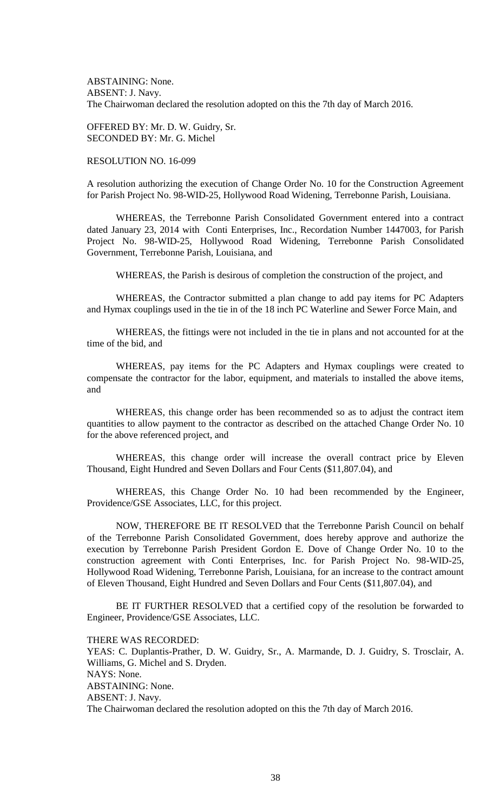ABSTAINING: None. ABSENT: J. Navy. The Chairwoman declared the resolution adopted on this the 7th day of March 2016.

OFFERED BY: Mr. D. W. Guidry, Sr. SECONDED BY: Mr. G. Michel

## RESOLUTION NO. 16-099

A resolution authorizing the execution of Change Order No. 10 for the Construction Agreement for Parish Project No. 98-WID-25, Hollywood Road Widening, Terrebonne Parish, Louisiana.

WHEREAS, the Terrebonne Parish Consolidated Government entered into a contract dated January 23, 2014 with Conti Enterprises, Inc., Recordation Number 1447003, for Parish Project No. 98-WID-25, Hollywood Road Widening, Terrebonne Parish Consolidated Government, Terrebonne Parish, Louisiana, and

WHEREAS, the Parish is desirous of completion the construction of the project, and

WHEREAS, the Contractor submitted a plan change to add pay items for PC Adapters and Hymax couplings used in the tie in of the 18 inch PC Waterline and Sewer Force Main, and

WHEREAS, the fittings were not included in the tie in plans and not accounted for at the time of the bid, and

WHEREAS, pay items for the PC Adapters and Hymax couplings were created to compensate the contractor for the labor, equipment, and materials to installed the above items, and

WHEREAS, this change order has been recommended so as to adjust the contract item quantities to allow payment to the contractor as described on the attached Change Order No. 10 for the above referenced project, and

WHEREAS, this change order will increase the overall contract price by Eleven Thousand, Eight Hundred and Seven Dollars and Four Cents (\$11,807.04), and

WHEREAS, this Change Order No. 10 had been recommended by the Engineer, Providence/GSE Associates, LLC, for this project.

NOW, THEREFORE BE IT RESOLVED that the Terrebonne Parish Council on behalf of the Terrebonne Parish Consolidated Government, does hereby approve and authorize the execution by Terrebonne Parish President Gordon E. Dove of Change Order No. 10 to the construction agreement with Conti Enterprises, Inc. for Parish Project No. 98-WID-25, Hollywood Road Widening, Terrebonne Parish, Louisiana, for an increase to the contract amount of Eleven Thousand, Eight Hundred and Seven Dollars and Four Cents (\$11,807.04), and

BE IT FURTHER RESOLVED that a certified copy of the resolution be forwarded to Engineer, Providence/GSE Associates, LLC.

THERE WAS RECORDED:

YEAS: C. Duplantis-Prather, D. W. Guidry, Sr., A. Marmande, D. J. Guidry, S. Trosclair, A. Williams, G. Michel and S. Dryden. NAYS: None. ABSTAINING: None. ABSENT: J. Navy. The Chairwoman declared the resolution adopted on this the 7th day of March 2016.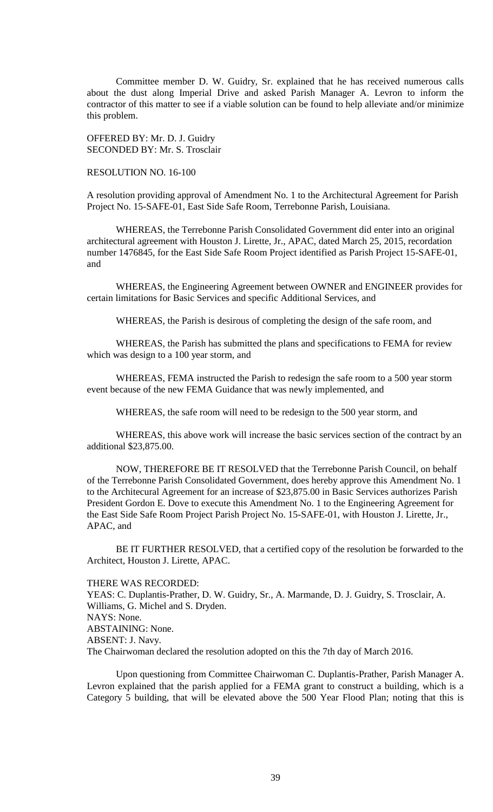Committee member D. W. Guidry, Sr. explained that he has received numerous calls about the dust along Imperial Drive and asked Parish Manager A. Levron to inform the contractor of this matter to see if a viable solution can be found to help alleviate and/or minimize this problem.

OFFERED BY: Mr. D. J. Guidry SECONDED BY: Mr. S. Trosclair

RESOLUTION NO. 16-100

A resolution providing approval of Amendment No. 1 to the Architectural Agreement for Parish Project No. 15-SAFE-01, East Side Safe Room, Terrebonne Parish, Louisiana.

WHEREAS, the Terrebonne Parish Consolidated Government did enter into an original architectural agreement with Houston J. Lirette, Jr., APAC, dated March 25, 2015, recordation number 1476845, for the East Side Safe Room Project identified as Parish Project 15-SAFE-01, and

WHEREAS, the Engineering Agreement between OWNER and ENGINEER provides for certain limitations for Basic Services and specific Additional Services, and

WHEREAS, the Parish is desirous of completing the design of the safe room, and

WHEREAS, the Parish has submitted the plans and specifications to FEMA for review which was design to a 100 year storm, and

WHEREAS, FEMA instructed the Parish to redesign the safe room to a 500 year storm event because of the new FEMA Guidance that was newly implemented, and

WHEREAS, the safe room will need to be redesign to the 500 year storm, and

WHEREAS, this above work will increase the basic services section of the contract by an additional \$23,875.00.

NOW, THEREFORE BE IT RESOLVED that the Terrebonne Parish Council, on behalf of the Terrebonne Parish Consolidated Government, does hereby approve this Amendment No. 1 to the Architecural Agreement for an increase of \$23,875.00 in Basic Services authorizes Parish President Gordon E. Dove to execute this Amendment No. 1 to the Engineering Agreement for the East Side Safe Room Project Parish Project No. 15-SAFE-01, with Houston J. Lirette, Jr., APAC, and

BE IT FURTHER RESOLVED, that a certified copy of the resolution be forwarded to the Architect, Houston J. Lirette, APAC.

## THERE WAS RECORDED:

YEAS: C. Duplantis-Prather, D. W. Guidry, Sr., A. Marmande, D. J. Guidry, S. Trosclair, A. Williams, G. Michel and S. Dryden. NAYS: None. ABSTAINING: None. ABSENT: J. Navy. The Chairwoman declared the resolution adopted on this the 7th day of March 2016.

Upon questioning from Committee Chairwoman C. Duplantis-Prather, Parish Manager A. Levron explained that the parish applied for a FEMA grant to construct a building, which is a Category 5 building, that will be elevated above the 500 Year Flood Plan; noting that this is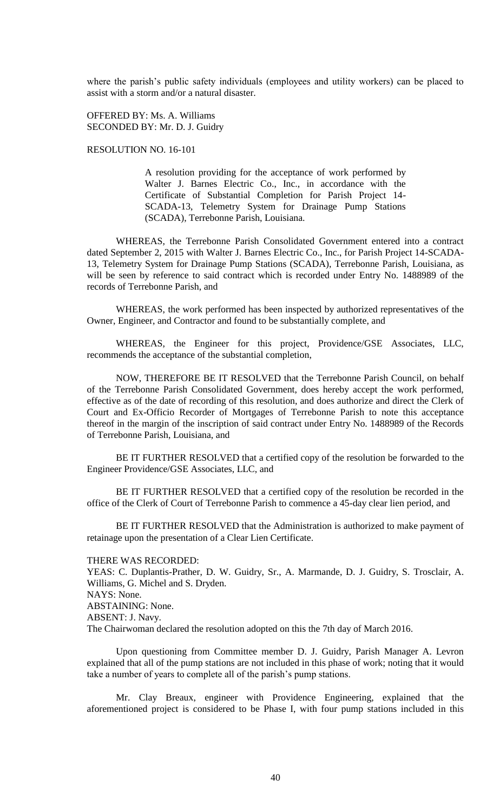where the parish's public safety individuals (employees and utility workers) can be placed to assist with a storm and/or a natural disaster.

OFFERED BY: Ms. A. Williams SECONDED BY: Mr. D. J. Guidry

RESOLUTION NO. 16-101

A resolution providing for the acceptance of work performed by Walter J. Barnes Electric Co., Inc., in accordance with the Certificate of Substantial Completion for Parish Project 14- SCADA-13, Telemetry System for Drainage Pump Stations (SCADA), Terrebonne Parish, Louisiana.

WHEREAS, the Terrebonne Parish Consolidated Government entered into a contract dated September 2, 2015 with Walter J. Barnes Electric Co., Inc., for Parish Project 14-SCADA-13, Telemetry System for Drainage Pump Stations (SCADA), Terrebonne Parish, Louisiana, as will be seen by reference to said contract which is recorded under Entry No. 1488989 of the records of Terrebonne Parish, and

WHEREAS, the work performed has been inspected by authorized representatives of the Owner, Engineer, and Contractor and found to be substantially complete, and

WHEREAS, the Engineer for this project, Providence/GSE Associates, LLC, recommends the acceptance of the substantial completion,

NOW, THEREFORE BE IT RESOLVED that the Terrebonne Parish Council, on behalf of the Terrebonne Parish Consolidated Government, does hereby accept the work performed, effective as of the date of recording of this resolution, and does authorize and direct the Clerk of Court and Ex-Officio Recorder of Mortgages of Terrebonne Parish to note this acceptance thereof in the margin of the inscription of said contract under Entry No. 1488989 of the Records of Terrebonne Parish, Louisiana, and

BE IT FURTHER RESOLVED that a certified copy of the resolution be forwarded to the Engineer Providence/GSE Associates, LLC, and

BE IT FURTHER RESOLVED that a certified copy of the resolution be recorded in the office of the Clerk of Court of Terrebonne Parish to commence a 45-day clear lien period, and

BE IT FURTHER RESOLVED that the Administration is authorized to make payment of retainage upon the presentation of a Clear Lien Certificate.

## THERE WAS RECORDED:

YEAS: C. Duplantis-Prather, D. W. Guidry, Sr., A. Marmande, D. J. Guidry, S. Trosclair, A. Williams, G. Michel and S. Dryden. NAYS: None. ABSTAINING: None. ABSENT: J. Navy. The Chairwoman declared the resolution adopted on this the 7th day of March 2016.

Upon questioning from Committee member D. J. Guidry, Parish Manager A. Levron explained that all of the pump stations are not included in this phase of work; noting that it would take a number of years to complete all of the parish's pump stations.

Mr. Clay Breaux, engineer with Providence Engineering, explained that the aforementioned project is considered to be Phase I, with four pump stations included in this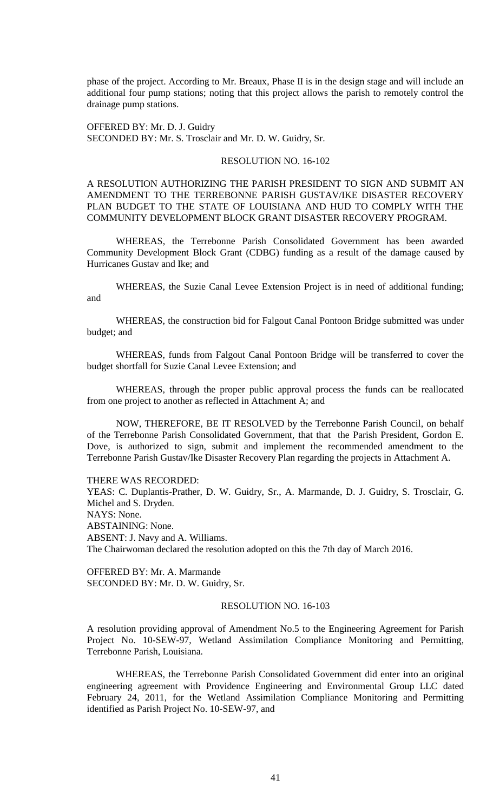phase of the project. According to Mr. Breaux, Phase II is in the design stage and will include an additional four pump stations; noting that this project allows the parish to remotely control the drainage pump stations.

OFFERED BY: Mr. D. J. Guidry SECONDED BY: Mr. S. Trosclair and Mr. D. W. Guidry, Sr.

## RESOLUTION NO. 16-102

A RESOLUTION AUTHORIZING THE PARISH PRESIDENT TO SIGN AND SUBMIT AN AMENDMENT TO THE TERREBONNE PARISH GUSTAV/IKE DISASTER RECOVERY PLAN BUDGET TO THE STATE OF LOUISIANA AND HUD TO COMPLY WITH THE COMMUNITY DEVELOPMENT BLOCK GRANT DISASTER RECOVERY PROGRAM.

WHEREAS, the Terrebonne Parish Consolidated Government has been awarded Community Development Block Grant (CDBG) funding as a result of the damage caused by Hurricanes Gustav and Ike; and

WHEREAS, the Suzie Canal Levee Extension Project is in need of additional funding; and

WHEREAS, the construction bid for Falgout Canal Pontoon Bridge submitted was under budget; and

WHEREAS, funds from Falgout Canal Pontoon Bridge will be transferred to cover the budget shortfall for Suzie Canal Levee Extension; and

WHEREAS, through the proper public approval process the funds can be reallocated from one project to another as reflected in Attachment A; and

NOW, THEREFORE, BE IT RESOLVED by the Terrebonne Parish Council, on behalf of the Terrebonne Parish Consolidated Government, that that the Parish President, Gordon E. Dove, is authorized to sign, submit and implement the recommended amendment to the Terrebonne Parish Gustav/Ike Disaster Recovery Plan regarding the projects in Attachment A.

THERE WAS RECORDED:

YEAS: C. Duplantis-Prather, D. W. Guidry, Sr., A. Marmande, D. J. Guidry, S. Trosclair, G. Michel and S. Dryden. NAYS: None. ABSTAINING: None. ABSENT: J. Navy and A. Williams. The Chairwoman declared the resolution adopted on this the 7th day of March 2016.

OFFERED BY: Mr. A. Marmande SECONDED BY: Mr. D. W. Guidry, Sr.

## RESOLUTION NO. 16-103

A resolution providing approval of Amendment No.5 to the Engineering Agreement for Parish Project No. 10-SEW-97, Wetland Assimilation Compliance Monitoring and Permitting, Terrebonne Parish, Louisiana.

WHEREAS, the Terrebonne Parish Consolidated Government did enter into an original engineering agreement with Providence Engineering and Environmental Group LLC dated February 24, 2011, for the Wetland Assimilation Compliance Monitoring and Permitting identified as Parish Project No. 10-SEW-97, and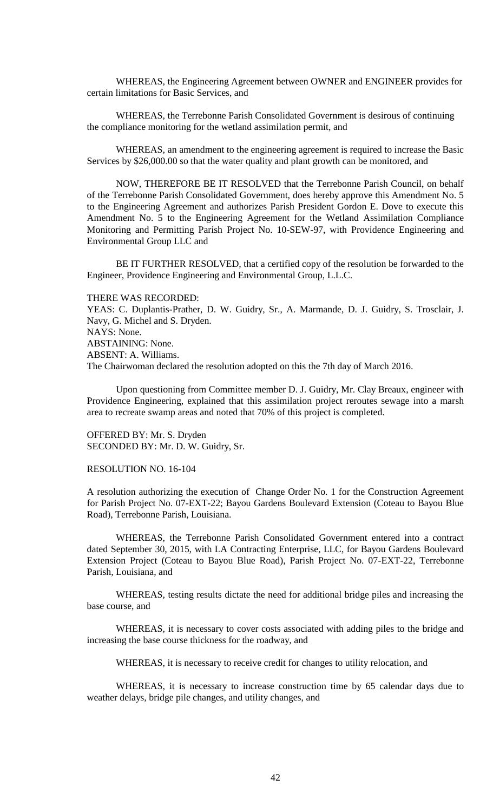WHEREAS, the Engineering Agreement between OWNER and ENGINEER provides for certain limitations for Basic Services, and

WHEREAS, the Terrebonne Parish Consolidated Government is desirous of continuing the compliance monitoring for the wetland assimilation permit, and

WHEREAS, an amendment to the engineering agreement is required to increase the Basic Services by \$26,000.00 so that the water quality and plant growth can be monitored, and

NOW, THEREFORE BE IT RESOLVED that the Terrebonne Parish Council, on behalf of the Terrebonne Parish Consolidated Government, does hereby approve this Amendment No. 5 to the Engineering Agreement and authorizes Parish President Gordon E. Dove to execute this Amendment No. 5 to the Engineering Agreement for the Wetland Assimilation Compliance Monitoring and Permitting Parish Project No. 10-SEW-97, with Providence Engineering and Environmental Group LLC and

BE IT FURTHER RESOLVED, that a certified copy of the resolution be forwarded to the Engineer, Providence Engineering and Environmental Group, L.L.C.

THERE WAS RECORDED:

YEAS: C. Duplantis-Prather, D. W. Guidry, Sr., A. Marmande, D. J. Guidry, S. Trosclair, J. Navy, G. Michel and S. Dryden. NAYS: None. ABSTAINING: None. ABSENT: A. Williams.

The Chairwoman declared the resolution adopted on this the 7th day of March 2016.

Upon questioning from Committee member D. J. Guidry, Mr. Clay Breaux, engineer with Providence Engineering, explained that this assimilation project reroutes sewage into a marsh area to recreate swamp areas and noted that 70% of this project is completed.

OFFERED BY: Mr. S. Dryden SECONDED BY: Mr. D. W. Guidry, Sr.

RESOLUTION NO. 16-104

A resolution authorizing the execution of Change Order No. 1 for the Construction Agreement for Parish Project No. 07-EXT-22; Bayou Gardens Boulevard Extension (Coteau to Bayou Blue Road), Terrebonne Parish, Louisiana.

WHEREAS, the Terrebonne Parish Consolidated Government entered into a contract dated September 30, 2015, with LA Contracting Enterprise, LLC, for Bayou Gardens Boulevard Extension Project (Coteau to Bayou Blue Road), Parish Project No. 07-EXT-22, Terrebonne Parish, Louisiana, and

WHEREAS, testing results dictate the need for additional bridge piles and increasing the base course, and

WHEREAS, it is necessary to cover costs associated with adding piles to the bridge and increasing the base course thickness for the roadway, and

WHEREAS, it is necessary to receive credit for changes to utility relocation, and

WHEREAS, it is necessary to increase construction time by 65 calendar days due to weather delays, bridge pile changes, and utility changes, and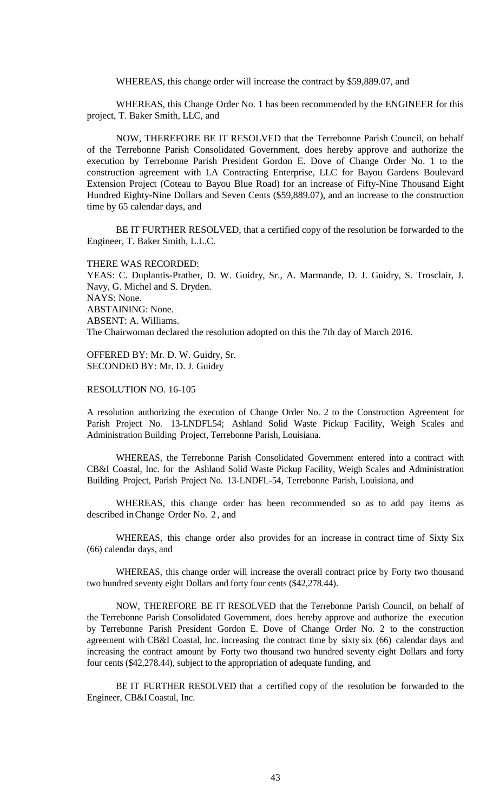WHEREAS, this change order will increase the contract by \$59,889.07, and

WHEREAS, this Change Order No. 1 has been recommended by the ENGINEER for this project, T. Baker Smith, LLC, and

NOW, THEREFORE BE IT RESOLVED that the Terrebonne Parish Council, on behalf of the Terrebonne Parish Consolidated Government, does hereby approve and authorize the execution by Terrebonne Parish President Gordon E. Dove of Change Order No. 1 to the construction agreement with LA Contracting Enterprise, LLC for Bayou Gardens Boulevard Extension Project (Coteau to Bayou Blue Road) for an increase of Fifty-Nine Thousand Eight Hundred Eighty-Nine Dollars and Seven Cents (\$59,889.07), and an increase to the construction time by 65 calendar days, and

BE IT FURTHER RESOLVED, that a certified copy of the resolution be forwarded to the Engineer, T. Baker Smith, L.L.C.

THERE WAS RECORDED:

YEAS: C. Duplantis-Prather, D. W. Guidry, Sr., A. Marmande, D. J. Guidry, S. Trosclair, J. Navy, G. Michel and S. Dryden. NAYS: None. ABSTAINING: None. ABSENT: A. Williams. The Chairwoman declared the resolution adopted on this the 7th day of March 2016.

OFFERED BY: Mr. D. W. Guidry, Sr. SECONDED BY: Mr. D. J. Guidry

RESOLUTION NO. 16-105

A resolution authorizing the execution of Change Order No. 2 to the Construction Agreement for Parish Project No. 13-LNDFL54; Ashland Solid Waste Pickup Facility, Weigh Scales and Administration Building Project, Terrebonne Parish, Louisiana.

WHEREAS, the Terrebonne Parish Consolidated Government entered into a contract with CB&I Coastal, Inc. for the Ashland Solid Waste Pickup Facility, Weigh Scales and Administration Building Project, Parish Project No. 13-LNDFL-54, Terrebonne Parish, Louisiana, and

WHEREAS, this change order has been recommended so as to add pay items as described inChange Order No. 2 , and

WHEREAS, this change order also provides for an increase in contract time of Sixty Six (66) calendar days, and

WHEREAS, this change order will increase the overall contract price by Forty two thousand two hundred seventy eight Dollars and forty four cents (\$42,278.44).

NOW, THEREFORE BE IT RESOLVED that the Terrebonne Parish Council, on behalf of the Terrebonne Parish Consolidated Government, does hereby approve and authorize the execution by Terrebonne Parish President Gordon E. Dove of Change Order No. 2 to the construction agreement with CB&I Coastal, Inc. increasing the contract time by sixty six (66) calendar days and increasing the contract amount by Forty two thousand two hundred seventy eight Dollars and forty four cents (\$42,278.44), subject to the appropriation of adequate funding, and

BE IT FURTHER RESOLVED that a certified copy of the resolution be forwarded to the Engineer, CB&I Coastal, Inc.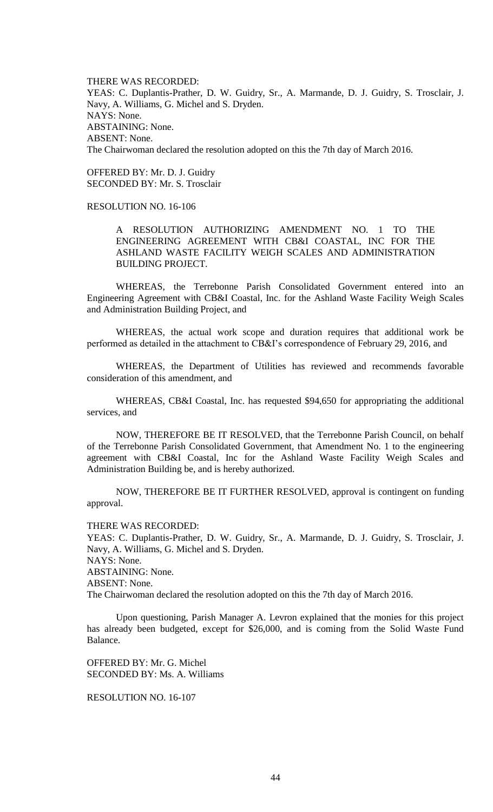THERE WAS RECORDED: YEAS: C. Duplantis-Prather, D. W. Guidry, Sr., A. Marmande, D. J. Guidry, S. Trosclair, J. Navy, A. Williams, G. Michel and S. Dryden. NAYS: None. ABSTAINING: None. ABSENT: None. The Chairwoman declared the resolution adopted on this the 7th day of March 2016.

OFFERED BY: Mr. D. J. Guidry SECONDED BY: Mr. S. Trosclair

# RESOLUTION NO. 16-106

A RESOLUTION AUTHORIZING AMENDMENT NO. 1 TO THE ENGINEERING AGREEMENT WITH CB&I COASTAL, INC FOR THE ASHLAND WASTE FACILITY WEIGH SCALES AND ADMINISTRATION BUILDING PROJECT.

WHEREAS, the Terrebonne Parish Consolidated Government entered into an Engineering Agreement with CB&I Coastal, Inc. for the Ashland Waste Facility Weigh Scales and Administration Building Project, and

WHEREAS, the actual work scope and duration requires that additional work be performed as detailed in the attachment to CB&I's correspondence of February 29, 2016, and

WHEREAS, the Department of Utilities has reviewed and recommends favorable consideration of this amendment, and

WHEREAS, CB&I Coastal, Inc. has requested \$94,650 for appropriating the additional services, and

NOW, THEREFORE BE IT RESOLVED, that the Terrebonne Parish Council, on behalf of the Terrebonne Parish Consolidated Government, that Amendment No. 1 to the engineering agreement with CB&I Coastal, Inc for the Ashland Waste Facility Weigh Scales and Administration Building be, and is hereby authorized.

NOW, THEREFORE BE IT FURTHER RESOLVED, approval is contingent on funding approval.

THERE WAS RECORDED:

YEAS: C. Duplantis-Prather, D. W. Guidry, Sr., A. Marmande, D. J. Guidry, S. Trosclair, J. Navy, A. Williams, G. Michel and S. Dryden. NAYS: None. ABSTAINING: None. ABSENT: None.

The Chairwoman declared the resolution adopted on this the 7th day of March 2016.

Upon questioning, Parish Manager A. Levron explained that the monies for this project has already been budgeted, except for \$26,000, and is coming from the Solid Waste Fund Balance.

OFFERED BY: Mr. G. Michel SECONDED BY: Ms. A. Williams

# RESOLUTION NO. 16-107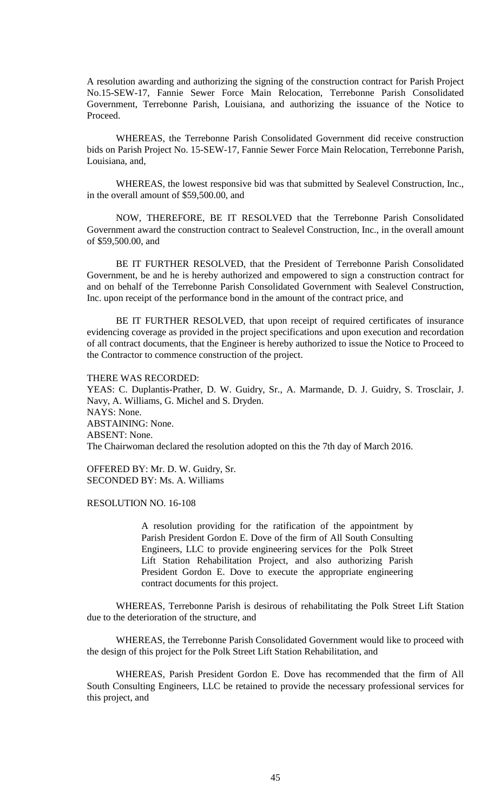A resolution awarding and authorizing the signing of the construction contract for Parish Project No.15-SEW-17, Fannie Sewer Force Main Relocation, Terrebonne Parish Consolidated Government, Terrebonne Parish, Louisiana, and authorizing the issuance of the Notice to Proceed.

WHEREAS, the Terrebonne Parish Consolidated Government did receive construction bids on Parish Project No. 15-SEW-17, Fannie Sewer Force Main Relocation, Terrebonne Parish, Louisiana, and,

WHEREAS, the lowest responsive bid was that submitted by Sealevel Construction, Inc., in the overall amount of \$59,500.00, and

NOW, THEREFORE, BE IT RESOLVED that the Terrebonne Parish Consolidated Government award the construction contract to Sealevel Construction, Inc., in the overall amount of \$59,500.00, and

BE IT FURTHER RESOLVED, that the President of Terrebonne Parish Consolidated Government, be and he is hereby authorized and empowered to sign a construction contract for and on behalf of the Terrebonne Parish Consolidated Government with Sealevel Construction, Inc. upon receipt of the performance bond in the amount of the contract price, and

BE IT FURTHER RESOLVED, that upon receipt of required certificates of insurance evidencing coverage as provided in the project specifications and upon execution and recordation of all contract documents, that the Engineer is hereby authorized to issue the Notice to Proceed to the Contractor to commence construction of the project.

THERE WAS RECORDED:

YEAS: C. Duplantis-Prather, D. W. Guidry, Sr., A. Marmande, D. J. Guidry, S. Trosclair, J. Navy, A. Williams, G. Michel and S. Dryden. NAYS: None. ABSTAINING: None. ABSENT: None. The Chairwoman declared the resolution adopted on this the 7th day of March 2016.

OFFERED BY: Mr. D. W. Guidry, Sr. SECONDED BY: Ms. A. Williams

RESOLUTION NO. 16-108

A resolution providing for the ratification of the appointment by Parish President Gordon E. Dove of the firm of All South Consulting Engineers, LLC to provide engineering services for the Polk Street Lift Station Rehabilitation Project, and also authorizing Parish President Gordon E. Dove to execute the appropriate engineering contract documents for this project.

WHEREAS, Terrebonne Parish is desirous of rehabilitating the Polk Street Lift Station due to the deterioration of the structure, and

WHEREAS, the Terrebonne Parish Consolidated Government would like to proceed with the design of this project for the Polk Street Lift Station Rehabilitation, and

WHEREAS, Parish President Gordon E. Dove has recommended that the firm of All South Consulting Engineers, LLC be retained to provide the necessary professional services for this project, and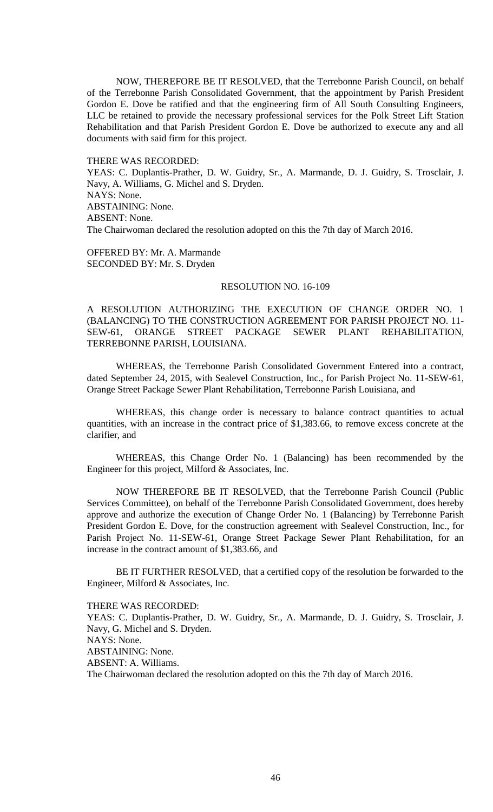NOW, THEREFORE BE IT RESOLVED, that the Terrebonne Parish Council, on behalf of the Terrebonne Parish Consolidated Government, that the appointment by Parish President Gordon E. Dove be ratified and that the engineering firm of All South Consulting Engineers, LLC be retained to provide the necessary professional services for the Polk Street Lift Station Rehabilitation and that Parish President Gordon E. Dove be authorized to execute any and all documents with said firm for this project.

#### THERE WAS RECORDED:

YEAS: C. Duplantis-Prather, D. W. Guidry, Sr., A. Marmande, D. J. Guidry, S. Trosclair, J. Navy, A. Williams, G. Michel and S. Dryden. NAYS: None. ABSTAINING: None. ABSENT: None. The Chairwoman declared the resolution adopted on this the 7th day of March 2016.

OFFERED BY: Mr. A. Marmande SECONDED BY: Mr. S. Dryden

#### RESOLUTION NO. 16-109

A RESOLUTION AUTHORIZING THE EXECUTION OF CHANGE ORDER NO. 1 (BALANCING) TO THE CONSTRUCTION AGREEMENT FOR PARISH PROJECT NO. 11- SEW-61, ORANGE STREET PACKAGE SEWER PLANT REHABILITATION, TERREBONNE PARISH, LOUISIANA.

WHEREAS, the Terrebonne Parish Consolidated Government Entered into a contract, dated September 24, 2015, with Sealevel Construction, Inc., for Parish Project No. 11-SEW-61, Orange Street Package Sewer Plant Rehabilitation, Terrebonne Parish Louisiana, and

WHEREAS, this change order is necessary to balance contract quantities to actual quantities, with an increase in the contract price of \$1,383.66, to remove excess concrete at the clarifier, and

WHEREAS, this Change Order No. 1 (Balancing) has been recommended by the Engineer for this project, Milford & Associates, Inc.

NOW THEREFORE BE IT RESOLVED, that the Terrebonne Parish Council (Public Services Committee), on behalf of the Terrebonne Parish Consolidated Government, does hereby approve and authorize the execution of Change Order No. 1 (Balancing) by Terrebonne Parish President Gordon E. Dove, for the construction agreement with Sealevel Construction, Inc., for Parish Project No. 11-SEW-61, Orange Street Package Sewer Plant Rehabilitation, for an increase in the contract amount of \$1,383.66, and

BE IT FURTHER RESOLVED, that a certified copy of the resolution be forwarded to the Engineer, Milford & Associates, Inc.

## THERE WAS RECORDED:

YEAS: C. Duplantis-Prather, D. W. Guidry, Sr., A. Marmande, D. J. Guidry, S. Trosclair, J. Navy, G. Michel and S. Dryden. NAYS: None. ABSTAINING: None. ABSENT: A. Williams. The Chairwoman declared the resolution adopted on this the 7th day of March 2016.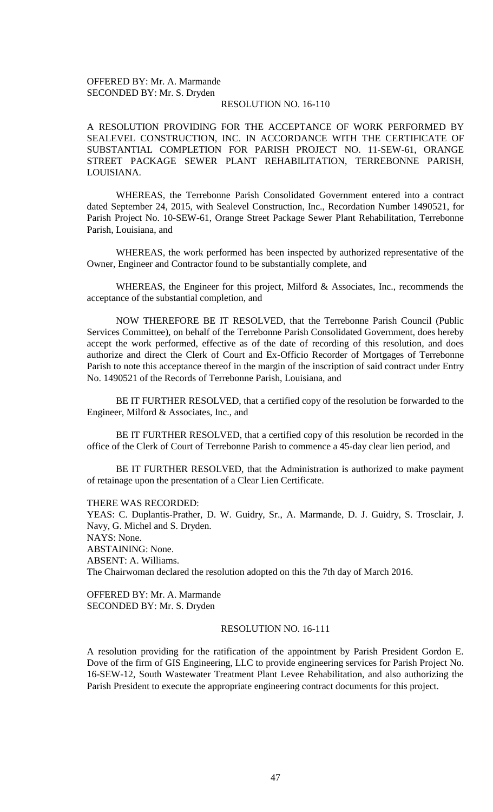# OFFERED BY: Mr. A. Marmande SECONDED BY: Mr. S. Dryden

## RESOLUTION NO. 16-110

A RESOLUTION PROVIDING FOR THE ACCEPTANCE OF WORK PERFORMED BY SEALEVEL CONSTRUCTION, INC. IN ACCORDANCE WITH THE CERTIFICATE OF SUBSTANTIAL COMPLETION FOR PARISH PROJECT NO. 11-SEW-61, ORANGE STREET PACKAGE SEWER PLANT REHABILITATION, TERREBONNE PARISH, LOUISIANA.

WHEREAS, the Terrebonne Parish Consolidated Government entered into a contract dated September 24, 2015, with Sealevel Construction, Inc., Recordation Number 1490521, for Parish Project No. 10-SEW-61, Orange Street Package Sewer Plant Rehabilitation, Terrebonne Parish, Louisiana, and

WHEREAS, the work performed has been inspected by authorized representative of the Owner, Engineer and Contractor found to be substantially complete, and

WHEREAS, the Engineer for this project, Milford & Associates, Inc., recommends the acceptance of the substantial completion, and

NOW THEREFORE BE IT RESOLVED, that the Terrebonne Parish Council (Public Services Committee), on behalf of the Terrebonne Parish Consolidated Government, does hereby accept the work performed, effective as of the date of recording of this resolution, and does authorize and direct the Clerk of Court and Ex-Officio Recorder of Mortgages of Terrebonne Parish to note this acceptance thereof in the margin of the inscription of said contract under Entry No. 1490521 of the Records of Terrebonne Parish, Louisiana, and

BE IT FURTHER RESOLVED, that a certified copy of the resolution be forwarded to the Engineer, Milford & Associates, Inc., and

BE IT FURTHER RESOLVED, that a certified copy of this resolution be recorded in the office of the Clerk of Court of Terrebonne Parish to commence a 45-day clear lien period, and

BE IT FURTHER RESOLVED, that the Administration is authorized to make payment of retainage upon the presentation of a Clear Lien Certificate.

THERE WAS RECORDED:

YEAS: C. Duplantis-Prather, D. W. Guidry, Sr., A. Marmande, D. J. Guidry, S. Trosclair, J. Navy, G. Michel and S. Dryden. NAYS: None. ABSTAINING: None. ABSENT: A. Williams. The Chairwoman declared the resolution adopted on this the 7th day of March 2016.

OFFERED BY: Mr. A. Marmande SECONDED BY: Mr. S. Dryden

# RESOLUTION NO. 16-111

A resolution providing for the ratification of the appointment by Parish President Gordon E. Dove of the firm of GIS Engineering, LLC to provide engineering services for Parish Project No. 16-SEW-12, South Wastewater Treatment Plant Levee Rehabilitation, and also authorizing the Parish President to execute the appropriate engineering contract documents for this project.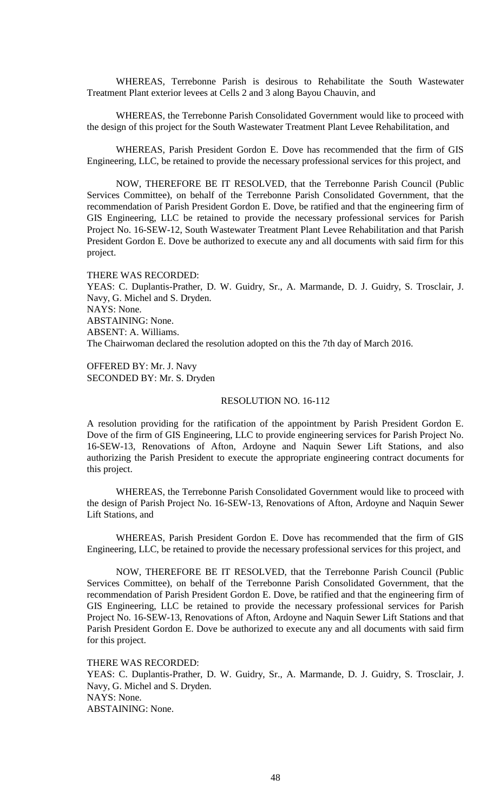WHEREAS, Terrebonne Parish is desirous to Rehabilitate the South Wastewater Treatment Plant exterior levees at Cells 2 and 3 along Bayou Chauvin, and

WHEREAS, the Terrebonne Parish Consolidated Government would like to proceed with the design of this project for the South Wastewater Treatment Plant Levee Rehabilitation, and

WHEREAS, Parish President Gordon E. Dove has recommended that the firm of GIS Engineering, LLC, be retained to provide the necessary professional services for this project, and

NOW, THEREFORE BE IT RESOLVED, that the Terrebonne Parish Council (Public Services Committee), on behalf of the Terrebonne Parish Consolidated Government, that the recommendation of Parish President Gordon E. Dove, be ratified and that the engineering firm of GIS Engineering, LLC be retained to provide the necessary professional services for Parish Project No. 16-SEW-12, South Wastewater Treatment Plant Levee Rehabilitation and that Parish President Gordon E. Dove be authorized to execute any and all documents with said firm for this project.

THERE WAS RECORDED: YEAS: C. Duplantis-Prather, D. W. Guidry, Sr., A. Marmande, D. J. Guidry, S. Trosclair, J. Navy, G. Michel and S. Dryden. NAYS: None. ABSTAINING: None. ABSENT: A. Williams. The Chairwoman declared the resolution adopted on this the 7th day of March 2016.

OFFERED BY: Mr. J. Navy SECONDED BY: Mr. S. Dryden

## RESOLUTION NO. 16-112

A resolution providing for the ratification of the appointment by Parish President Gordon E. Dove of the firm of GIS Engineering, LLC to provide engineering services for Parish Project No. 16-SEW-13, Renovations of Afton, Ardoyne and Naquin Sewer Lift Stations, and also authorizing the Parish President to execute the appropriate engineering contract documents for this project.

WHEREAS, the Terrebonne Parish Consolidated Government would like to proceed with the design of Parish Project No. 16-SEW-13, Renovations of Afton, Ardoyne and Naquin Sewer Lift Stations, and

WHEREAS, Parish President Gordon E. Dove has recommended that the firm of GIS Engineering, LLC, be retained to provide the necessary professional services for this project, and

NOW, THEREFORE BE IT RESOLVED, that the Terrebonne Parish Council (Public Services Committee), on behalf of the Terrebonne Parish Consolidated Government, that the recommendation of Parish President Gordon E. Dove, be ratified and that the engineering firm of GIS Engineering, LLC be retained to provide the necessary professional services for Parish Project No. 16-SEW-13, Renovations of Afton, Ardoyne and Naquin Sewer Lift Stations and that Parish President Gordon E. Dove be authorized to execute any and all documents with said firm for this project.

THERE WAS RECORDED:

YEAS: C. Duplantis-Prather, D. W. Guidry, Sr., A. Marmande, D. J. Guidry, S. Trosclair, J. Navy, G. Michel and S. Dryden. NAYS: None. ABSTAINING: None.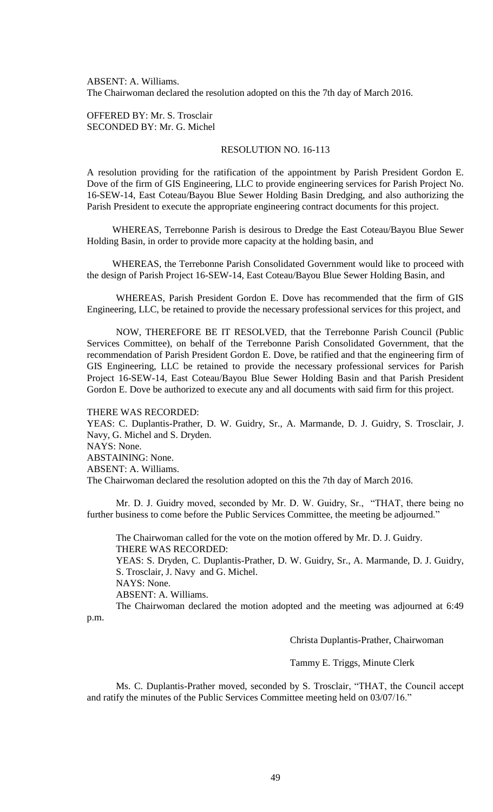ABSENT: A. Williams. The Chairwoman declared the resolution adopted on this the 7th day of March 2016.

OFFERED BY: Mr. S. Trosclair SECONDED BY: Mr. G. Michel

# RESOLUTION NO. 16-113

A resolution providing for the ratification of the appointment by Parish President Gordon E. Dove of the firm of GIS Engineering, LLC to provide engineering services for Parish Project No. 16-SEW-14, East Coteau/Bayou Blue Sewer Holding Basin Dredging, and also authorizing the Parish President to execute the appropriate engineering contract documents for this project.

WHEREAS, Terrebonne Parish is desirous to Dredge the East Coteau/Bayou Blue Sewer Holding Basin, in order to provide more capacity at the holding basin, and

WHEREAS, the Terrebonne Parish Consolidated Government would like to proceed with the design of Parish Project 16-SEW-14, East Coteau/Bayou Blue Sewer Holding Basin, and

WHEREAS, Parish President Gordon E. Dove has recommended that the firm of GIS Engineering, LLC, be retained to provide the necessary professional services for this project, and

NOW, THEREFORE BE IT RESOLVED, that the Terrebonne Parish Council (Public Services Committee), on behalf of the Terrebonne Parish Consolidated Government, that the recommendation of Parish President Gordon E. Dove, be ratified and that the engineering firm of GIS Engineering, LLC be retained to provide the necessary professional services for Parish Project 16-SEW-14, East Coteau/Bayou Blue Sewer Holding Basin and that Parish President Gordon E. Dove be authorized to execute any and all documents with said firm for this project.

#### THERE WAS RECORDED:

YEAS: C. Duplantis-Prather, D. W. Guidry, Sr., A. Marmande, D. J. Guidry, S. Trosclair, J. Navy, G. Michel and S. Dryden. NAYS: None. ABSTAINING: None. ABSENT: A. Williams. The Chairwoman declared the resolution adopted on this the 7th day of March 2016.

Mr. D. J. Guidry moved, seconded by Mr. D. W. Guidry, Sr., "THAT, there being no further business to come before the Public Services Committee, the meeting be adjourned."

The Chairwoman called for the vote on the motion offered by Mr. D. J. Guidry. THERE WAS RECORDED:

YEAS: S. Dryden, C. Duplantis-Prather, D. W. Guidry, Sr., A. Marmande, D. J. Guidry, S. Trosclair, J. Navy and G. Michel.

NAYS: None.

ABSENT: A. Williams.

The Chairwoman declared the motion adopted and the meeting was adjourned at 6:49 p.m.

Christa Duplantis-Prather, Chairwoman

Tammy E. Triggs, Minute Clerk

Ms. C. Duplantis-Prather moved, seconded by S. Trosclair, "THAT, the Council accept and ratify the minutes of the Public Services Committee meeting held on 03/07/16."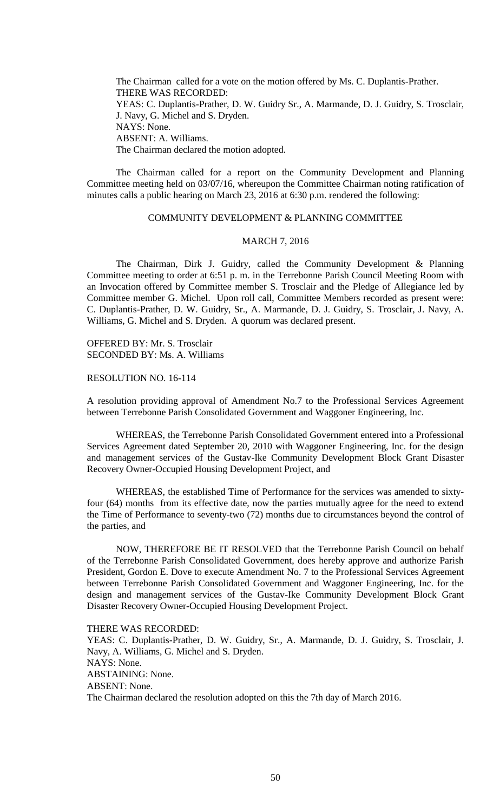The Chairman called for a vote on the motion offered by Ms. C. Duplantis-Prather. THERE WAS RECORDED: YEAS: C. Duplantis-Prather, D. W. Guidry Sr., A. Marmande, D. J. Guidry, S. Trosclair, J. Navy, G. Michel and S. Dryden. NAYS: None. ABSENT: A. Williams. The Chairman declared the motion adopted.

The Chairman called for a report on the Community Development and Planning Committee meeting held on 03/07/16, whereupon the Committee Chairman noting ratification of minutes calls a public hearing on March 23, 2016 at 6:30 p.m. rendered the following:

# COMMUNITY DEVELOPMENT & PLANNING COMMITTEE

## MARCH 7, 2016

The Chairman, Dirk J. Guidry, called the Community Development & Planning Committee meeting to order at 6:51 p. m. in the Terrebonne Parish Council Meeting Room with an Invocation offered by Committee member S. Trosclair and the Pledge of Allegiance led by Committee member G. Michel. Upon roll call, Committee Members recorded as present were: C. Duplantis-Prather, D. W. Guidry, Sr., A. Marmande, D. J. Guidry, S. Trosclair, J. Navy, A. Williams, G. Michel and S. Dryden. A quorum was declared present.

OFFERED BY: Mr. S. Trosclair SECONDED BY: Ms. A. Williams

RESOLUTION NO. 16-114

A resolution providing approval of Amendment No.7 to the Professional Services Agreement between Terrebonne Parish Consolidated Government and Waggoner Engineering, Inc.

WHEREAS, the Terrebonne Parish Consolidated Government entered into a Professional Services Agreement dated September 20, 2010 with Waggoner Engineering, Inc. for the design and management services of the Gustav-Ike Community Development Block Grant Disaster Recovery Owner-Occupied Housing Development Project, and

WHEREAS, the established Time of Performance for the services was amended to sixtyfour (64) months from its effective date, now the parties mutually agree for the need to extend the Time of Performance to seventy-two (72) months due to circumstances beyond the control of the parties, and

NOW, THEREFORE BE IT RESOLVED that the Terrebonne Parish Council on behalf of the Terrebonne Parish Consolidated Government, does hereby approve and authorize Parish President, Gordon E. Dove to execute Amendment No. 7 to the Professional Services Agreement between Terrebonne Parish Consolidated Government and Waggoner Engineering, Inc. for the design and management services of the Gustav-Ike Community Development Block Grant Disaster Recovery Owner-Occupied Housing Development Project.

THERE WAS RECORDED:

YEAS: C. Duplantis-Prather, D. W. Guidry, Sr., A. Marmande, D. J. Guidry, S. Trosclair, J. Navy, A. Williams, G. Michel and S. Dryden. NAYS: None. ABSTAINING: None. ABSENT: None. The Chairman declared the resolution adopted on this the 7th day of March 2016.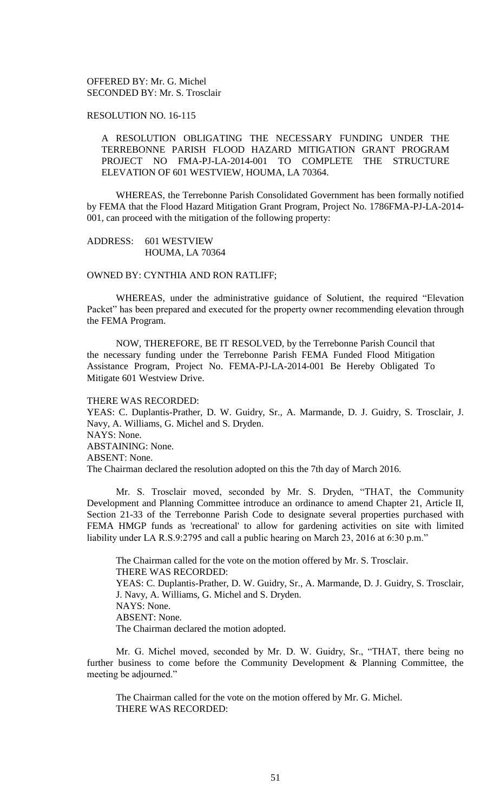OFFERED BY: Mr. G. Michel SECONDED BY: Mr. S. Trosclair

## RESOLUTION NO. 16-115

A RESOLUTION OBLIGATING THE NECESSARY FUNDING UNDER THE TERREBONNE PARISH FLOOD HAZARD MITIGATION GRANT PROGRAM PROJECT NO FMA-PJ-LA-2014-001 TO COMPLETE THE STRUCTURE ELEVATION OF 601 WESTVIEW, HOUMA, LA 70364.

WHEREAS, the Terrebonne Parish Consolidated Government has been formally notified by FEMA that the Flood Hazard Mitigation Grant Program, Project No. 1786FMA-PJ-LA-2014- 001, can proceed with the mitigation of the following property:

## ADDRESS: 601 WESTVIEW HOUMA, LA 70364

OWNED BY: CYNTHIA AND RON RATLIFF;

WHEREAS, under the administrative guidance of Solutient, the required "Elevation Packet" has been prepared and executed for the property owner recommending elevation through the FEMA Program.

NOW, THEREFORE, BE IT RESOLVED, by the Terrebonne Parish Council that the necessary funding under the Terrebonne Parish FEMA Funded Flood Mitigation Assistance Program, Project No. FEMA-PJ-LA-2014-001 Be Hereby Obligated To Mitigate 601 Westview Drive.

#### THERE WAS RECORDED:

YEAS: C. Duplantis-Prather, D. W. Guidry, Sr., A. Marmande, D. J. Guidry, S. Trosclair, J. Navy, A. Williams, G. Michel and S. Dryden. NAYS: None. ABSTAINING: None. ABSENT: None. The Chairman declared the resolution adopted on this the 7th day of March 2016.

Mr. S. Trosclair moved, seconded by Mr. S. Dryden, "THAT, the Community Development and Planning Committee introduce an ordinance to amend Chapter 21, Article II, Section 21-33 of the Terrebonne Parish Code to designate several properties purchased with FEMA HMGP funds as 'recreational' to allow for gardening activities on site with limited liability under LA R.S.9:2795 and call a public hearing on March 23, 2016 at 6:30 p.m."

The Chairman called for the vote on the motion offered by Mr. S. Trosclair. THERE WAS RECORDED: YEAS: C. Duplantis-Prather, D. W. Guidry, Sr., A. Marmande, D. J. Guidry, S. Trosclair, J. Navy, A. Williams, G. Michel and S. Dryden. NAYS: None. ABSENT: None. The Chairman declared the motion adopted.

Mr. G. Michel moved, seconded by Mr. D. W. Guidry, Sr., "THAT, there being no further business to come before the Community Development & Planning Committee, the meeting be adjourned."

The Chairman called for the vote on the motion offered by Mr. G. Michel. THERE WAS RECORDED: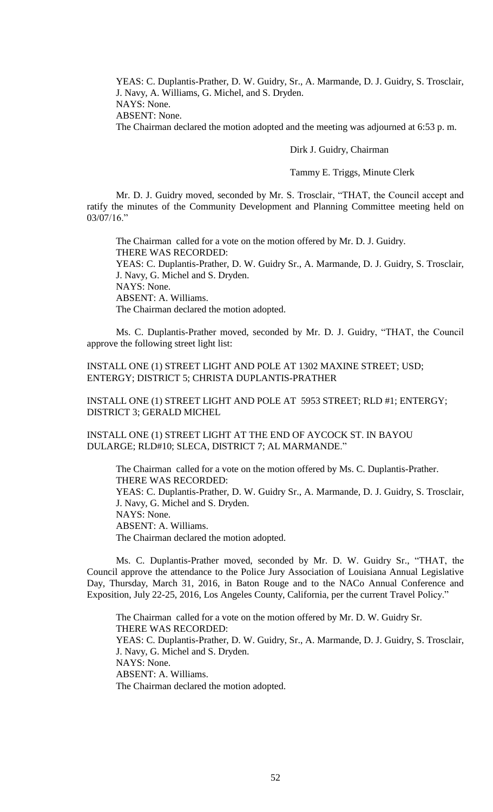YEAS: C. Duplantis-Prather, D. W. Guidry, Sr., A. Marmande, D. J. Guidry, S. Trosclair, J. Navy, A. Williams, G. Michel, and S. Dryden. NAYS: None. ABSENT: None.

The Chairman declared the motion adopted and the meeting was adjourned at 6:53 p. m.

Dirk J. Guidry, Chairman

Tammy E. Triggs, Minute Clerk

Mr. D. J. Guidry moved, seconded by Mr. S. Trosclair, "THAT, the Council accept and ratify the minutes of the Community Development and Planning Committee meeting held on 03/07/16."

The Chairman called for a vote on the motion offered by Mr. D. J. Guidry. THERE WAS RECORDED: YEAS: C. Duplantis-Prather, D. W. Guidry Sr., A. Marmande, D. J. Guidry, S. Trosclair, J. Navy, G. Michel and S. Dryden. NAYS: None. ABSENT: A. Williams. The Chairman declared the motion adopted.

Ms. C. Duplantis-Prather moved, seconded by Mr. D. J. Guidry, "THAT, the Council approve the following street light list:

INSTALL ONE (1) STREET LIGHT AND POLE AT 1302 MAXINE STREET; USD; ENTERGY; DISTRICT 5; CHRISTA DUPLANTIS-PRATHER

INSTALL ONE (1) STREET LIGHT AND POLE AT 5953 STREET; RLD #1; ENTERGY; DISTRICT 3; GERALD MICHEL

INSTALL ONE (1) STREET LIGHT AT THE END OF AYCOCK ST. IN BAYOU DULARGE; RLD#10; SLECA, DISTRICT 7; AL MARMANDE."

The Chairman called for a vote on the motion offered by Ms. C. Duplantis-Prather. THERE WAS RECORDED: YEAS: C. Duplantis-Prather, D. W. Guidry Sr., A. Marmande, D. J. Guidry, S. Trosclair, J. Navy, G. Michel and S. Dryden. NAYS: None. ABSENT: A. Williams. The Chairman declared the motion adopted.

Ms. C. Duplantis-Prather moved, seconded by Mr. D. W. Guidry Sr., "THAT, the Council approve the attendance to the Police Jury Association of Louisiana Annual Legislative Day, Thursday, March 31, 2016, in Baton Rouge and to the NACo Annual Conference and Exposition, July 22-25, 2016, Los Angeles County, California, per the current Travel Policy."

The Chairman called for a vote on the motion offered by Mr. D. W. Guidry Sr. THERE WAS RECORDED: YEAS: C. Duplantis-Prather, D. W. Guidry, Sr., A. Marmande, D. J. Guidry, S. Trosclair, J. Navy, G. Michel and S. Dryden. NAYS: None. ABSENT: A. Williams. The Chairman declared the motion adopted.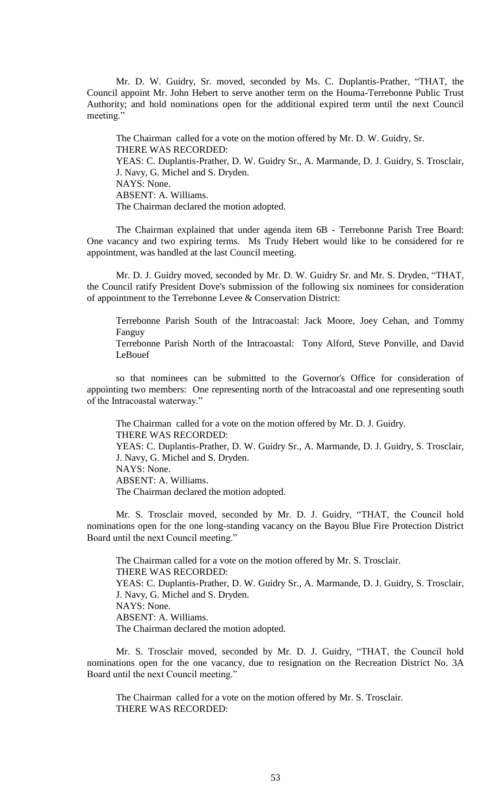Mr. D. W. Guidry, Sr. moved, seconded by Ms. C. Duplantis-Prather, "THAT, the Council appoint Mr. John Hebert to serve another term on the Houma-Terrebonne Public Trust Authority; and hold nominations open for the additional expired term until the next Council meeting."

The Chairman called for a vote on the motion offered by Mr. D. W. Guidry, Sr. THERE WAS RECORDED: YEAS: C. Duplantis-Prather, D. W. Guidry Sr., A. Marmande, D. J. Guidry, S. Trosclair, J. Navy, G. Michel and S. Dryden. NAYS: None. ABSENT: A. Williams. The Chairman declared the motion adopted.

The Chairman explained that under agenda item 6B - Terrebonne Parish Tree Board: One vacancy and two expiring terms. Ms Trudy Hebert would like to be considered for re appointment, was handled at the last Council meeting.

Mr. D. J. Guidry moved, seconded by Mr. D. W. Guidry Sr. and Mr. S. Dryden, "THAT, the Council ratify President Dove's submission of the following six nominees for consideration of appointment to the Terrebonne Levee & Conservation District:

Terrebonne Parish South of the Intracoastal: Jack Moore, Joey Cehan, and Tommy Fanguy

Terrebonne Parish North of the Intracoastal: Tony Alford, Steve Ponville, and David LeBouef

so that nominees can be submitted to the Governor's Office for consideration of appointing two members: One representing north of the Intracoastal and one representing south of the Intracoastal waterway."

The Chairman called for a vote on the motion offered by Mr. D. J. Guidry. THERE WAS RECORDED: YEAS: C. Duplantis-Prather, D. W. Guidry Sr., A. Marmande, D. J. Guidry, S. Trosclair, J. Navy, G. Michel and S. Dryden. NAYS: None. ABSENT: A. Williams. The Chairman declared the motion adopted.

Mr. S. Trosclair moved, seconded by Mr. D. J. Guidry, "THAT, the Council hold nominations open for the one long-standing vacancy on the Bayou Blue Fire Protection District Board until the next Council meeting."

The Chairman called for a vote on the motion offered by Mr. S. Trosclair. THERE WAS RECORDED: YEAS: C. Duplantis-Prather, D. W. Guidry Sr., A. Marmande, D. J. Guidry, S. Trosclair, J. Navy, G. Michel and S. Dryden. NAYS: None. ABSENT: A. Williams. The Chairman declared the motion adopted.

Mr. S. Trosclair moved, seconded by Mr. D. J. Guidry, "THAT, the Council hold nominations open for the one vacancy, due to resignation on the Recreation District No. 3A Board until the next Council meeting."

The Chairman called for a vote on the motion offered by Mr. S. Trosclair. THERE WAS RECORDED: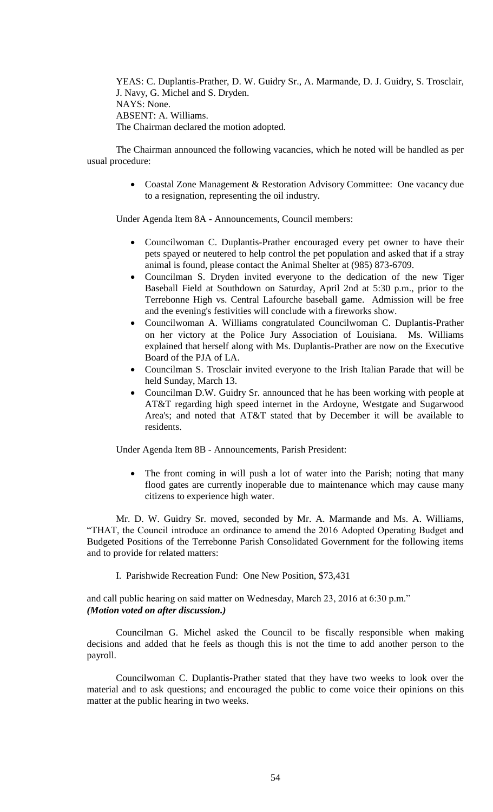YEAS: C. Duplantis-Prather, D. W. Guidry Sr., A. Marmande, D. J. Guidry, S. Trosclair, J. Navy, G. Michel and S. Dryden. NAYS: None. ABSENT: A. Williams. The Chairman declared the motion adopted.

The Chairman announced the following vacancies, which he noted will be handled as per usual procedure:

> Coastal Zone Management & Restoration Advisory Committee: One vacancy due to a resignation, representing the oil industry.

Under Agenda Item 8A - Announcements, Council members:

- Councilwoman C. Duplantis-Prather encouraged every pet owner to have their pets spayed or neutered to help control the pet population and asked that if a stray animal is found, please contact the Animal Shelter at (985) 873-6709.
- Councilman S. Dryden invited everyone to the dedication of the new Tiger Baseball Field at Southdown on Saturday, April 2nd at 5:30 p.m., prior to the Terrebonne High vs. Central Lafourche baseball game. Admission will be free and the evening's festivities will conclude with a fireworks show.
- Councilwoman A. Williams congratulated Councilwoman C. Duplantis-Prather on her victory at the Police Jury Association of Louisiana. Ms. Williams explained that herself along with Ms. Duplantis-Prather are now on the Executive Board of the PJA of LA.
- Councilman S. Trosclair invited everyone to the Irish Italian Parade that will be held Sunday, March 13.
- Councilman D.W. Guidry Sr. announced that he has been working with people at AT&T regarding high speed internet in the Ardoyne, Westgate and Sugarwood Area's; and noted that AT&T stated that by December it will be available to residents.

Under Agenda Item 8B - Announcements, Parish President:

 The front coming in will push a lot of water into the Parish; noting that many flood gates are currently inoperable due to maintenance which may cause many citizens to experience high water.

Mr. D. W. Guidry Sr. moved, seconded by Mr. A. Marmande and Ms. A. Williams, "THAT, the Council introduce an ordinance to amend the 2016 Adopted Operating Budget and Budgeted Positions of the Terrebonne Parish Consolidated Government for the following items and to provide for related matters:

I. Parishwide Recreation Fund: One New Position, \$73,431

and call public hearing on said matter on Wednesday, March 23, 2016 at 6:30 p.m." *(Motion voted on after discussion.)*

Councilman G. Michel asked the Council to be fiscally responsible when making decisions and added that he feels as though this is not the time to add another person to the payroll.

Councilwoman C. Duplantis-Prather stated that they have two weeks to look over the material and to ask questions; and encouraged the public to come voice their opinions on this matter at the public hearing in two weeks.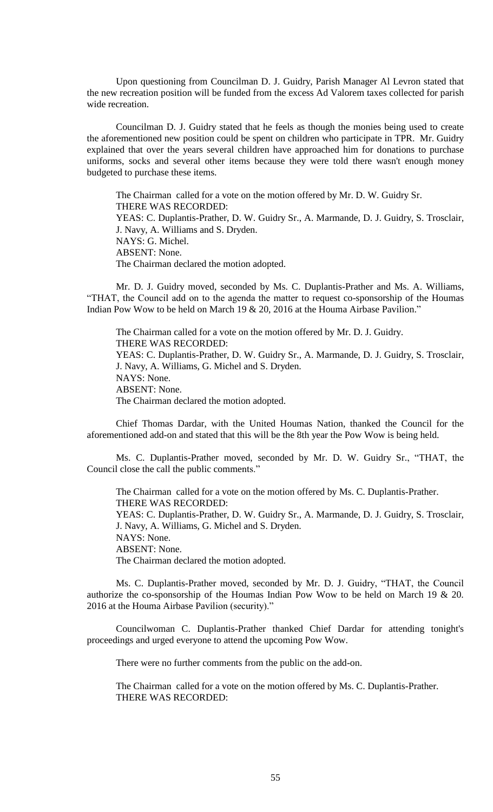Upon questioning from Councilman D. J. Guidry, Parish Manager Al Levron stated that the new recreation position will be funded from the excess Ad Valorem taxes collected for parish wide recreation.

Councilman D. J. Guidry stated that he feels as though the monies being used to create the aforementioned new position could be spent on children who participate in TPR. Mr. Guidry explained that over the years several children have approached him for donations to purchase uniforms, socks and several other items because they were told there wasn't enough money budgeted to purchase these items.

The Chairman called for a vote on the motion offered by Mr. D. W. Guidry Sr. THERE WAS RECORDED: YEAS: C. Duplantis-Prather, D. W. Guidry Sr., A. Marmande, D. J. Guidry, S. Trosclair, J. Navy, A. Williams and S. Dryden. NAYS: G. Michel. ABSENT: None. The Chairman declared the motion adopted.

Mr. D. J. Guidry moved, seconded by Ms. C. Duplantis-Prather and Ms. A. Williams, "THAT, the Council add on to the agenda the matter to request co-sponsorship of the Houmas Indian Pow Wow to be held on March 19 & 20, 2016 at the Houma Airbase Pavilion."

The Chairman called for a vote on the motion offered by Mr. D. J. Guidry. THERE WAS RECORDED: YEAS: C. Duplantis-Prather, D. W. Guidry Sr., A. Marmande, D. J. Guidry, S. Trosclair, J. Navy, A. Williams, G. Michel and S. Dryden. NAYS: None. ABSENT: None. The Chairman declared the motion adopted.

Chief Thomas Dardar, with the United Houmas Nation, thanked the Council for the aforementioned add-on and stated that this will be the 8th year the Pow Wow is being held.

Ms. C. Duplantis-Prather moved, seconded by Mr. D. W. Guidry Sr., "THAT, the Council close the call the public comments."

The Chairman called for a vote on the motion offered by Ms. C. Duplantis-Prather. THERE WAS RECORDED: YEAS: C. Duplantis-Prather, D. W. Guidry Sr., A. Marmande, D. J. Guidry, S. Trosclair, J. Navy, A. Williams, G. Michel and S. Dryden. NAYS: None. ABSENT: None. The Chairman declared the motion adopted.

Ms. C. Duplantis-Prather moved, seconded by Mr. D. J. Guidry, "THAT, the Council authorize the co-sponsorship of the Houmas Indian Pow Wow to be held on March 19 & 20. 2016 at the Houma Airbase Pavilion (security)."

Councilwoman C. Duplantis-Prather thanked Chief Dardar for attending tonight's proceedings and urged everyone to attend the upcoming Pow Wow.

There were no further comments from the public on the add-on.

The Chairman called for a vote on the motion offered by Ms. C. Duplantis-Prather. THERE WAS RECORDED: